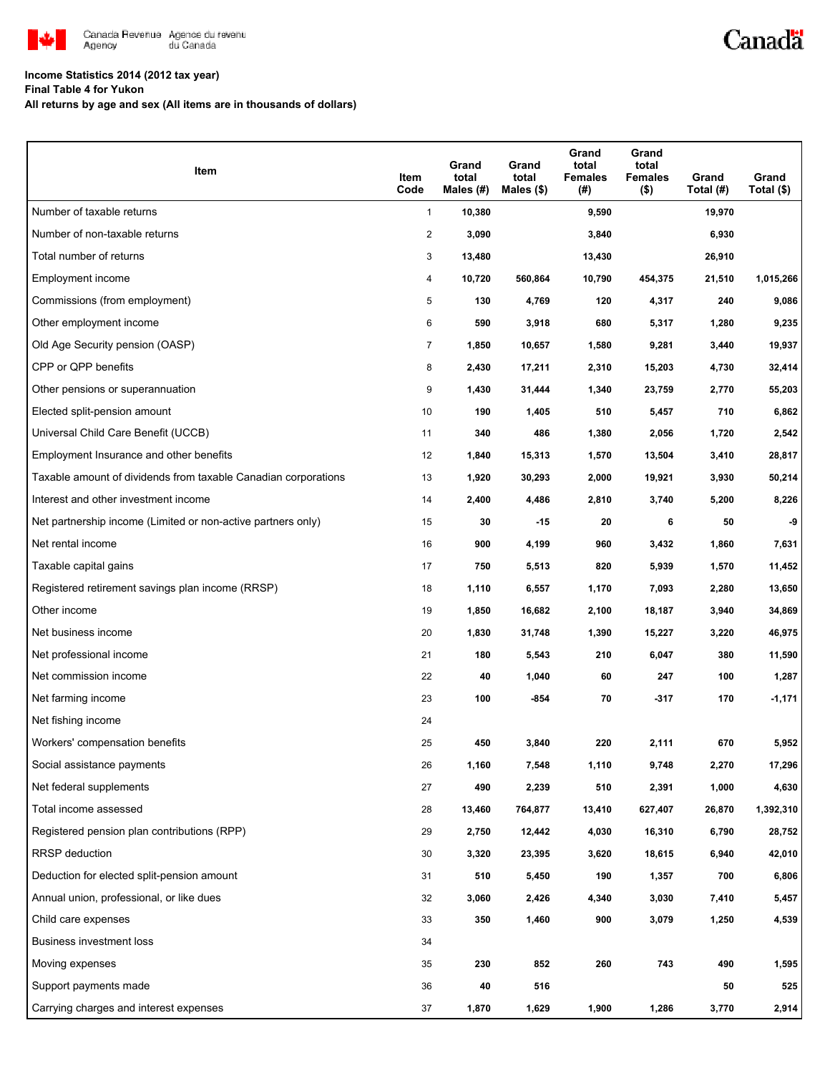

## **Income Statistics 2014 (2012 tax year)**

**Final Table 4 for Yukon**

**All returns by age and sex (All items are in thousands of dollars)**

| Item                                                           | Item<br>Code   | Grand<br>total<br>Males (#) | Grand<br>total<br>Males $(\$)$ | Grand<br>total<br><b>Females</b><br>$(\#)$ | Grand<br>total<br><b>Females</b><br>$($ \$) | Grand<br>Total (#) | Grand<br>Total (\$) |
|----------------------------------------------------------------|----------------|-----------------------------|--------------------------------|--------------------------------------------|---------------------------------------------|--------------------|---------------------|
| Number of taxable returns                                      | $\mathbf{1}$   | 10,380                      |                                | 9,590                                      |                                             | 19,970             |                     |
| Number of non-taxable returns                                  | 2              | 3,090                       |                                | 3,840                                      |                                             | 6,930              |                     |
| Total number of returns                                        | 3              | 13,480                      |                                | 13,430                                     |                                             | 26,910             |                     |
| Employment income                                              | 4              | 10,720                      | 560,864                        | 10,790                                     | 454,375                                     | 21,510             | 1,015,266           |
| Commissions (from employment)                                  | 5              | 130                         | 4,769                          | 120                                        | 4,317                                       | 240                | 9,086               |
| Other employment income                                        | 6              | 590                         | 3,918                          | 680                                        | 5,317                                       | 1,280              | 9,235               |
| Old Age Security pension (OASP)                                | $\overline{7}$ | 1,850                       | 10,657                         | 1,580                                      | 9,281                                       | 3,440              | 19,937              |
| CPP or QPP benefits                                            | 8              | 2,430                       | 17,211                         | 2,310                                      | 15,203                                      | 4,730              | 32,414              |
| Other pensions or superannuation                               | 9              | 1,430                       | 31,444                         | 1,340                                      | 23,759                                      | 2,770              | 55,203              |
| Elected split-pension amount                                   | 10             | 190                         | 1,405                          | 510                                        | 5,457                                       | 710                | 6,862               |
| Universal Child Care Benefit (UCCB)                            | 11             | 340                         | 486                            | 1,380                                      | 2,056                                       | 1,720              | 2,542               |
| Employment Insurance and other benefits                        | 12             | 1,840                       | 15,313                         | 1,570                                      | 13,504                                      | 3,410              | 28,817              |
| Taxable amount of dividends from taxable Canadian corporations | 13             | 1,920                       | 30,293                         | 2,000                                      | 19,921                                      | 3,930              | 50,214              |
| Interest and other investment income                           | 14             | 2,400                       | 4,486                          | 2,810                                      | 3,740                                       | 5,200              | 8,226               |
| Net partnership income (Limited or non-active partners only)   | 15             | 30                          | -15                            | 20                                         | 6                                           | 50                 | -9                  |
| Net rental income                                              | 16             | 900                         | 4,199                          | 960                                        | 3,432                                       | 1,860              | 7,631               |
| Taxable capital gains                                          | 17             | 750                         | 5,513                          | 820                                        | 5,939                                       | 1,570              | 11,452              |
| Registered retirement savings plan income (RRSP)               | 18             | 1,110                       | 6,557                          | 1,170                                      | 7,093                                       | 2,280              | 13,650              |
| Other income                                                   | 19             | 1,850                       | 16,682                         | 2,100                                      | 18,187                                      | 3,940              | 34,869              |
| Net business income                                            | 20             | 1,830                       | 31,748                         | 1,390                                      | 15,227                                      | 3,220              | 46,975              |
| Net professional income                                        | 21             | 180                         | 5,543                          | 210                                        | 6,047                                       | 380                | 11,590              |
| Net commission income                                          | 22             | 40                          | 1,040                          | 60                                         | 247                                         | 100                | 1,287               |
| Net farming income                                             | 23             | 100                         | $-854$                         | 70                                         | $-317$                                      | 170                | $-1,171$            |
| Net fishing income                                             | 24             |                             |                                |                                            |                                             |                    |                     |
| Workers' compensation benefits                                 | 25             | 450                         | 3,840                          | 220                                        | 2,111                                       | 670                | 5,952               |
| Social assistance payments                                     | 26             | 1,160                       | 7,548                          | 1,110                                      | 9,748                                       | 2,270              | 17,296              |
| Net federal supplements                                        | 27             | 490                         | 2,239                          | 510                                        | 2,391                                       | 1,000              | 4,630               |
| Total income assessed                                          | 28             | 13,460                      | 764,877                        | 13,410                                     | 627,407                                     | 26,870             | 1,392,310           |
| Registered pension plan contributions (RPP)                    | 29             | 2,750                       | 12,442                         | 4,030                                      | 16,310                                      | 6,790              | 28,752              |
| RRSP deduction                                                 | 30             | 3,320                       | 23,395                         | 3,620                                      | 18,615                                      | 6,940              | 42,010              |
| Deduction for elected split-pension amount                     | 31             | 510                         | 5,450                          | 190                                        | 1,357                                       | 700                | 6,806               |
| Annual union, professional, or like dues                       | 32             | 3,060                       | 2,426                          | 4,340                                      | 3,030                                       | 7,410              | 5,457               |
| Child care expenses                                            | 33             | 350                         | 1,460                          | 900                                        | 3,079                                       | 1,250              | 4,539               |
| Business investment loss                                       | 34             |                             |                                |                                            |                                             |                    |                     |
| Moving expenses                                                | 35             | 230                         | 852                            | 260                                        | 743                                         | 490                | 1,595               |
| Support payments made                                          | 36             | 40                          | 516                            |                                            |                                             | 50                 | 525                 |
| Carrying charges and interest expenses                         | 37             | 1,870                       | 1,629                          | 1,900                                      | 1,286                                       | 3,770              | 2,914               |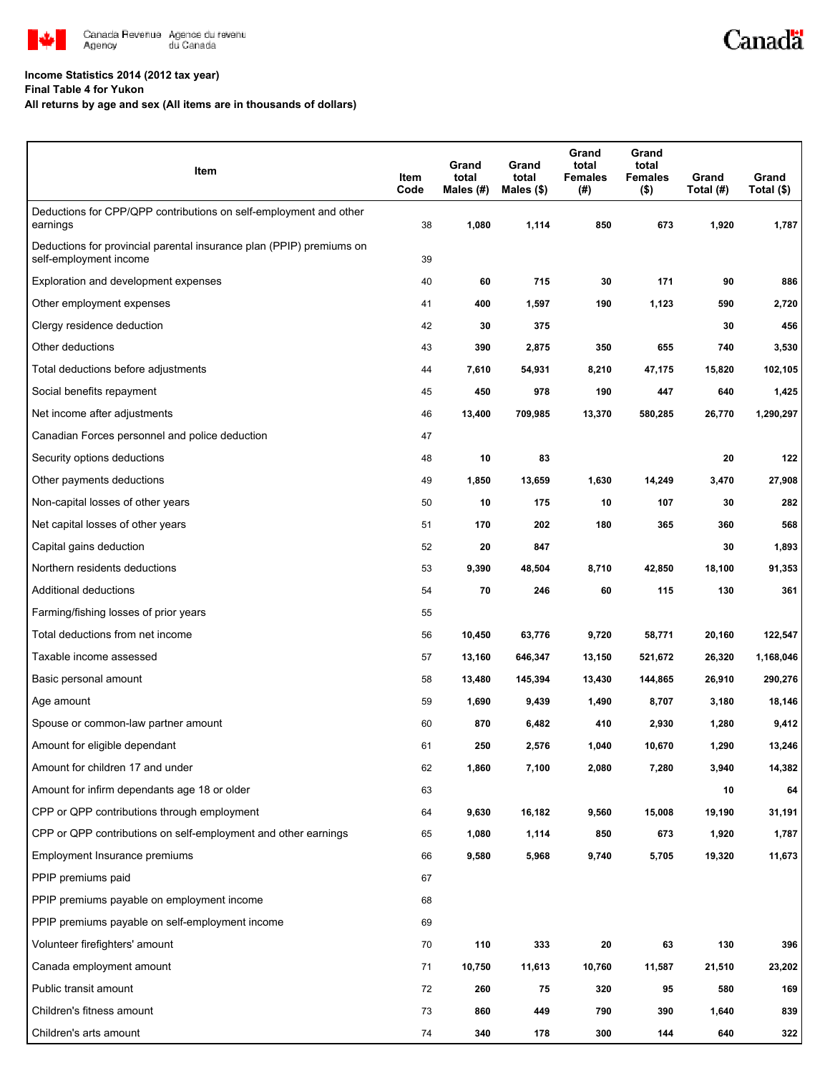

## **Income Statistics 2014 (2012 tax year)**

**Final Table 4 for Yukon**

## **All returns by age and sex (All items are in thousands of dollars)**

| Item                                                                                           | Item<br>Code | Grand<br>total<br>Males $(H)$ | Grand<br>total<br>Males $(\$)$ | Grand<br>total<br><b>Females</b><br>(#) | Grand<br>total<br><b>Females</b><br>$($ \$) | Grand<br>Total (#) | Grand<br>Total (\$) |
|------------------------------------------------------------------------------------------------|--------------|-------------------------------|--------------------------------|-----------------------------------------|---------------------------------------------|--------------------|---------------------|
| Deductions for CPP/QPP contributions on self-employment and other<br>earnings                  | 38           | 1,080                         | 1,114                          | 850                                     | 673                                         | 1,920              | 1,787               |
| Deductions for provincial parental insurance plan (PPIP) premiums on<br>self-employment income | 39           |                               |                                |                                         |                                             |                    |                     |
| Exploration and development expenses                                                           | 40           | 60                            | 715                            | 30                                      | 171                                         | 90                 | 886                 |
| Other employment expenses                                                                      | 41           | 400                           | 1,597                          | 190                                     | 1,123                                       | 590                | 2,720               |
| Clergy residence deduction                                                                     | 42           | 30                            | 375                            |                                         |                                             | 30                 | 456                 |
| Other deductions                                                                               | 43           | 390                           | 2,875                          | 350                                     | 655                                         | 740                | 3,530               |
| Total deductions before adjustments                                                            | 44           | 7,610                         | 54,931                         | 8,210                                   | 47,175                                      | 15,820             | 102,105             |
| Social benefits repayment                                                                      | 45           | 450                           | 978                            | 190                                     | 447                                         | 640                | 1,425               |
| Net income after adjustments                                                                   | 46           | 13,400                        | 709,985                        | 13,370                                  | 580,285                                     | 26,770             | 1,290,297           |
| Canadian Forces personnel and police deduction                                                 | 47           |                               |                                |                                         |                                             |                    |                     |
| Security options deductions                                                                    | 48           | 10                            | 83                             |                                         |                                             | 20                 | 122                 |
| Other payments deductions                                                                      | 49           | 1,850                         | 13,659                         | 1,630                                   | 14,249                                      | 3,470              | 27,908              |
| Non-capital losses of other years                                                              | 50           | 10                            | 175                            | 10                                      | 107                                         | 30                 | 282                 |
| Net capital losses of other years                                                              | 51           | 170                           | 202                            | 180                                     | 365                                         | 360                | 568                 |
| Capital gains deduction                                                                        | 52           | 20                            | 847                            |                                         |                                             | 30                 | 1,893               |
| Northern residents deductions                                                                  | 53           | 9,390                         | 48,504                         | 8,710                                   | 42,850                                      | 18,100             | 91,353              |
| Additional deductions                                                                          | 54           | 70                            | 246                            | 60                                      | 115                                         | 130                | 361                 |
| Farming/fishing losses of prior years                                                          | 55           |                               |                                |                                         |                                             |                    |                     |
| Total deductions from net income                                                               | 56           | 10,450                        | 63,776                         | 9,720                                   | 58,771                                      | 20,160             | 122,547             |
| Taxable income assessed                                                                        | 57           | 13,160                        | 646,347                        | 13,150                                  | 521,672                                     | 26,320             | 1,168,046           |
| Basic personal amount                                                                          | 58           | 13,480                        | 145,394                        | 13,430                                  | 144,865                                     | 26,910             | 290,276             |
| Age amount                                                                                     | 59           | 1,690                         | 9,439                          | 1,490                                   | 8,707                                       | 3,180              | 18,146              |
| Spouse or common-law partner amount                                                            | 60           | 870                           | 6,482                          | 410                                     | 2,930                                       | 1,280              | 9,412               |
| Amount for eligible dependant                                                                  | 61           | 250                           | 2,576                          | 1,040                                   | 10,670                                      | 1,290              | 13,246              |
| Amount for children 17 and under                                                               | 62           | 1,860                         | 7,100                          | 2,080                                   | 7,280                                       | 3,940              | 14,382              |
| Amount for infirm dependants age 18 or older                                                   | 63           |                               |                                |                                         |                                             | 10                 | 64                  |
| CPP or QPP contributions through employment                                                    | 64           | 9,630                         | 16,182                         | 9,560                                   | 15,008                                      | 19,190             | 31,191              |
| CPP or QPP contributions on self-employment and other earnings                                 | 65           | 1,080                         | 1,114                          | 850                                     | 673                                         | 1,920              | 1,787               |
| Employment Insurance premiums                                                                  | 66           | 9,580                         | 5,968                          | 9,740                                   | 5,705                                       | 19,320             | 11,673              |
| PPIP premiums paid                                                                             | 67           |                               |                                |                                         |                                             |                    |                     |
| PPIP premiums payable on employment income                                                     | 68           |                               |                                |                                         |                                             |                    |                     |
| PPIP premiums payable on self-employment income                                                | 69           |                               |                                |                                         |                                             |                    |                     |
| Volunteer firefighters' amount                                                                 | 70           | 110                           | 333                            | 20                                      | 63                                          | 130                | 396                 |
| Canada employment amount                                                                       | 71           | 10,750                        | 11,613                         | 10,760                                  | 11,587                                      | 21,510             | 23,202              |
| Public transit amount                                                                          | 72           | 260                           | 75                             | 320                                     | 95                                          | 580                | 169                 |
| Children's fitness amount                                                                      | 73           | 860                           | 449                            | 790                                     | 390                                         | 1,640              | 839                 |
| Children's arts amount                                                                         | 74           | 340                           | 178                            | 300                                     | 144                                         | 640                | 322                 |

Canadä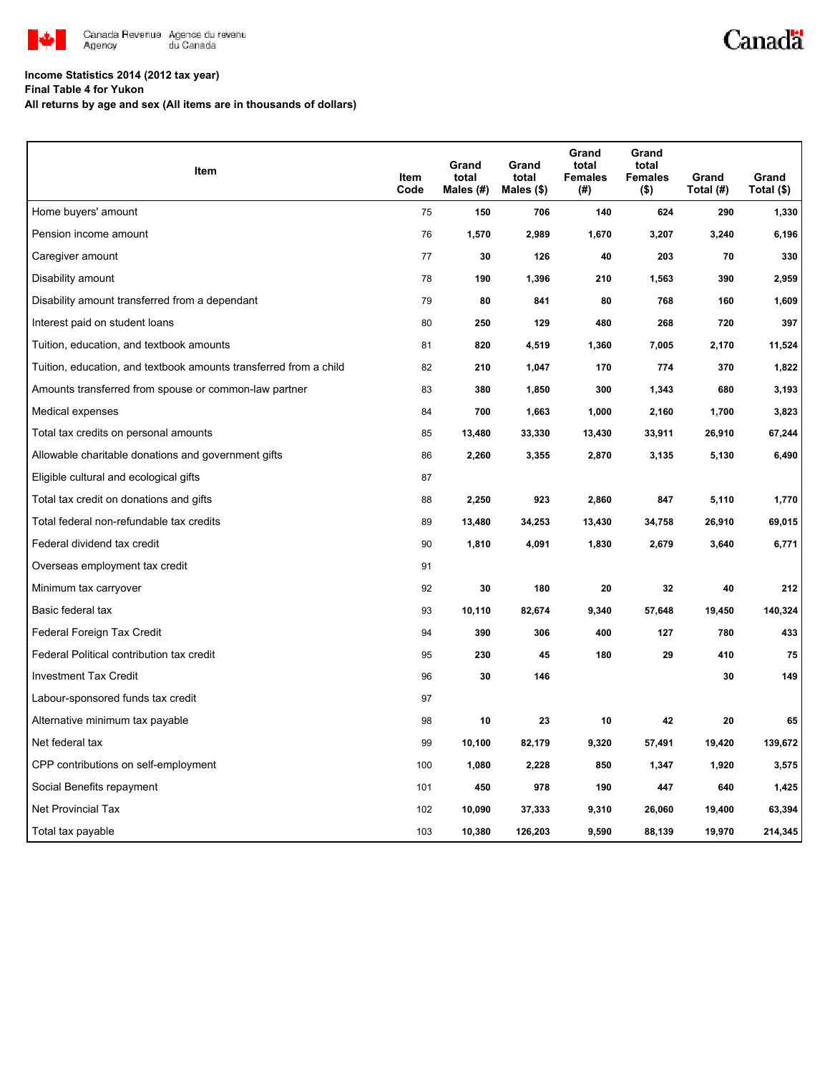

## **Income Statistics 2014 (2012 tax year)**

**Final Table 4 for Yukon**

**All returns by age and sex (All items are in thousands of dollars)**

| Item                                                              | Item<br>Code | Grand<br>total<br>Males (#) | Grand<br>total<br>Males $(\$)$ | Grand<br>total<br><b>Females</b><br>(#) | Grand<br>total<br><b>Females</b><br>$($ \$) | Grand<br>Total (#) | Grand<br>Total (\$) |
|-------------------------------------------------------------------|--------------|-----------------------------|--------------------------------|-----------------------------------------|---------------------------------------------|--------------------|---------------------|
| Home buyers' amount                                               | 75           | 150                         | 706                            | 140                                     | 624                                         | 290                | 1,330               |
| Pension income amount                                             | 76           | 1,570                       | 2,989                          | 1,670                                   | 3,207                                       | 3,240              | 6,196               |
| Caregiver amount                                                  | 77           | 30                          | 126                            | 40                                      | 203                                         | 70                 | 330                 |
| Disability amount                                                 | 78           | 190                         | 1,396                          | 210                                     | 1,563                                       | 390                | 2,959               |
| Disability amount transferred from a dependant                    | 79           | 80                          | 841                            | 80                                      | 768                                         | 160                | 1,609               |
| Interest paid on student loans                                    | 80           | 250                         | 129                            | 480                                     | 268                                         | 720                | 397                 |
| Tuition, education, and textbook amounts                          | 81           | 820                         | 4,519                          | 1,360                                   | 7,005                                       | 2,170              | 11,524              |
| Tuition, education, and textbook amounts transferred from a child | 82           | 210                         | 1,047                          | 170                                     | 774                                         | 370                | 1,822               |
| Amounts transferred from spouse or common-law partner             | 83           | 380                         | 1,850                          | 300                                     | 1,343                                       | 680                | 3,193               |
| Medical expenses                                                  | 84           | 700                         | 1,663                          | 1,000                                   | 2,160                                       | 1,700              | 3,823               |
| Total tax credits on personal amounts                             | 85           | 13,480                      | 33,330                         | 13,430                                  | 33,911                                      | 26,910             | 67,244              |
| Allowable charitable donations and government gifts               | 86           | 2,260                       | 3,355                          | 2,870                                   | 3,135                                       | 5,130              | 6,490               |
| Eligible cultural and ecological gifts                            | 87           |                             |                                |                                         |                                             |                    |                     |
| Total tax credit on donations and gifts                           | 88           | 2,250                       | 923                            | 2,860                                   | 847                                         | 5,110              | 1,770               |
| Total federal non-refundable tax credits                          | 89           | 13,480                      | 34,253                         | 13,430                                  | 34,758                                      | 26,910             | 69,015              |
| Federal dividend tax credit                                       | 90           | 1,810                       | 4,091                          | 1,830                                   | 2,679                                       | 3,640              | 6,771               |
| Overseas employment tax credit                                    | 91           |                             |                                |                                         |                                             |                    |                     |
| Minimum tax carryover                                             | 92           | 30                          | 180                            | 20                                      | 32                                          | 40                 | 212                 |
| Basic federal tax                                                 | 93           | 10,110                      | 82,674                         | 9,340                                   | 57,648                                      | 19,450             | 140,324             |
| Federal Foreign Tax Credit                                        | 94           | 390                         | 306                            | 400                                     | 127                                         | 780                | 433                 |
| Federal Political contribution tax credit                         | 95           | 230                         | 45                             | 180                                     | 29                                          | 410                | 75                  |
| <b>Investment Tax Credit</b>                                      | 96           | 30                          | 146                            |                                         |                                             | 30                 | 149                 |
| Labour-sponsored funds tax credit                                 | 97           |                             |                                |                                         |                                             |                    |                     |
| Alternative minimum tax payable                                   | 98           | 10                          | 23                             | 10                                      | 42                                          | 20                 | 65                  |
| Net federal tax                                                   | 99           | 10,100                      | 82,179                         | 9,320                                   | 57,491                                      | 19,420             | 139,672             |
| CPP contributions on self-employment                              | 100          | 1,080                       | 2,228                          | 850                                     | 1,347                                       | 1,920              | 3,575               |
| Social Benefits repayment                                         | 101          | 450                         | 978                            | 190                                     | 447                                         | 640                | 1,425               |
| Net Provincial Tax                                                | 102          | 10,090                      | 37,333                         | 9,310                                   | 26,060                                      | 19,400             | 63,394              |
| Total tax payable                                                 | 103          | 10,380                      | 126,203                        | 9,590                                   | 88,139                                      | 19,970             | 214,345             |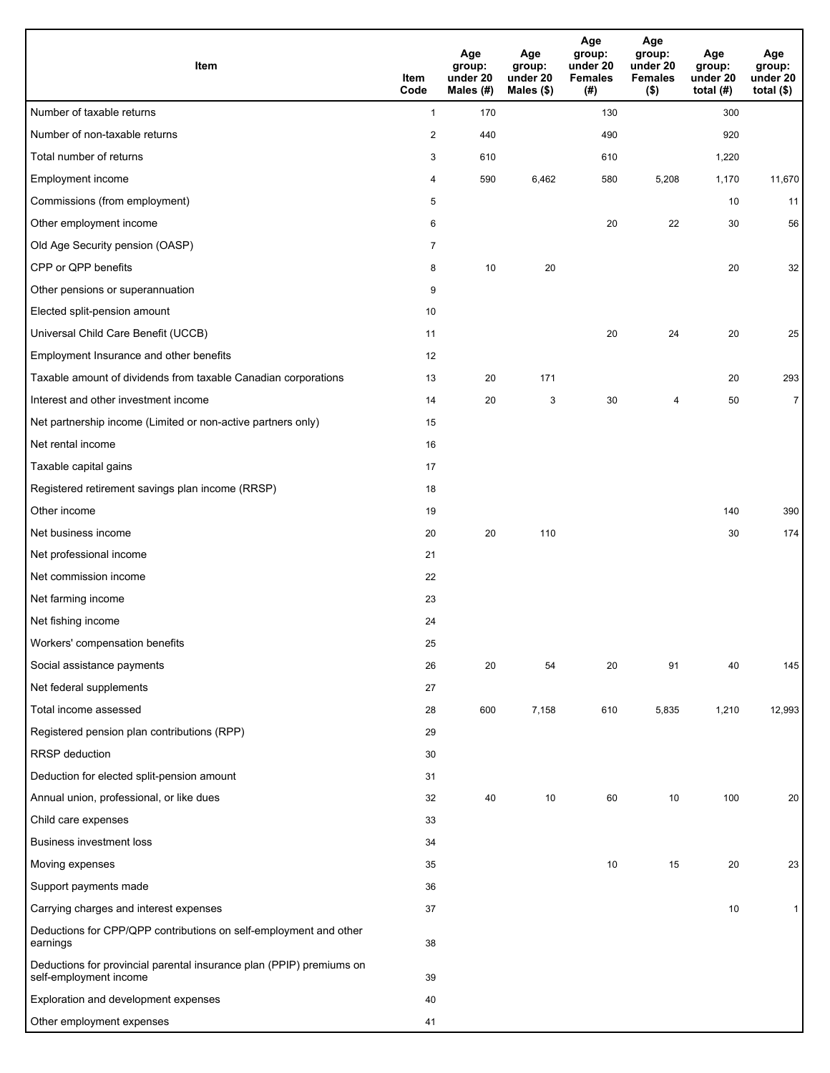| Item                                                                                           | Item<br>Code   | Age<br>group:<br>under 20<br>Males (#) | Age<br>group:<br>under 20<br>Males (\$) | Age<br>group:<br>under 20<br><b>Females</b><br>(# ) | Age<br>group:<br>under 20<br><b>Females</b><br>$($ \$) | Age<br>group:<br>under 20<br>total $(H)$ | Age<br>group:<br>under 20<br>total $($)$ |
|------------------------------------------------------------------------------------------------|----------------|----------------------------------------|-----------------------------------------|-----------------------------------------------------|--------------------------------------------------------|------------------------------------------|------------------------------------------|
| Number of taxable returns                                                                      | $\mathbf{1}$   | 170                                    |                                         | 130                                                 |                                                        | 300                                      |                                          |
| Number of non-taxable returns                                                                  | $\overline{c}$ | 440                                    |                                         | 490                                                 |                                                        | 920                                      |                                          |
| Total number of returns                                                                        | 3              | 610                                    |                                         | 610                                                 |                                                        | 1,220                                    |                                          |
| Employment income                                                                              | 4              | 590                                    | 6,462                                   | 580                                                 | 5,208                                                  | 1,170                                    | 11,670                                   |
| Commissions (from employment)                                                                  | 5              |                                        |                                         |                                                     |                                                        | 10                                       | 11                                       |
| Other employment income                                                                        | 6              |                                        |                                         | 20                                                  | 22                                                     | 30                                       | 56                                       |
| Old Age Security pension (OASP)                                                                | $\overline{7}$ |                                        |                                         |                                                     |                                                        |                                          |                                          |
| CPP or QPP benefits                                                                            | 8              | 10                                     | 20                                      |                                                     |                                                        | 20                                       | 32                                       |
| Other pensions or superannuation                                                               | 9              |                                        |                                         |                                                     |                                                        |                                          |                                          |
| Elected split-pension amount                                                                   | 10             |                                        |                                         |                                                     |                                                        |                                          |                                          |
| Universal Child Care Benefit (UCCB)                                                            | 11             |                                        |                                         | 20                                                  | 24                                                     | 20                                       | 25                                       |
| Employment Insurance and other benefits                                                        | 12             |                                        |                                         |                                                     |                                                        |                                          |                                          |
| Taxable amount of dividends from taxable Canadian corporations                                 | 13             | 20                                     | 171                                     |                                                     |                                                        | 20                                       | 293                                      |
| Interest and other investment income                                                           | 14             | 20                                     | 3                                       | 30                                                  | 4                                                      | 50                                       | $\overline{7}$                           |
| Net partnership income (Limited or non-active partners only)                                   | 15             |                                        |                                         |                                                     |                                                        |                                          |                                          |
| Net rental income                                                                              | 16             |                                        |                                         |                                                     |                                                        |                                          |                                          |
| Taxable capital gains                                                                          | 17             |                                        |                                         |                                                     |                                                        |                                          |                                          |
| Registered retirement savings plan income (RRSP)                                               | 18             |                                        |                                         |                                                     |                                                        |                                          |                                          |
| Other income                                                                                   | 19             |                                        |                                         |                                                     |                                                        | 140                                      | 390                                      |
| Net business income                                                                            | 20             | 20                                     | 110                                     |                                                     |                                                        | 30                                       | 174                                      |
| Net professional income                                                                        | 21             |                                        |                                         |                                                     |                                                        |                                          |                                          |
| Net commission income                                                                          | 22             |                                        |                                         |                                                     |                                                        |                                          |                                          |
| Net farming income                                                                             | 23             |                                        |                                         |                                                     |                                                        |                                          |                                          |
| Net fishing income                                                                             | 24             |                                        |                                         |                                                     |                                                        |                                          |                                          |
| Workers' compensation benefits                                                                 | 25             |                                        |                                         |                                                     |                                                        |                                          |                                          |
| Social assistance payments                                                                     | 26             | 20                                     | 54                                      | 20                                                  | 91                                                     | 40                                       | 145                                      |
| Net federal supplements                                                                        | 27             |                                        |                                         |                                                     |                                                        |                                          |                                          |
| Total income assessed                                                                          | 28             | 600                                    | 7,158                                   | 610                                                 | 5,835                                                  | 1,210                                    | 12,993                                   |
| Registered pension plan contributions (RPP)                                                    | 29             |                                        |                                         |                                                     |                                                        |                                          |                                          |
| RRSP deduction                                                                                 | 30             |                                        |                                         |                                                     |                                                        |                                          |                                          |
| Deduction for elected split-pension amount                                                     | 31             |                                        |                                         |                                                     |                                                        |                                          |                                          |
| Annual union, professional, or like dues                                                       | 32             | 40                                     | 10                                      | 60                                                  | 10                                                     | 100                                      | 20                                       |
| Child care expenses                                                                            | 33             |                                        |                                         |                                                     |                                                        |                                          |                                          |
| <b>Business investment loss</b>                                                                | 34             |                                        |                                         |                                                     |                                                        |                                          |                                          |
| Moving expenses                                                                                | 35             |                                        |                                         | 10                                                  | 15                                                     | 20                                       | 23                                       |
| Support payments made                                                                          | 36             |                                        |                                         |                                                     |                                                        |                                          |                                          |
| Carrying charges and interest expenses                                                         | 37             |                                        |                                         |                                                     |                                                        | 10                                       | $\mathbf{1}$                             |
| Deductions for CPP/QPP contributions on self-employment and other<br>earnings                  | 38             |                                        |                                         |                                                     |                                                        |                                          |                                          |
| Deductions for provincial parental insurance plan (PPIP) premiums on<br>self-employment income | 39             |                                        |                                         |                                                     |                                                        |                                          |                                          |
| Exploration and development expenses                                                           | 40             |                                        |                                         |                                                     |                                                        |                                          |                                          |
| Other employment expenses                                                                      | 41             |                                        |                                         |                                                     |                                                        |                                          |                                          |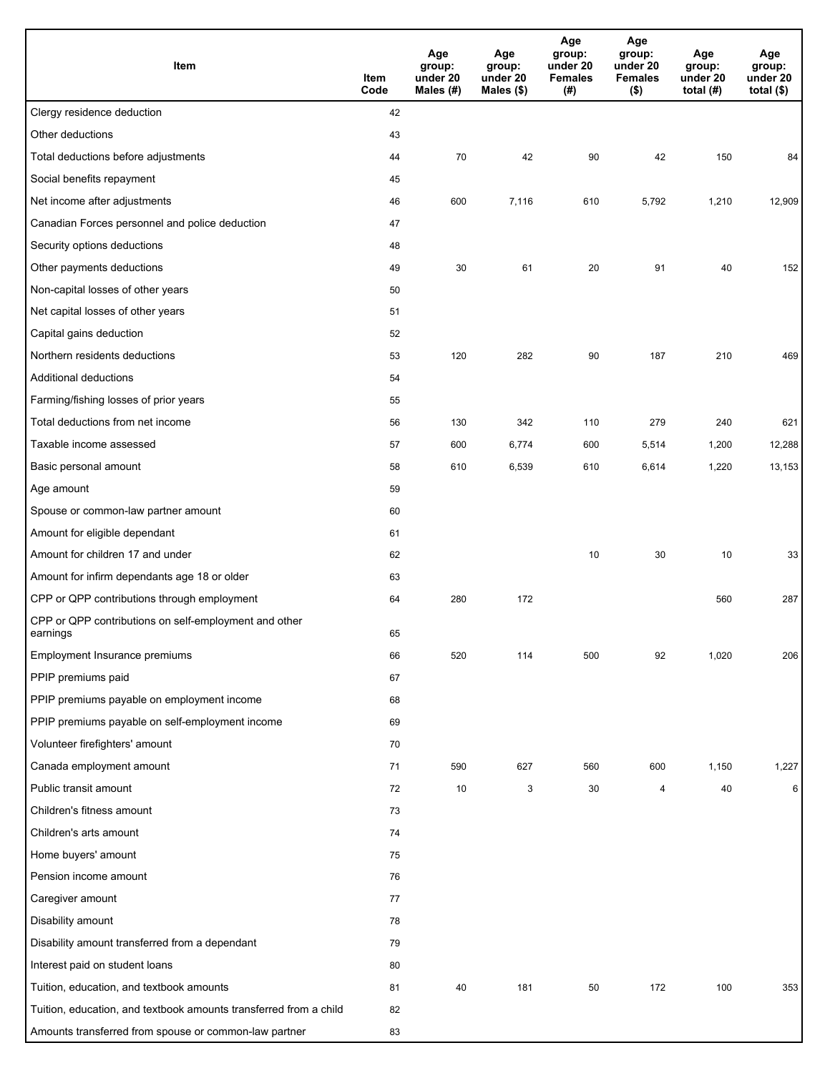| Item                                                              | Item<br>Code | Age<br>group:<br>under 20<br>Males (#) | Age<br>group:<br>under 20<br>Males (\$) | Age<br>group:<br>under 20<br><b>Females</b><br>(# ) | Age<br>group:<br>under 20<br><b>Females</b><br>$($ \$) | Age<br>group:<br>under 20<br>total $(H)$ | Age<br>group:<br>under 20<br>total $($)$ |
|-------------------------------------------------------------------|--------------|----------------------------------------|-----------------------------------------|-----------------------------------------------------|--------------------------------------------------------|------------------------------------------|------------------------------------------|
| Clergy residence deduction                                        | 42           |                                        |                                         |                                                     |                                                        |                                          |                                          |
| Other deductions                                                  | 43           |                                        |                                         |                                                     |                                                        |                                          |                                          |
| Total deductions before adjustments                               | 44           | 70                                     | 42                                      | 90                                                  | 42                                                     | 150                                      | 84                                       |
| Social benefits repayment                                         | 45           |                                        |                                         |                                                     |                                                        |                                          |                                          |
| Net income after adjustments                                      | 46           | 600                                    | 7,116                                   | 610                                                 | 5,792                                                  | 1,210                                    | 12,909                                   |
| Canadian Forces personnel and police deduction                    | 47           |                                        |                                         |                                                     |                                                        |                                          |                                          |
| Security options deductions                                       | 48           |                                        |                                         |                                                     |                                                        |                                          |                                          |
| Other payments deductions                                         | 49           | 30                                     | 61                                      | 20                                                  | 91                                                     | 40                                       | 152                                      |
| Non-capital losses of other years                                 | 50           |                                        |                                         |                                                     |                                                        |                                          |                                          |
| Net capital losses of other years                                 | 51           |                                        |                                         |                                                     |                                                        |                                          |                                          |
| Capital gains deduction                                           | 52           |                                        |                                         |                                                     |                                                        |                                          |                                          |
| Northern residents deductions                                     | 53           | 120                                    | 282                                     | 90                                                  | 187                                                    | 210                                      | 469                                      |
| Additional deductions                                             | 54           |                                        |                                         |                                                     |                                                        |                                          |                                          |
| Farming/fishing losses of prior years                             | 55           |                                        |                                         |                                                     |                                                        |                                          |                                          |
| Total deductions from net income                                  | 56           | 130                                    | 342                                     | 110                                                 | 279                                                    | 240                                      | 621                                      |
| Taxable income assessed                                           | 57           | 600                                    | 6,774                                   | 600                                                 | 5,514                                                  | 1,200                                    | 12,288                                   |
| Basic personal amount                                             | 58           | 610                                    | 6,539                                   | 610                                                 | 6,614                                                  | 1,220                                    | 13,153                                   |
| Age amount                                                        | 59           |                                        |                                         |                                                     |                                                        |                                          |                                          |
| Spouse or common-law partner amount                               | 60           |                                        |                                         |                                                     |                                                        |                                          |                                          |
| Amount for eligible dependant                                     | 61           |                                        |                                         |                                                     |                                                        |                                          |                                          |
| Amount for children 17 and under                                  | 62           |                                        |                                         | 10                                                  | 30                                                     | 10                                       | 33                                       |
| Amount for infirm dependants age 18 or older                      | 63           |                                        |                                         |                                                     |                                                        |                                          |                                          |
| CPP or QPP contributions through employment                       | 64           | 280                                    | 172                                     |                                                     |                                                        | 560                                      | 287                                      |
| CPP or QPP contributions on self-employment and other<br>earnings | 65           |                                        |                                         |                                                     |                                                        |                                          |                                          |
| Employment Insurance premiums                                     | 66           | 520                                    | 114                                     | 500                                                 | 92                                                     | 1,020                                    | 206                                      |
| PPIP premiums paid                                                | 67           |                                        |                                         |                                                     |                                                        |                                          |                                          |
| PPIP premiums payable on employment income                        | 68           |                                        |                                         |                                                     |                                                        |                                          |                                          |
| PPIP premiums payable on self-employment income                   | 69           |                                        |                                         |                                                     |                                                        |                                          |                                          |
| Volunteer firefighters' amount                                    | 70           |                                        |                                         |                                                     |                                                        |                                          |                                          |
| Canada employment amount                                          | 71           | 590                                    | 627                                     | 560                                                 | 600                                                    | 1,150                                    | 1,227                                    |
| Public transit amount                                             | 72           | 10                                     | 3                                       | 30                                                  | 4                                                      | 40                                       | 6                                        |
| Children's fitness amount                                         | 73           |                                        |                                         |                                                     |                                                        |                                          |                                          |
| Children's arts amount                                            | 74           |                                        |                                         |                                                     |                                                        |                                          |                                          |
| Home buyers' amount                                               | 75           |                                        |                                         |                                                     |                                                        |                                          |                                          |
| Pension income amount                                             | 76           |                                        |                                         |                                                     |                                                        |                                          |                                          |
| Caregiver amount                                                  | 77           |                                        |                                         |                                                     |                                                        |                                          |                                          |
| Disability amount                                                 | 78           |                                        |                                         |                                                     |                                                        |                                          |                                          |
| Disability amount transferred from a dependant                    | 79           |                                        |                                         |                                                     |                                                        |                                          |                                          |
| Interest paid on student loans                                    | 80           |                                        |                                         |                                                     |                                                        |                                          |                                          |
| Tuition, education, and textbook amounts                          | 81           | 40                                     | 181                                     | 50                                                  | 172                                                    | 100                                      | 353                                      |
| Tuition, education, and textbook amounts transferred from a child | 82           |                                        |                                         |                                                     |                                                        |                                          |                                          |
| Amounts transferred from spouse or common-law partner             | 83           |                                        |                                         |                                                     |                                                        |                                          |                                          |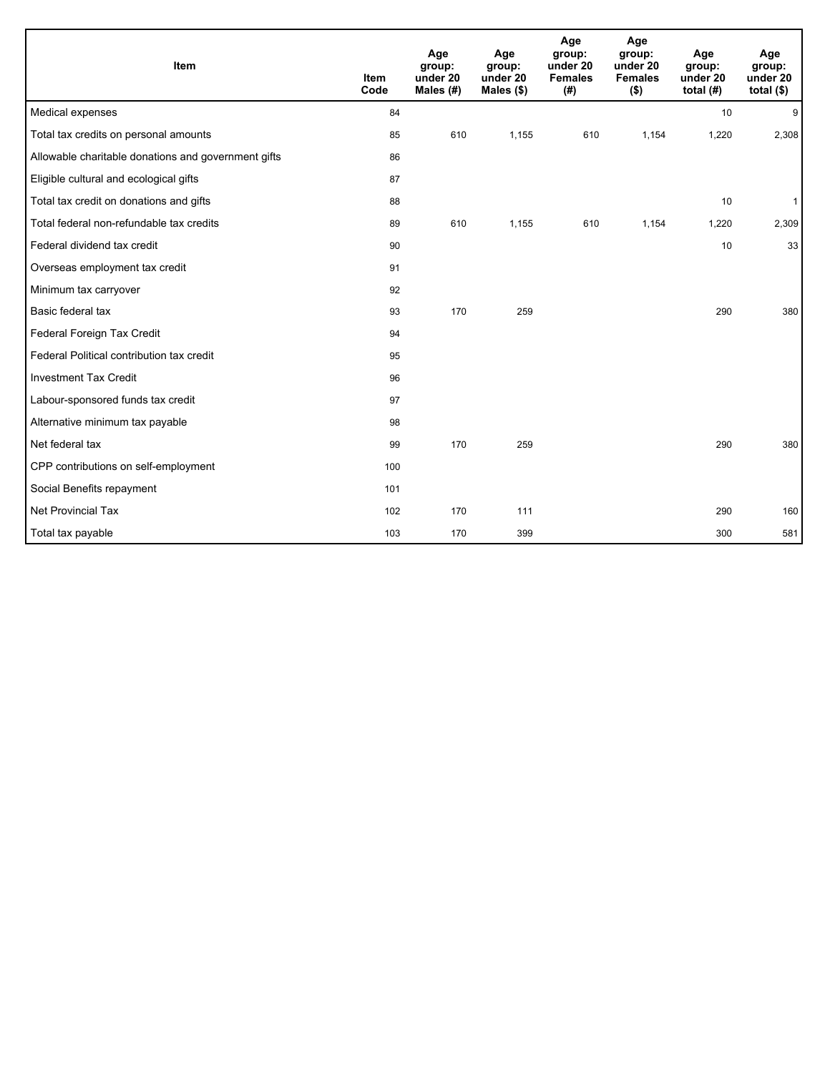| Item                                                | Item<br>Code | Age<br>group:<br>under 20<br>Males $(H)$ | Age<br>group:<br>under 20<br>Males $(\$)$ | Age<br>group:<br>under 20<br><b>Females</b><br>(#) | Age<br>group:<br>under 20<br><b>Females</b><br>$($ \$) | Age<br>group:<br>under 20<br>total $(H)$ | Age<br>group:<br>under 20<br>total $($)$ |
|-----------------------------------------------------|--------------|------------------------------------------|-------------------------------------------|----------------------------------------------------|--------------------------------------------------------|------------------------------------------|------------------------------------------|
| Medical expenses                                    | 84           |                                          |                                           |                                                    |                                                        | 10                                       | 9                                        |
| Total tax credits on personal amounts               | 85           | 610                                      | 1,155                                     | 610                                                | 1,154                                                  | 1,220                                    | 2,308                                    |
| Allowable charitable donations and government gifts | 86           |                                          |                                           |                                                    |                                                        |                                          |                                          |
| Eligible cultural and ecological gifts              | 87           |                                          |                                           |                                                    |                                                        |                                          |                                          |
| Total tax credit on donations and gifts             | 88           |                                          |                                           |                                                    |                                                        | 10                                       | $\mathbf{1}$                             |
| Total federal non-refundable tax credits            | 89           | 610                                      | 1,155                                     | 610                                                | 1,154                                                  | 1,220                                    | 2,309                                    |
| Federal dividend tax credit                         | 90           |                                          |                                           |                                                    |                                                        | 10                                       | 33                                       |
| Overseas employment tax credit                      | 91           |                                          |                                           |                                                    |                                                        |                                          |                                          |
| Minimum tax carryover                               | 92           |                                          |                                           |                                                    |                                                        |                                          |                                          |
| Basic federal tax                                   | 93           | 170                                      | 259                                       |                                                    |                                                        | 290                                      | 380                                      |
| Federal Foreign Tax Credit                          | 94           |                                          |                                           |                                                    |                                                        |                                          |                                          |
| Federal Political contribution tax credit           | 95           |                                          |                                           |                                                    |                                                        |                                          |                                          |
| <b>Investment Tax Credit</b>                        | 96           |                                          |                                           |                                                    |                                                        |                                          |                                          |
| Labour-sponsored funds tax credit                   | 97           |                                          |                                           |                                                    |                                                        |                                          |                                          |
| Alternative minimum tax payable                     | 98           |                                          |                                           |                                                    |                                                        |                                          |                                          |
| Net federal tax                                     | 99           | 170                                      | 259                                       |                                                    |                                                        | 290                                      | 380                                      |
| CPP contributions on self-employment                | 100          |                                          |                                           |                                                    |                                                        |                                          |                                          |
| Social Benefits repayment                           | 101          |                                          |                                           |                                                    |                                                        |                                          |                                          |
| <b>Net Provincial Tax</b>                           | 102          | 170                                      | 111                                       |                                                    |                                                        | 290                                      | 160                                      |
| Total tax payable                                   | 103          | 170                                      | 399                                       |                                                    |                                                        | 300                                      | 581                                      |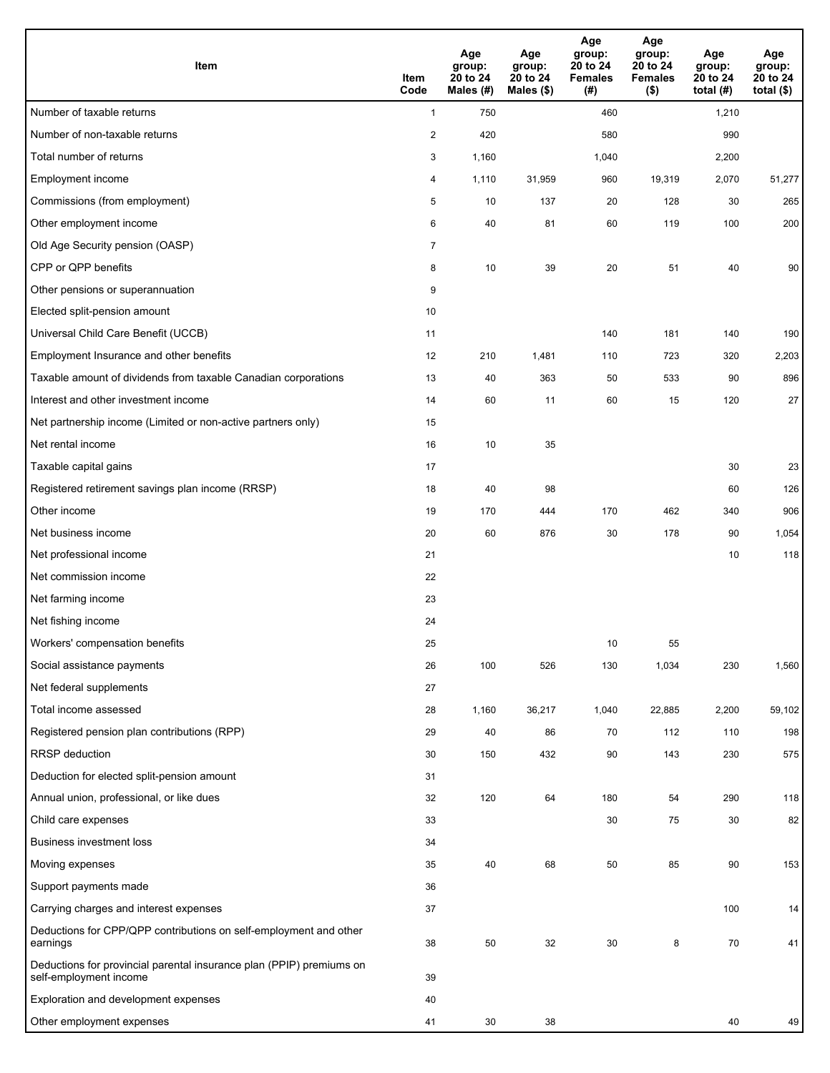| <b>Item</b>                                                                                    | Item<br>Code   | Age<br>group:<br>20 to 24<br>Males (#) | Age<br>group:<br>20 to 24<br>Males (\$) | Age<br>group:<br>20 to 24<br><b>Females</b><br>(#) | Age<br>group:<br>20 to 24<br><b>Females</b><br>$($ \$) | Age<br>group:<br>20 to 24<br>total $(H)$ | Age<br>group:<br>20 to 24<br>total $($ |
|------------------------------------------------------------------------------------------------|----------------|----------------------------------------|-----------------------------------------|----------------------------------------------------|--------------------------------------------------------|------------------------------------------|----------------------------------------|
| Number of taxable returns                                                                      | $\mathbf{1}$   | 750                                    |                                         | 460                                                |                                                        | 1,210                                    |                                        |
| Number of non-taxable returns                                                                  | $\overline{c}$ | 420                                    |                                         | 580                                                |                                                        | 990                                      |                                        |
| Total number of returns                                                                        | 3              | 1,160                                  |                                         | 1,040                                              |                                                        | 2,200                                    |                                        |
| Employment income                                                                              | 4              | 1,110                                  | 31,959                                  | 960                                                | 19,319                                                 | 2,070                                    | 51,277                                 |
| Commissions (from employment)                                                                  | 5              | 10                                     | 137                                     | 20                                                 | 128                                                    | 30                                       | 265                                    |
| Other employment income                                                                        | 6              | 40                                     | 81                                      | 60                                                 | 119                                                    | 100                                      | 200                                    |
| Old Age Security pension (OASP)                                                                | $\overline{7}$ |                                        |                                         |                                                    |                                                        |                                          |                                        |
| CPP or QPP benefits                                                                            | 8              | 10                                     | 39                                      | 20                                                 | 51                                                     | 40                                       | 90                                     |
| Other pensions or superannuation                                                               | 9              |                                        |                                         |                                                    |                                                        |                                          |                                        |
| Elected split-pension amount                                                                   | 10             |                                        |                                         |                                                    |                                                        |                                          |                                        |
| Universal Child Care Benefit (UCCB)                                                            | 11             |                                        |                                         | 140                                                | 181                                                    | 140                                      | 190                                    |
| Employment Insurance and other benefits                                                        | 12             | 210                                    | 1,481                                   | 110                                                | 723                                                    | 320                                      | 2,203                                  |
| Taxable amount of dividends from taxable Canadian corporations                                 | 13             | 40                                     | 363                                     | 50                                                 | 533                                                    | 90                                       | 896                                    |
| Interest and other investment income                                                           | 14             | 60                                     | 11                                      | 60                                                 | 15                                                     | 120                                      | 27                                     |
| Net partnership income (Limited or non-active partners only)                                   | 15             |                                        |                                         |                                                    |                                                        |                                          |                                        |
| Net rental income                                                                              | 16             | 10                                     | 35                                      |                                                    |                                                        |                                          |                                        |
| Taxable capital gains                                                                          | 17             |                                        |                                         |                                                    |                                                        | 30                                       | 23                                     |
| Registered retirement savings plan income (RRSP)                                               | 18             | 40                                     | 98                                      |                                                    |                                                        | 60                                       | 126                                    |
| Other income                                                                                   | 19             | 170                                    | 444                                     | 170                                                | 462                                                    | 340                                      | 906                                    |
| Net business income                                                                            | 20             | 60                                     | 876                                     | 30                                                 | 178                                                    | 90                                       | 1,054                                  |
| Net professional income                                                                        | 21             |                                        |                                         |                                                    |                                                        | 10                                       | 118                                    |
| Net commission income                                                                          | 22             |                                        |                                         |                                                    |                                                        |                                          |                                        |
| Net farming income                                                                             | 23             |                                        |                                         |                                                    |                                                        |                                          |                                        |
| Net fishing income                                                                             | 24             |                                        |                                         |                                                    |                                                        |                                          |                                        |
| Workers' compensation benefits                                                                 | 25             |                                        |                                         | 10                                                 | 55                                                     |                                          |                                        |
| Social assistance payments                                                                     | 26             | 100                                    | 526                                     | 130                                                | 1,034                                                  | 230                                      | 1,560                                  |
| Net federal supplements                                                                        | 27             |                                        |                                         |                                                    |                                                        |                                          |                                        |
| Total income assessed                                                                          | 28             | 1,160                                  | 36,217                                  | 1,040                                              | 22,885                                                 | 2,200                                    | 59,102                                 |
| Registered pension plan contributions (RPP)                                                    | 29             | 40                                     | 86                                      | 70                                                 | 112                                                    | 110                                      | 198                                    |
| <b>RRSP</b> deduction                                                                          | 30             | 150                                    | 432                                     | 90                                                 | 143                                                    | 230                                      | 575                                    |
| Deduction for elected split-pension amount                                                     | 31             |                                        |                                         |                                                    |                                                        |                                          |                                        |
| Annual union, professional, or like dues                                                       | 32             | 120                                    | 64                                      | 180                                                | 54                                                     | 290                                      | 118                                    |
| Child care expenses                                                                            | 33             |                                        |                                         | 30                                                 | 75                                                     | 30                                       | 82                                     |
| <b>Business investment loss</b>                                                                | 34             |                                        |                                         |                                                    |                                                        |                                          |                                        |
| Moving expenses                                                                                | 35             | 40                                     | 68                                      | 50                                                 | 85                                                     | 90                                       | 153                                    |
| Support payments made                                                                          | 36             |                                        |                                         |                                                    |                                                        |                                          |                                        |
| Carrying charges and interest expenses                                                         | 37             |                                        |                                         |                                                    |                                                        | 100                                      | 14                                     |
| Deductions for CPP/QPP contributions on self-employment and other<br>earnings                  | 38             | 50                                     | 32                                      | 30                                                 | 8                                                      | 70                                       | 41                                     |
| Deductions for provincial parental insurance plan (PPIP) premiums on<br>self-employment income | 39             |                                        |                                         |                                                    |                                                        |                                          |                                        |
| Exploration and development expenses                                                           | 40             |                                        |                                         |                                                    |                                                        |                                          |                                        |
| Other employment expenses                                                                      | 41             | 30                                     | 38                                      |                                                    |                                                        | 40                                       | 49                                     |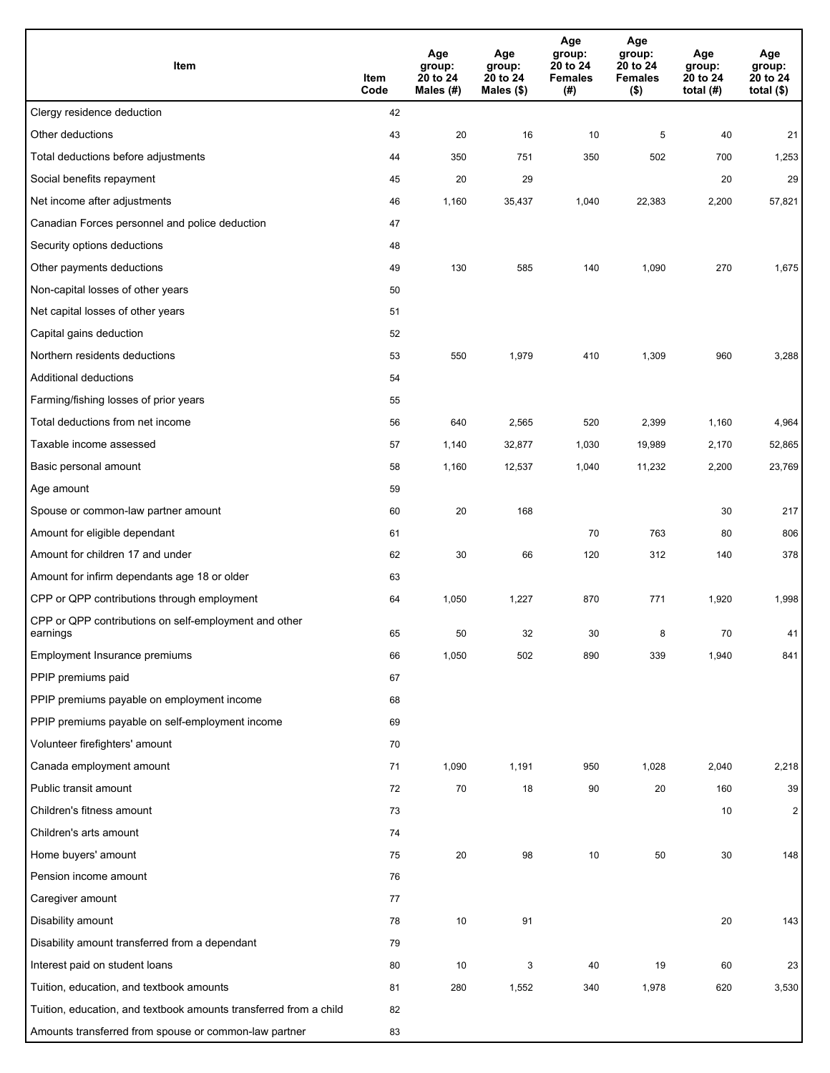| Item                                                              | Item<br>Code | Age<br>group:<br>20 to 24<br>Males (#) | Age<br>group:<br>20 to 24<br>Males (\$) | Age<br>group:<br>20 to 24<br><b>Females</b><br>(#) | Age<br>group:<br>20 to 24<br><b>Females</b><br>$($ \$) | Age<br>group:<br>20 to 24<br>total $(H)$ | Age<br>group:<br>20 to 24<br>total $($)$ |
|-------------------------------------------------------------------|--------------|----------------------------------------|-----------------------------------------|----------------------------------------------------|--------------------------------------------------------|------------------------------------------|------------------------------------------|
| Clergy residence deduction                                        | 42           |                                        |                                         |                                                    |                                                        |                                          |                                          |
| Other deductions                                                  | 43           | 20                                     | 16                                      | 10                                                 | 5                                                      | 40                                       | 21                                       |
| Total deductions before adjustments                               | 44           | 350                                    | 751                                     | 350                                                | 502                                                    | 700                                      | 1,253                                    |
| Social benefits repayment                                         | 45           | 20                                     | 29                                      |                                                    |                                                        | 20                                       | 29                                       |
| Net income after adjustments                                      | 46           | 1,160                                  | 35,437                                  | 1,040                                              | 22,383                                                 | 2,200                                    | 57,821                                   |
| Canadian Forces personnel and police deduction                    | 47           |                                        |                                         |                                                    |                                                        |                                          |                                          |
| Security options deductions                                       | 48           |                                        |                                         |                                                    |                                                        |                                          |                                          |
| Other payments deductions                                         | 49           | 130                                    | 585                                     | 140                                                | 1,090                                                  | 270                                      | 1,675                                    |
| Non-capital losses of other years                                 | 50           |                                        |                                         |                                                    |                                                        |                                          |                                          |
| Net capital losses of other years                                 | 51           |                                        |                                         |                                                    |                                                        |                                          |                                          |
| Capital gains deduction                                           | 52           |                                        |                                         |                                                    |                                                        |                                          |                                          |
| Northern residents deductions                                     | 53           | 550                                    | 1,979                                   | 410                                                | 1,309                                                  | 960                                      | 3,288                                    |
| Additional deductions                                             | 54           |                                        |                                         |                                                    |                                                        |                                          |                                          |
| Farming/fishing losses of prior years                             | 55           |                                        |                                         |                                                    |                                                        |                                          |                                          |
| Total deductions from net income                                  | 56           | 640                                    | 2,565                                   | 520                                                | 2,399                                                  | 1,160                                    | 4,964                                    |
| Taxable income assessed                                           | 57           | 1,140                                  | 32,877                                  | 1,030                                              | 19,989                                                 | 2,170                                    | 52,865                                   |
| Basic personal amount                                             | 58           | 1,160                                  | 12,537                                  | 1,040                                              | 11,232                                                 | 2,200                                    | 23,769                                   |
| Age amount                                                        | 59           |                                        |                                         |                                                    |                                                        |                                          |                                          |
| Spouse or common-law partner amount                               | 60           | 20                                     | 168                                     |                                                    |                                                        | 30                                       | 217                                      |
| Amount for eligible dependant                                     | 61           |                                        |                                         | 70                                                 | 763                                                    | 80                                       | 806                                      |
| Amount for children 17 and under                                  | 62           | 30                                     | 66                                      | 120                                                | 312                                                    | 140                                      | 378                                      |
| Amount for infirm dependants age 18 or older                      | 63           |                                        |                                         |                                                    |                                                        |                                          |                                          |
| CPP or QPP contributions through employment                       | 64           | 1,050                                  | 1,227                                   | 870                                                | 771                                                    | 1,920                                    | 1,998                                    |
| CPP or QPP contributions on self-employment and other<br>earnings | 65           | 50                                     | 32                                      | 30                                                 | 8                                                      | 70                                       | 41                                       |
| Employment Insurance premiums                                     | 66           | 1,050                                  | 502                                     | 890                                                | 339                                                    | 1,940                                    | 841                                      |
| PPIP premiums paid                                                | 67           |                                        |                                         |                                                    |                                                        |                                          |                                          |
| PPIP premiums payable on employment income                        | 68           |                                        |                                         |                                                    |                                                        |                                          |                                          |
| PPIP premiums payable on self-employment income                   | 69           |                                        |                                         |                                                    |                                                        |                                          |                                          |
| Volunteer firefighters' amount                                    | 70           |                                        |                                         |                                                    |                                                        |                                          |                                          |
| Canada employment amount                                          | 71           | 1,090                                  | 1,191                                   | 950                                                | 1,028                                                  | 2,040                                    | 2,218                                    |
| Public transit amount                                             | 72           | $70\,$                                 | 18                                      | 90                                                 | 20                                                     | 160                                      | 39                                       |
| Children's fitness amount                                         | 73           |                                        |                                         |                                                    |                                                        | 10                                       | $\overline{2}$                           |
| Children's arts amount                                            | 74           |                                        |                                         |                                                    |                                                        |                                          |                                          |
| Home buyers' amount                                               | 75           | 20                                     | 98                                      | 10                                                 | 50                                                     | 30                                       | 148                                      |
| Pension income amount                                             | 76           |                                        |                                         |                                                    |                                                        |                                          |                                          |
| Caregiver amount                                                  | 77           |                                        |                                         |                                                    |                                                        |                                          |                                          |
| Disability amount                                                 | 78           | 10                                     | 91                                      |                                                    |                                                        | $20\,$                                   | 143                                      |
| Disability amount transferred from a dependant                    | 79           |                                        |                                         |                                                    |                                                        |                                          |                                          |
| Interest paid on student loans                                    | 80           | 10                                     | 3                                       | 40                                                 | 19                                                     | 60                                       | 23                                       |
| Tuition, education, and textbook amounts                          | 81           | 280                                    | 1,552                                   | 340                                                | 1,978                                                  | 620                                      | 3,530                                    |
| Tuition, education, and textbook amounts transferred from a child | 82           |                                        |                                         |                                                    |                                                        |                                          |                                          |
| Amounts transferred from spouse or common-law partner             | 83           |                                        |                                         |                                                    |                                                        |                                          |                                          |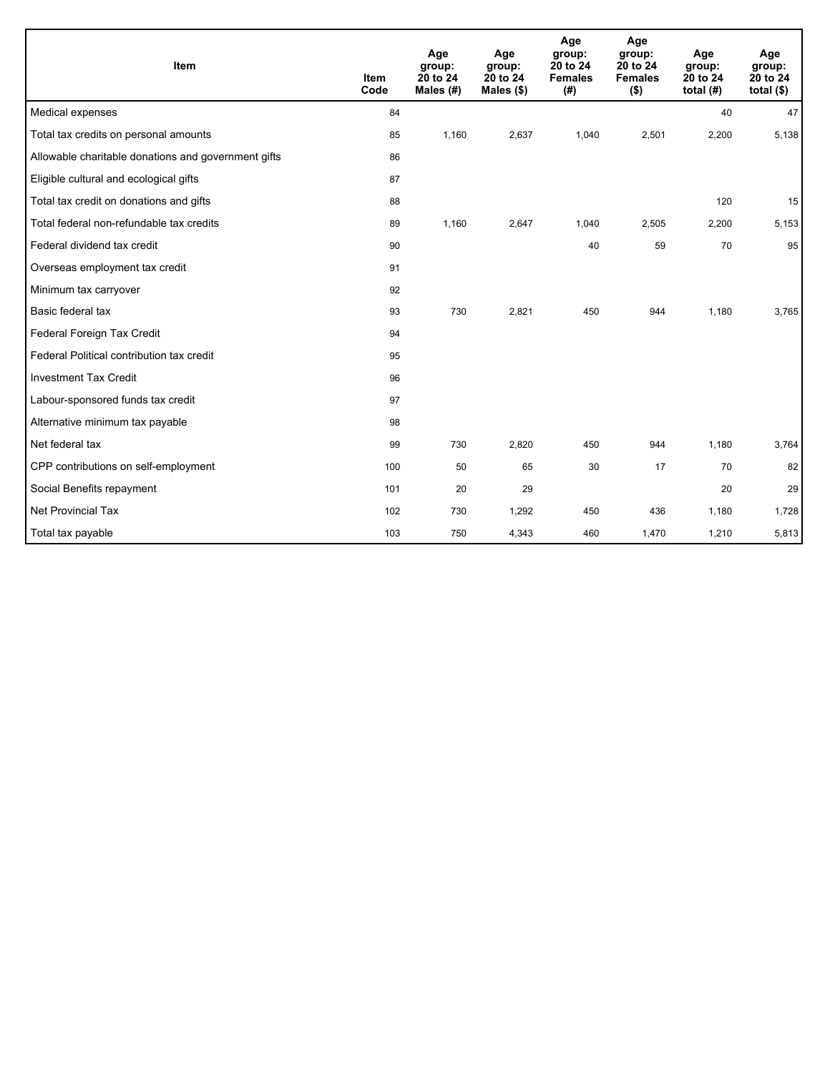| Item                                                | <b>Item</b><br>Code | Age<br>group:<br>20 to 24<br>Males (#) | Age<br>group:<br>20 to 24<br>Males $(\$)$ | Age<br>group:<br>20 to 24<br><b>Females</b><br>(#) | Age<br>group:<br>20 to 24<br><b>Females</b><br>$($ \$) | Age<br>group:<br>20 to 24<br>total $(H)$ | Age<br>group:<br>20 to 24<br>total $($)$ |
|-----------------------------------------------------|---------------------|----------------------------------------|-------------------------------------------|----------------------------------------------------|--------------------------------------------------------|------------------------------------------|------------------------------------------|
| Medical expenses                                    | 84                  |                                        |                                           |                                                    |                                                        | 40                                       | 47                                       |
| Total tax credits on personal amounts               | 85                  | 1,160                                  | 2,637                                     | 1,040                                              | 2,501                                                  | 2,200                                    | 5,138                                    |
| Allowable charitable donations and government gifts | 86                  |                                        |                                           |                                                    |                                                        |                                          |                                          |
| Eligible cultural and ecological gifts              | 87                  |                                        |                                           |                                                    |                                                        |                                          |                                          |
| Total tax credit on donations and gifts             | 88                  |                                        |                                           |                                                    |                                                        | 120                                      | 15                                       |
| Total federal non-refundable tax credits            | 89                  | 1,160                                  | 2,647                                     | 1,040                                              | 2,505                                                  | 2,200                                    | 5,153                                    |
| Federal dividend tax credit                         | 90                  |                                        |                                           | 40                                                 | 59                                                     | 70                                       | 95                                       |
| Overseas employment tax credit                      | 91                  |                                        |                                           |                                                    |                                                        |                                          |                                          |
| Minimum tax carryover                               | 92                  |                                        |                                           |                                                    |                                                        |                                          |                                          |
| Basic federal tax                                   | 93                  | 730                                    | 2,821                                     | 450                                                | 944                                                    | 1,180                                    | 3,765                                    |
| Federal Foreign Tax Credit                          | 94                  |                                        |                                           |                                                    |                                                        |                                          |                                          |
| Federal Political contribution tax credit           | 95                  |                                        |                                           |                                                    |                                                        |                                          |                                          |
| <b>Investment Tax Credit</b>                        | 96                  |                                        |                                           |                                                    |                                                        |                                          |                                          |
| Labour-sponsored funds tax credit                   | 97                  |                                        |                                           |                                                    |                                                        |                                          |                                          |
| Alternative minimum tax payable                     | 98                  |                                        |                                           |                                                    |                                                        |                                          |                                          |
| Net federal tax                                     | 99                  | 730                                    | 2,820                                     | 450                                                | 944                                                    | 1,180                                    | 3,764                                    |
| CPP contributions on self-employment                | 100                 | 50                                     | 65                                        | 30                                                 | 17                                                     | 70                                       | 82                                       |
| Social Benefits repayment                           | 101                 | 20                                     | 29                                        |                                                    |                                                        | 20                                       | 29                                       |
| Net Provincial Tax                                  | 102                 | 730                                    | 1,292                                     | 450                                                | 436                                                    | 1,180                                    | 1,728                                    |
| Total tax payable                                   | 103                 | 750                                    | 4,343                                     | 460                                                | 1,470                                                  | 1,210                                    | 5,813                                    |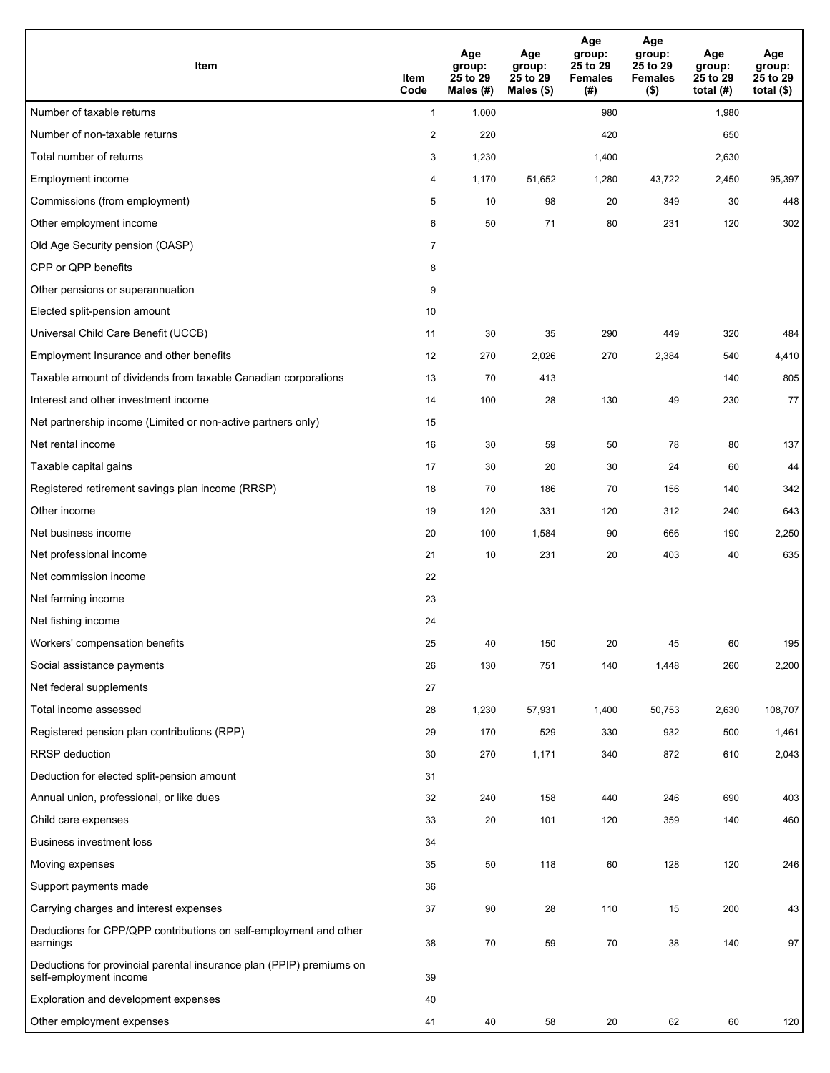| <b>Item</b>                                                                                    | Item<br>Code            | Age<br>group:<br>25 to 29<br>Males (#) | Age<br>group:<br>25 to 29<br>Males (\$) | Age<br>group:<br>25 to 29<br><b>Females</b><br>(#) | Age<br>group:<br>25 to 29<br><b>Females</b><br>$($ \$) | Age<br>group:<br>25 to 29<br>total $(#)$ | Age<br>group:<br>25 to 29<br>total $($)$ |
|------------------------------------------------------------------------------------------------|-------------------------|----------------------------------------|-----------------------------------------|----------------------------------------------------|--------------------------------------------------------|------------------------------------------|------------------------------------------|
| Number of taxable returns                                                                      | $\mathbf{1}$            | 1,000                                  |                                         | 980                                                |                                                        | 1,980                                    |                                          |
| Number of non-taxable returns                                                                  | $\overline{\mathbf{c}}$ | 220                                    |                                         | 420                                                |                                                        | 650                                      |                                          |
| Total number of returns                                                                        | 3                       | 1,230                                  |                                         | 1,400                                              |                                                        | 2,630                                    |                                          |
| Employment income                                                                              | 4                       | 1,170                                  | 51,652                                  | 1,280                                              | 43,722                                                 | 2,450                                    | 95,397                                   |
| Commissions (from employment)                                                                  | 5                       | 10                                     | 98                                      | 20                                                 | 349                                                    | 30                                       | 448                                      |
| Other employment income                                                                        | 6                       | 50                                     | 71                                      | 80                                                 | 231                                                    | 120                                      | 302                                      |
| Old Age Security pension (OASP)                                                                | $\overline{7}$          |                                        |                                         |                                                    |                                                        |                                          |                                          |
| CPP or QPP benefits                                                                            | 8                       |                                        |                                         |                                                    |                                                        |                                          |                                          |
| Other pensions or superannuation                                                               | 9                       |                                        |                                         |                                                    |                                                        |                                          |                                          |
| Elected split-pension amount                                                                   | 10                      |                                        |                                         |                                                    |                                                        |                                          |                                          |
| Universal Child Care Benefit (UCCB)                                                            | 11                      | 30                                     | 35                                      | 290                                                | 449                                                    | 320                                      | 484                                      |
| Employment Insurance and other benefits                                                        | 12                      | 270                                    | 2,026                                   | 270                                                | 2,384                                                  | 540                                      | 4,410                                    |
| Taxable amount of dividends from taxable Canadian corporations                                 | 13                      | 70                                     | 413                                     |                                                    |                                                        | 140                                      | 805                                      |
| Interest and other investment income                                                           | 14                      | 100                                    | 28                                      | 130                                                | 49                                                     | 230                                      | 77                                       |
| Net partnership income (Limited or non-active partners only)                                   | 15                      |                                        |                                         |                                                    |                                                        |                                          |                                          |
| Net rental income                                                                              | 16                      | 30                                     | 59                                      | 50                                                 | 78                                                     | 80                                       | 137                                      |
| Taxable capital gains                                                                          | 17                      | 30                                     | 20                                      | 30                                                 | 24                                                     | 60                                       | 44                                       |
| Registered retirement savings plan income (RRSP)                                               | 18                      | 70                                     | 186                                     | 70                                                 | 156                                                    | 140                                      | 342                                      |
| Other income                                                                                   | 19                      | 120                                    | 331                                     | 120                                                | 312                                                    | 240                                      | 643                                      |
| Net business income                                                                            | 20                      | 100                                    | 1,584                                   | 90                                                 | 666                                                    | 190                                      | 2,250                                    |
| Net professional income                                                                        | 21                      | 10                                     | 231                                     | 20                                                 | 403                                                    | 40                                       | 635                                      |
| Net commission income                                                                          | 22                      |                                        |                                         |                                                    |                                                        |                                          |                                          |
| Net farming income                                                                             | 23                      |                                        |                                         |                                                    |                                                        |                                          |                                          |
| Net fishing income                                                                             | 24                      |                                        |                                         |                                                    |                                                        |                                          |                                          |
| Workers' compensation benefits                                                                 | 25                      | 40                                     | 150                                     | 20                                                 | 45                                                     | 60                                       | 195                                      |
| Social assistance payments                                                                     | 26                      | 130                                    | 751                                     | 140                                                | 1,448                                                  | 260                                      | 2,200                                    |
| Net federal supplements                                                                        | 27                      |                                        |                                         |                                                    |                                                        |                                          |                                          |
| Total income assessed                                                                          | 28                      | 1,230                                  | 57,931                                  | 1,400                                              | 50,753                                                 | 2,630                                    | 108,707                                  |
| Registered pension plan contributions (RPP)                                                    | 29                      | 170                                    | 529                                     | 330                                                | 932                                                    | 500                                      | 1,461                                    |
| RRSP deduction                                                                                 | 30                      | 270                                    | 1,171                                   | 340                                                | 872                                                    | 610                                      | 2,043                                    |
| Deduction for elected split-pension amount                                                     | 31                      |                                        |                                         |                                                    |                                                        |                                          |                                          |
| Annual union, professional, or like dues                                                       | 32                      | 240                                    | 158                                     | 440                                                | 246                                                    | 690                                      | 403                                      |
| Child care expenses                                                                            | 33                      | 20                                     | 101                                     | 120                                                | 359                                                    | 140                                      | 460                                      |
| <b>Business investment loss</b>                                                                | 34                      |                                        |                                         |                                                    |                                                        |                                          |                                          |
| Moving expenses                                                                                | 35                      | 50                                     | 118                                     | 60                                                 | 128                                                    | 120                                      | 246                                      |
| Support payments made                                                                          | 36                      |                                        |                                         |                                                    |                                                        |                                          |                                          |
| Carrying charges and interest expenses                                                         | 37                      | 90                                     | 28                                      | 110                                                | 15                                                     | 200                                      | 43                                       |
| Deductions for CPP/QPP contributions on self-employment and other<br>earnings                  | 38                      | 70                                     | 59                                      | 70                                                 | 38                                                     | 140                                      | 97                                       |
| Deductions for provincial parental insurance plan (PPIP) premiums on<br>self-employment income | 39                      |                                        |                                         |                                                    |                                                        |                                          |                                          |
| Exploration and development expenses                                                           | 40                      |                                        |                                         |                                                    |                                                        |                                          |                                          |
| Other employment expenses                                                                      | 41                      | 40                                     | 58                                      | 20                                                 | 62                                                     | 60                                       | 120                                      |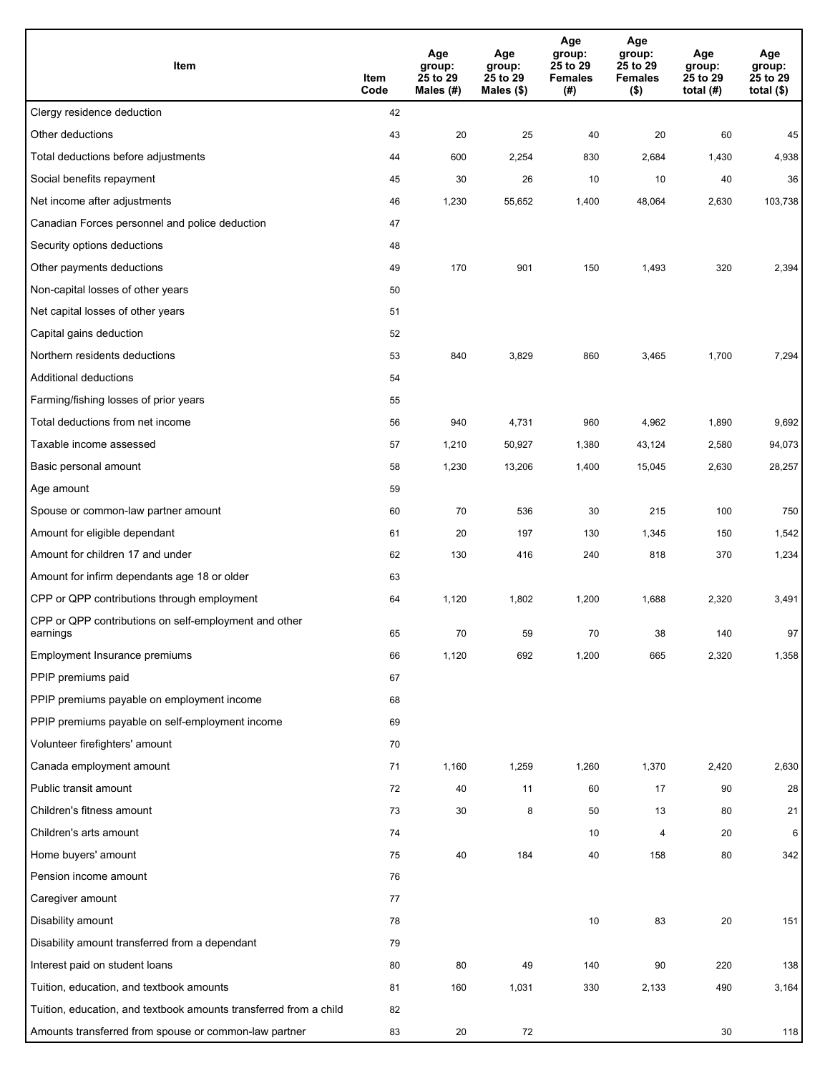| Item                                                              | Item<br>Code | Age<br>group:<br>25 to 29<br>Males (#) | Age<br>group:<br>25 to 29<br>Males (\$) | Age<br>group:<br>25 to 29<br><b>Females</b><br>(#) | Age<br>group:<br>25 to 29<br><b>Females</b><br>$($ \$) | Age<br>group:<br>25 to 29<br>total $(H)$ | Age<br>group:<br>25 to 29<br>total $($)$ |
|-------------------------------------------------------------------|--------------|----------------------------------------|-----------------------------------------|----------------------------------------------------|--------------------------------------------------------|------------------------------------------|------------------------------------------|
| Clergy residence deduction                                        | 42           |                                        |                                         |                                                    |                                                        |                                          |                                          |
| Other deductions                                                  | 43           | 20                                     | 25                                      | 40                                                 | 20                                                     | 60                                       | 45                                       |
| Total deductions before adjustments                               | 44           | 600                                    | 2,254                                   | 830                                                | 2,684                                                  | 1,430                                    | 4,938                                    |
| Social benefits repayment                                         | 45           | 30                                     | 26                                      | 10                                                 | 10                                                     | 40                                       | 36                                       |
| Net income after adjustments                                      | 46           | 1,230                                  | 55,652                                  | 1,400                                              | 48,064                                                 | 2,630                                    | 103,738                                  |
| Canadian Forces personnel and police deduction                    | 47           |                                        |                                         |                                                    |                                                        |                                          |                                          |
| Security options deductions                                       | 48           |                                        |                                         |                                                    |                                                        |                                          |                                          |
| Other payments deductions                                         | 49           | 170                                    | 901                                     | 150                                                | 1,493                                                  | 320                                      | 2,394                                    |
| Non-capital losses of other years                                 | 50           |                                        |                                         |                                                    |                                                        |                                          |                                          |
| Net capital losses of other years                                 | 51           |                                        |                                         |                                                    |                                                        |                                          |                                          |
| Capital gains deduction                                           | 52           |                                        |                                         |                                                    |                                                        |                                          |                                          |
| Northern residents deductions                                     | 53           | 840                                    | 3,829                                   | 860                                                | 3,465                                                  | 1,700                                    | 7,294                                    |
| Additional deductions                                             | 54           |                                        |                                         |                                                    |                                                        |                                          |                                          |
| Farming/fishing losses of prior years                             | 55           |                                        |                                         |                                                    |                                                        |                                          |                                          |
| Total deductions from net income                                  | 56           | 940                                    | 4,731                                   | 960                                                | 4,962                                                  | 1,890                                    | 9,692                                    |
| Taxable income assessed                                           | 57           | 1,210                                  | 50,927                                  | 1,380                                              | 43,124                                                 | 2,580                                    | 94,073                                   |
| Basic personal amount                                             | 58           | 1,230                                  | 13,206                                  | 1,400                                              | 15,045                                                 | 2,630                                    | 28,257                                   |
| Age amount                                                        | 59           |                                        |                                         |                                                    |                                                        |                                          |                                          |
| Spouse or common-law partner amount                               | 60           | 70                                     | 536                                     | 30                                                 | 215                                                    | 100                                      | 750                                      |
| Amount for eligible dependant                                     | 61           | 20                                     | 197                                     | 130                                                | 1,345                                                  | 150                                      | 1,542                                    |
| Amount for children 17 and under                                  | 62           | 130                                    | 416                                     | 240                                                | 818                                                    | 370                                      | 1,234                                    |
| Amount for infirm dependants age 18 or older                      | 63           |                                        |                                         |                                                    |                                                        |                                          |                                          |
| CPP or QPP contributions through employment                       | 64           | 1,120                                  | 1,802                                   | 1,200                                              | 1,688                                                  | 2,320                                    | 3,491                                    |
| CPP or QPP contributions on self-employment and other             |              |                                        |                                         |                                                    |                                                        |                                          |                                          |
| earnings                                                          | 65           | 70                                     | 59                                      | 70                                                 | 38                                                     | 140                                      | 97                                       |
| Employment Insurance premiums                                     | 66           | 1,120                                  | 692                                     | 1,200                                              | 665                                                    | 2,320                                    | 1,358                                    |
| PPIP premiums paid                                                | 67           |                                        |                                         |                                                    |                                                        |                                          |                                          |
| PPIP premiums payable on employment income                        | 68           |                                        |                                         |                                                    |                                                        |                                          |                                          |
| PPIP premiums payable on self-employment income                   | 69           |                                        |                                         |                                                    |                                                        |                                          |                                          |
| Volunteer firefighters' amount                                    | 70           |                                        |                                         |                                                    |                                                        |                                          |                                          |
| Canada employment amount                                          | 71           | 1,160                                  | 1,259                                   | 1,260                                              | 1,370                                                  | 2,420                                    | 2,630                                    |
| Public transit amount                                             | 72           | 40                                     | 11                                      | 60                                                 | 17                                                     | 90                                       | 28                                       |
| Children's fitness amount                                         | 73           | 30                                     | 8                                       | 50                                                 | 13                                                     | 80                                       | 21                                       |
| Children's arts amount                                            | 74           |                                        |                                         | 10                                                 | $\overline{4}$                                         | 20                                       | 6                                        |
| Home buyers' amount                                               | 75           | 40                                     | 184                                     | 40                                                 | 158                                                    | 80                                       | 342                                      |
| Pension income amount                                             | 76           |                                        |                                         |                                                    |                                                        |                                          |                                          |
| Caregiver amount                                                  | 77           |                                        |                                         |                                                    |                                                        |                                          |                                          |
| Disability amount                                                 | 78           |                                        |                                         | 10                                                 | 83                                                     | 20                                       | 151                                      |
| Disability amount transferred from a dependant                    | 79           |                                        |                                         |                                                    |                                                        |                                          |                                          |
| Interest paid on student loans                                    | 80           | 80                                     | 49                                      | 140                                                | 90                                                     | 220                                      | 138                                      |
| Tuition, education, and textbook amounts                          | 81           | 160                                    | 1,031                                   | 330                                                | 2,133                                                  | 490                                      | 3,164                                    |
| Tuition, education, and textbook amounts transferred from a child | 82           |                                        |                                         |                                                    |                                                        |                                          |                                          |
| Amounts transferred from spouse or common-law partner             | 83           | 20                                     | 72                                      |                                                    |                                                        | 30                                       | 118                                      |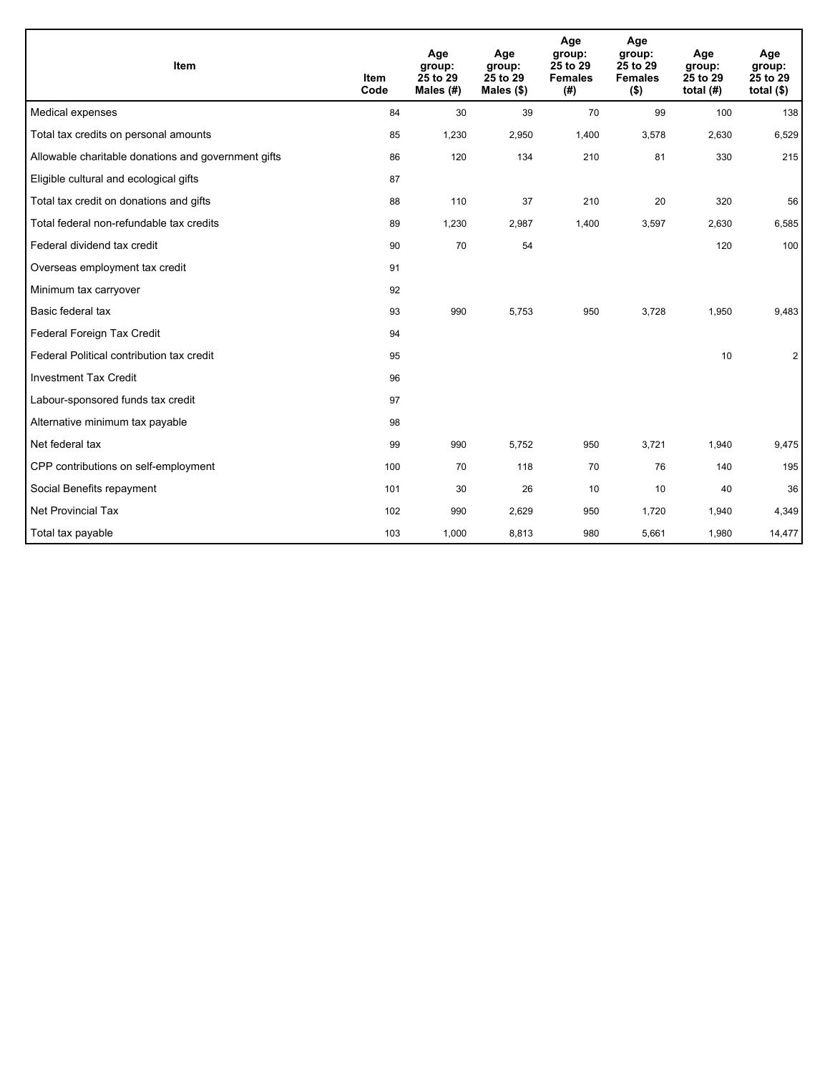| Item                                                | <b>Item</b><br>Code | Age<br>group:<br>25 to 29<br>Males (#) | Age<br>group:<br>25 to 29<br>Males $(\$)$ | Age<br>group:<br>25 to 29<br><b>Females</b><br>(#) | Age<br>group:<br>25 to 29<br><b>Females</b><br>$($ \$) | Age<br>group:<br>25 to 29<br>total $(H)$ | Age<br>group:<br>25 to 29<br>total $($)$ |
|-----------------------------------------------------|---------------------|----------------------------------------|-------------------------------------------|----------------------------------------------------|--------------------------------------------------------|------------------------------------------|------------------------------------------|
| Medical expenses                                    | 84                  | 30                                     | 39                                        | 70                                                 | 99                                                     | 100                                      | 138                                      |
| Total tax credits on personal amounts               | 85                  | 1,230                                  | 2,950                                     | 1,400                                              | 3,578                                                  | 2,630                                    | 6,529                                    |
| Allowable charitable donations and government gifts | 86                  | 120                                    | 134                                       | 210                                                | 81                                                     | 330                                      | 215                                      |
| Eligible cultural and ecological gifts              | 87                  |                                        |                                           |                                                    |                                                        |                                          |                                          |
| Total tax credit on donations and gifts             | 88                  | 110                                    | 37                                        | 210                                                | 20                                                     | 320                                      | 56                                       |
| Total federal non-refundable tax credits            | 89                  | 1,230                                  | 2,987                                     | 1,400                                              | 3,597                                                  | 2,630                                    | 6,585                                    |
| Federal dividend tax credit                         | 90                  | 70                                     | 54                                        |                                                    |                                                        | 120                                      | 100                                      |
| Overseas employment tax credit                      | 91                  |                                        |                                           |                                                    |                                                        |                                          |                                          |
| Minimum tax carryover                               | 92                  |                                        |                                           |                                                    |                                                        |                                          |                                          |
| Basic federal tax                                   | 93                  | 990                                    | 5,753                                     | 950                                                | 3,728                                                  | 1,950                                    | 9,483                                    |
| Federal Foreign Tax Credit                          | 94                  |                                        |                                           |                                                    |                                                        |                                          |                                          |
| Federal Political contribution tax credit           | 95                  |                                        |                                           |                                                    |                                                        | 10                                       | $\overline{2}$                           |
| <b>Investment Tax Credit</b>                        | 96                  |                                        |                                           |                                                    |                                                        |                                          |                                          |
| Labour-sponsored funds tax credit                   | 97                  |                                        |                                           |                                                    |                                                        |                                          |                                          |
| Alternative minimum tax payable                     | 98                  |                                        |                                           |                                                    |                                                        |                                          |                                          |
| Net federal tax                                     | 99                  | 990                                    | 5,752                                     | 950                                                | 3,721                                                  | 1,940                                    | 9,475                                    |
| CPP contributions on self-employment                | 100                 | 70                                     | 118                                       | 70                                                 | 76                                                     | 140                                      | 195                                      |
| Social Benefits repayment                           | 101                 | 30                                     | 26                                        | 10                                                 | 10                                                     | 40                                       | 36                                       |
| Net Provincial Tax                                  | 102                 | 990                                    | 2,629                                     | 950                                                | 1,720                                                  | 1,940                                    | 4,349                                    |
| Total tax payable                                   | 103                 | 1,000                                  | 8,813                                     | 980                                                | 5,661                                                  | 1,980                                    | 14,477                                   |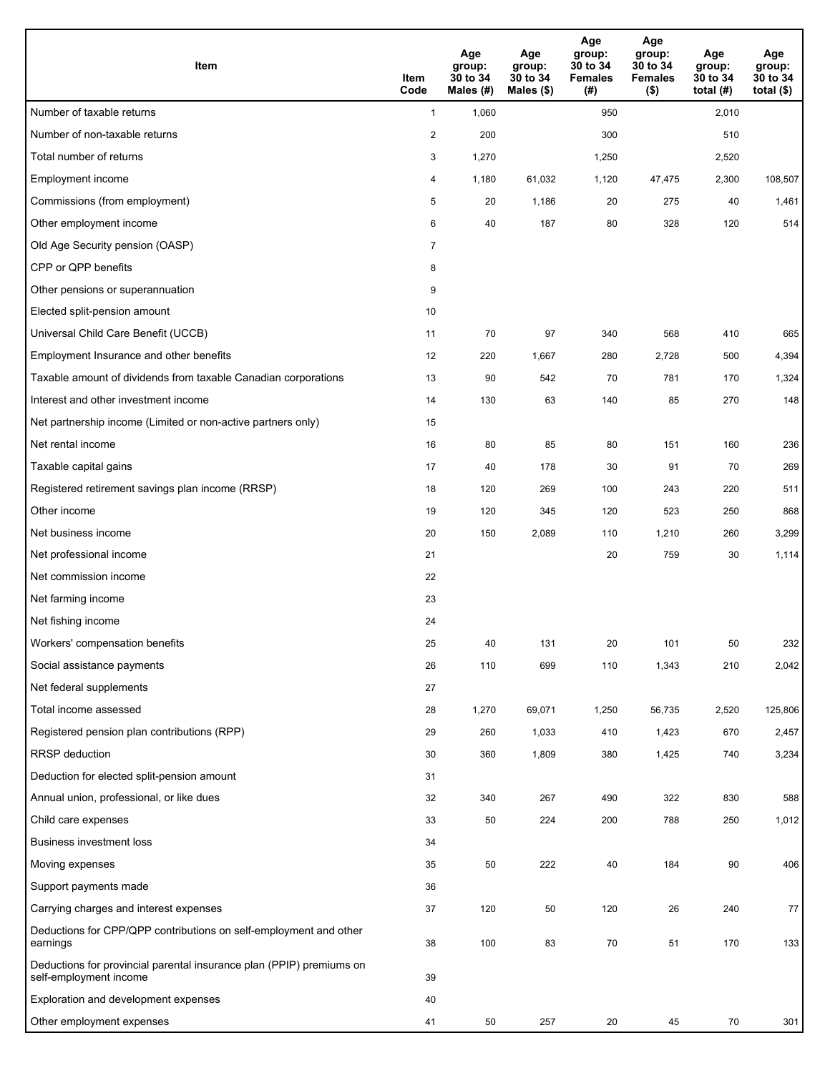| Item                                                                                           | Item<br>Code   | Age<br>group:<br>30 to 34<br>Males (#) | Age<br>group:<br>30 to 34<br>Males (\$) | Age<br>group:<br>30 to 34<br><b>Females</b><br>(#) | Age<br>group:<br>30 to 34<br><b>Females</b><br>$($ \$) | Age<br>group:<br>30 to 34<br>total $(H)$ | Age<br>group:<br>30 to 34<br>total $($)$ |
|------------------------------------------------------------------------------------------------|----------------|----------------------------------------|-----------------------------------------|----------------------------------------------------|--------------------------------------------------------|------------------------------------------|------------------------------------------|
| Number of taxable returns                                                                      | $\mathbf{1}$   | 1,060                                  |                                         | 950                                                |                                                        | 2,010                                    |                                          |
| Number of non-taxable returns                                                                  | $\overline{2}$ | 200                                    |                                         | 300                                                |                                                        | 510                                      |                                          |
| Total number of returns                                                                        | 3              | 1,270                                  |                                         | 1,250                                              |                                                        | 2,520                                    |                                          |
| Employment income                                                                              | 4              | 1,180                                  | 61,032                                  | 1,120                                              | 47,475                                                 | 2,300                                    | 108,507                                  |
| Commissions (from employment)                                                                  | 5              | 20                                     | 1,186                                   | 20                                                 | 275                                                    | 40                                       | 1,461                                    |
| Other employment income                                                                        | 6              | 40                                     | 187                                     | 80                                                 | 328                                                    | 120                                      | 514                                      |
| Old Age Security pension (OASP)                                                                | $\overline{7}$ |                                        |                                         |                                                    |                                                        |                                          |                                          |
| CPP or QPP benefits                                                                            | 8              |                                        |                                         |                                                    |                                                        |                                          |                                          |
| Other pensions or superannuation                                                               | 9              |                                        |                                         |                                                    |                                                        |                                          |                                          |
| Elected split-pension amount                                                                   | 10             |                                        |                                         |                                                    |                                                        |                                          |                                          |
| Universal Child Care Benefit (UCCB)                                                            | 11             | 70                                     | 97                                      | 340                                                | 568                                                    | 410                                      | 665                                      |
| Employment Insurance and other benefits                                                        | 12             | 220                                    | 1,667                                   | 280                                                | 2,728                                                  | 500                                      | 4,394                                    |
| Taxable amount of dividends from taxable Canadian corporations                                 | 13             | 90                                     | 542                                     | 70                                                 | 781                                                    | 170                                      | 1,324                                    |
| Interest and other investment income                                                           | 14             | 130                                    | 63                                      | 140                                                | 85                                                     | 270                                      | 148                                      |
| Net partnership income (Limited or non-active partners only)                                   | 15             |                                        |                                         |                                                    |                                                        |                                          |                                          |
| Net rental income                                                                              | 16             | 80                                     | 85                                      | 80                                                 | 151                                                    | 160                                      | 236                                      |
| Taxable capital gains                                                                          | 17             | 40                                     | 178                                     | 30                                                 | 91                                                     | 70                                       | 269                                      |
| Registered retirement savings plan income (RRSP)                                               | 18             | 120                                    | 269                                     | 100                                                | 243                                                    | 220                                      | 511                                      |
| Other income                                                                                   | 19             | 120                                    | 345                                     | 120                                                | 523                                                    | 250                                      | 868                                      |
| Net business income                                                                            | 20             | 150                                    | 2,089                                   | 110                                                | 1,210                                                  | 260                                      | 3,299                                    |
| Net professional income                                                                        | 21             |                                        |                                         | 20                                                 | 759                                                    | 30                                       | 1,114                                    |
| Net commission income                                                                          | 22             |                                        |                                         |                                                    |                                                        |                                          |                                          |
| Net farming income                                                                             | 23             |                                        |                                         |                                                    |                                                        |                                          |                                          |
| Net fishing income                                                                             | 24             |                                        |                                         |                                                    |                                                        |                                          |                                          |
| Workers' compensation benefits                                                                 | 25             | 40                                     | 131                                     | 20                                                 | 101                                                    | 50                                       | 232                                      |
| Social assistance payments                                                                     | 26             | 110                                    | 699                                     | 110                                                | 1,343                                                  | 210                                      | 2,042                                    |
| Net federal supplements                                                                        | 27             |                                        |                                         |                                                    |                                                        |                                          |                                          |
| Total income assessed                                                                          | 28             | 1,270                                  | 69,071                                  | 1,250                                              | 56,735                                                 | 2,520                                    | 125,806                                  |
| Registered pension plan contributions (RPP)                                                    | 29             | 260                                    | 1,033                                   | 410                                                | 1,423                                                  | 670                                      | 2,457                                    |
| <b>RRSP</b> deduction                                                                          | 30             | 360                                    | 1,809                                   | 380                                                | 1,425                                                  | 740                                      | 3,234                                    |
| Deduction for elected split-pension amount                                                     | 31             |                                        |                                         |                                                    |                                                        |                                          |                                          |
| Annual union, professional, or like dues                                                       | 32             | 340                                    | 267                                     | 490                                                | 322                                                    | 830                                      | 588                                      |
| Child care expenses                                                                            | 33             | 50                                     | 224                                     | 200                                                | 788                                                    | 250                                      | 1,012                                    |
| <b>Business investment loss</b>                                                                | 34             |                                        |                                         |                                                    |                                                        |                                          |                                          |
| Moving expenses                                                                                | 35             | 50                                     | 222                                     | 40                                                 | 184                                                    | 90                                       | 406                                      |
| Support payments made                                                                          | 36             |                                        |                                         |                                                    |                                                        |                                          |                                          |
| Carrying charges and interest expenses                                                         | 37             | 120                                    | 50                                      | 120                                                | 26                                                     | 240                                      | 77                                       |
| Deductions for CPP/QPP contributions on self-employment and other<br>earnings                  | 38             | 100                                    | 83                                      | 70                                                 | 51                                                     | 170                                      | 133                                      |
| Deductions for provincial parental insurance plan (PPIP) premiums on<br>self-employment income | 39             |                                        |                                         |                                                    |                                                        |                                          |                                          |
| Exploration and development expenses                                                           | 40             |                                        |                                         |                                                    |                                                        |                                          |                                          |
| Other employment expenses                                                                      | 41             | 50                                     | 257                                     | 20                                                 | 45                                                     | 70                                       | 301                                      |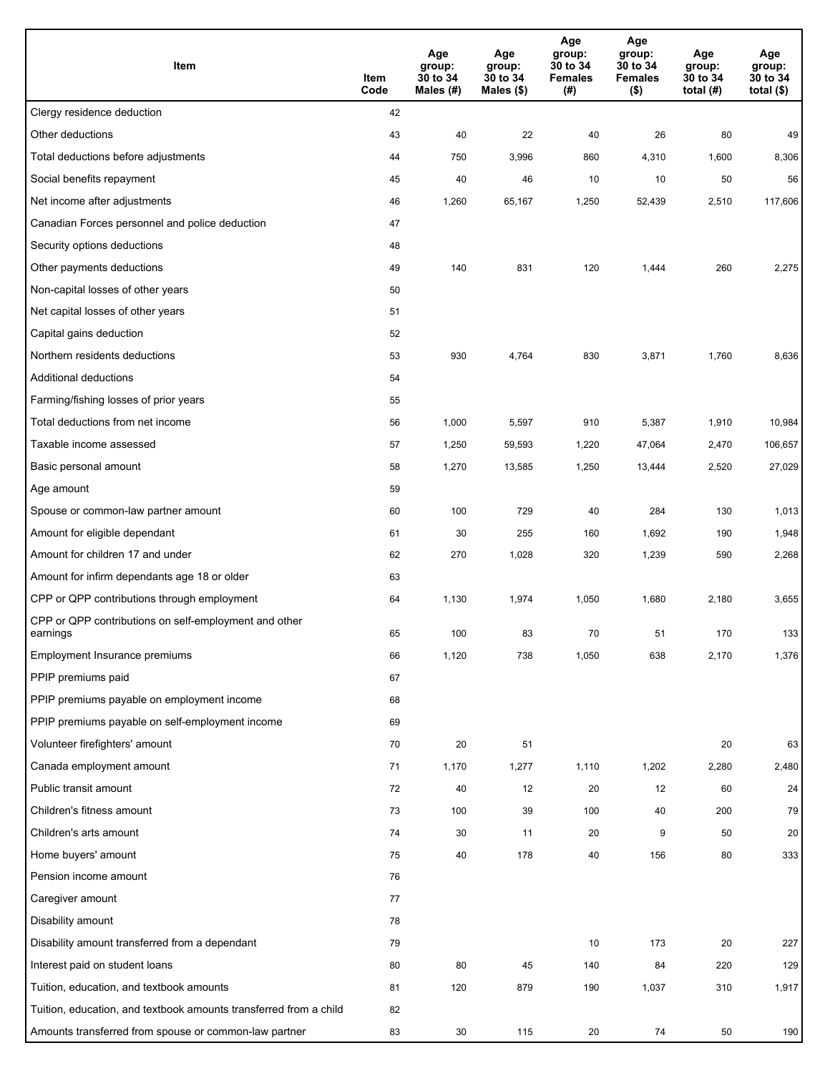| Item                                                              | Item<br>Code | Age<br>group:<br>30 to 34<br>Males (#) | Age<br>group:<br>30 to 34<br>Males (\$) | Age<br>group:<br>30 to 34<br><b>Females</b><br>(#) | Age<br>group:<br>30 to 34<br><b>Females</b><br>$($ \$) | Age<br>group:<br>30 to 34<br>total $(H)$ | Age<br>group:<br>30 to 34<br>total $($)$ |
|-------------------------------------------------------------------|--------------|----------------------------------------|-----------------------------------------|----------------------------------------------------|--------------------------------------------------------|------------------------------------------|------------------------------------------|
| Clergy residence deduction                                        | 42           |                                        |                                         |                                                    |                                                        |                                          |                                          |
| Other deductions                                                  | 43           | 40                                     | 22                                      | 40                                                 | 26                                                     | 80                                       | 49                                       |
| Total deductions before adjustments                               | 44           | 750                                    | 3,996                                   | 860                                                | 4,310                                                  | 1,600                                    | 8,306                                    |
| Social benefits repayment                                         | 45           | 40                                     | 46                                      | 10                                                 | 10                                                     | 50                                       | 56                                       |
| Net income after adjustments                                      | 46           | 1,260                                  | 65,167                                  | 1,250                                              | 52,439                                                 | 2,510                                    | 117,606                                  |
| Canadian Forces personnel and police deduction                    | 47           |                                        |                                         |                                                    |                                                        |                                          |                                          |
| Security options deductions                                       | 48           |                                        |                                         |                                                    |                                                        |                                          |                                          |
| Other payments deductions                                         | 49           | 140                                    | 831                                     | 120                                                | 1,444                                                  | 260                                      | 2,275                                    |
| Non-capital losses of other years                                 | 50           |                                        |                                         |                                                    |                                                        |                                          |                                          |
| Net capital losses of other years                                 | 51           |                                        |                                         |                                                    |                                                        |                                          |                                          |
| Capital gains deduction                                           | 52           |                                        |                                         |                                                    |                                                        |                                          |                                          |
| Northern residents deductions                                     | 53           | 930                                    | 4,764                                   | 830                                                | 3,871                                                  | 1,760                                    | 8,636                                    |
| Additional deductions                                             | 54           |                                        |                                         |                                                    |                                                        |                                          |                                          |
| Farming/fishing losses of prior years                             | 55           |                                        |                                         |                                                    |                                                        |                                          |                                          |
| Total deductions from net income                                  | 56           | 1,000                                  | 5,597                                   | 910                                                | 5,387                                                  | 1,910                                    | 10,984                                   |
| Taxable income assessed                                           | 57           | 1,250                                  | 59,593                                  | 1,220                                              | 47,064                                                 | 2,470                                    | 106,657                                  |
| Basic personal amount                                             | 58           | 1,270                                  | 13,585                                  | 1,250                                              | 13,444                                                 | 2,520                                    | 27,029                                   |
| Age amount                                                        | 59           |                                        |                                         |                                                    |                                                        |                                          |                                          |
| Spouse or common-law partner amount                               | 60           | 100                                    | 729                                     | 40                                                 | 284                                                    | 130                                      | 1,013                                    |
| Amount for eligible dependant                                     | 61           | 30                                     | 255                                     | 160                                                | 1,692                                                  | 190                                      | 1,948                                    |
| Amount for children 17 and under                                  | 62           | 270                                    | 1,028                                   | 320                                                | 1,239                                                  | 590                                      | 2,268                                    |
| Amount for infirm dependants age 18 or older                      | 63           |                                        |                                         |                                                    |                                                        |                                          |                                          |
| CPP or QPP contributions through employment                       | 64           | 1,130                                  | 1,974                                   | 1,050                                              | 1,680                                                  | 2,180                                    | 3,655                                    |
| CPP or QPP contributions on self-employment and other<br>earnings | 65           | 100                                    | 83                                      | 70                                                 | 51                                                     | 170                                      | 133                                      |
| Employment Insurance premiums                                     | 66           | 1,120                                  | 738                                     | 1,050                                              | 638                                                    | 2,170                                    | 1,376                                    |
| PPIP premiums paid                                                | 67           |                                        |                                         |                                                    |                                                        |                                          |                                          |
| PPIP premiums payable on employment income                        | 68           |                                        |                                         |                                                    |                                                        |                                          |                                          |
| PPIP premiums payable on self-employment income                   | 69           |                                        |                                         |                                                    |                                                        |                                          |                                          |
| Volunteer firefighters' amount                                    | 70           | 20                                     | 51                                      |                                                    |                                                        | 20                                       | 63                                       |
| Canada employment amount                                          | 71           | 1,170                                  | 1,277                                   | 1,110                                              | 1,202                                                  | 2,280                                    | 2,480                                    |
| Public transit amount                                             | 72           | 40                                     | 12                                      | 20                                                 | 12                                                     | 60                                       | 24                                       |
| Children's fitness amount                                         | 73           | 100                                    | 39                                      | 100                                                | 40                                                     | 200                                      | 79                                       |
| Children's arts amount                                            | 74           | 30                                     | 11                                      | 20                                                 | 9                                                      | 50                                       | 20                                       |
| Home buyers' amount                                               | 75           | 40                                     | 178                                     | 40                                                 | 156                                                    | 80                                       | 333                                      |
| Pension income amount                                             | 76           |                                        |                                         |                                                    |                                                        |                                          |                                          |
| Caregiver amount                                                  | 77           |                                        |                                         |                                                    |                                                        |                                          |                                          |
| Disability amount                                                 | 78           |                                        |                                         |                                                    |                                                        |                                          |                                          |
| Disability amount transferred from a dependant                    | 79           |                                        |                                         | 10                                                 | 173                                                    | 20                                       | 227                                      |
| Interest paid on student loans                                    | 80           | 80                                     | 45                                      | 140                                                | 84                                                     | 220                                      | 129                                      |
| Tuition, education, and textbook amounts                          | 81           | 120                                    | 879                                     | 190                                                | 1,037                                                  | 310                                      | 1,917                                    |
| Tuition, education, and textbook amounts transferred from a child | 82           |                                        |                                         |                                                    |                                                        |                                          |                                          |
| Amounts transferred from spouse or common-law partner             | 83           | 30                                     | 115                                     | 20                                                 | 74                                                     | 50                                       | 190                                      |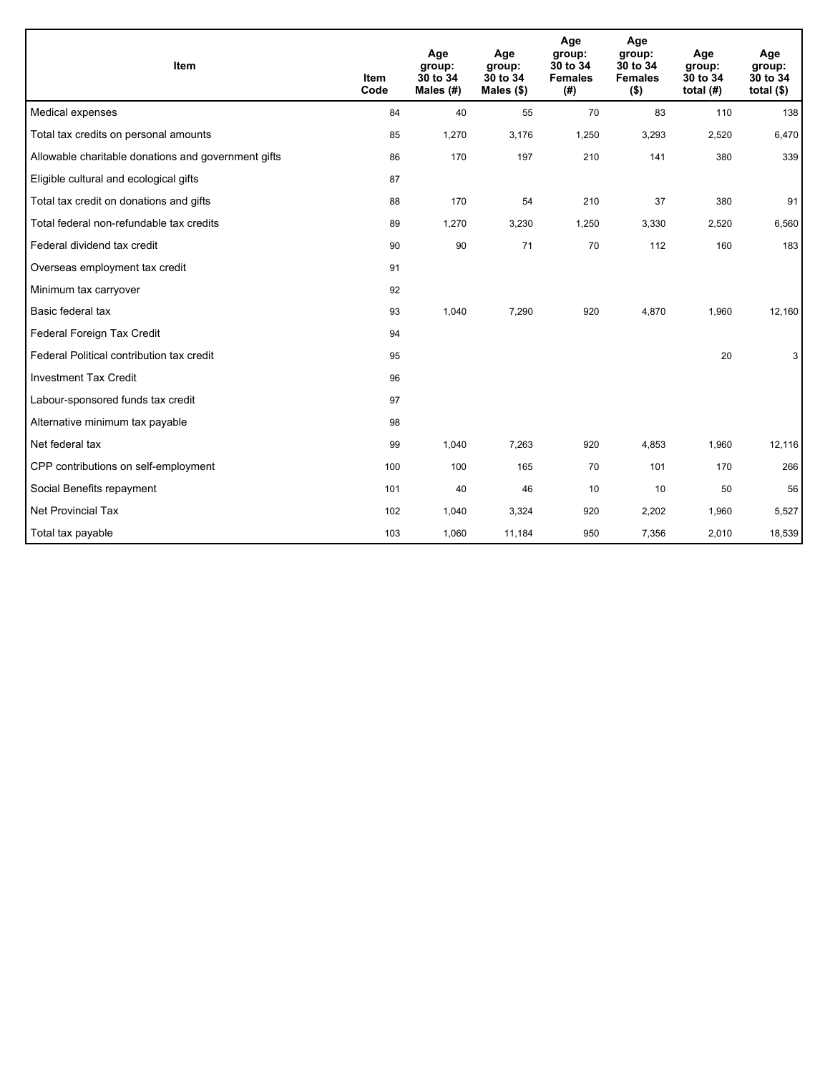| Item                                                | <b>Item</b><br>Code | Age<br>group:<br>30 to 34<br>Males $(H)$ | Age<br>group:<br>30 to 34<br>Males $(\$)$ | Age<br>group:<br>30 to 34<br><b>Females</b><br>(# ) | Age<br>group:<br>30 to 34<br><b>Females</b><br>$($ \$) | Age<br>group:<br>30 to 34<br>total $(H)$ | Age<br>group:<br>30 to 34<br>total $(§)$ |
|-----------------------------------------------------|---------------------|------------------------------------------|-------------------------------------------|-----------------------------------------------------|--------------------------------------------------------|------------------------------------------|------------------------------------------|
| Medical expenses                                    | 84                  | 40                                       | 55                                        | 70                                                  | 83                                                     | 110                                      | 138                                      |
| Total tax credits on personal amounts               | 85                  | 1,270                                    | 3,176                                     | 1,250                                               | 3,293                                                  | 2,520                                    | 6,470                                    |
| Allowable charitable donations and government gifts | 86                  | 170                                      | 197                                       | 210                                                 | 141                                                    | 380                                      | 339                                      |
| Eligible cultural and ecological gifts              | 87                  |                                          |                                           |                                                     |                                                        |                                          |                                          |
| Total tax credit on donations and gifts             | 88                  | 170                                      | 54                                        | 210                                                 | 37                                                     | 380                                      | 91                                       |
| Total federal non-refundable tax credits            | 89                  | 1,270                                    | 3,230                                     | 1,250                                               | 3,330                                                  | 2,520                                    | 6,560                                    |
| Federal dividend tax credit                         | 90                  | 90                                       | 71                                        | 70                                                  | 112                                                    | 160                                      | 183                                      |
| Overseas employment tax credit                      | 91                  |                                          |                                           |                                                     |                                                        |                                          |                                          |
| Minimum tax carryover                               | 92                  |                                          |                                           |                                                     |                                                        |                                          |                                          |
| Basic federal tax                                   | 93                  | 1,040                                    | 7,290                                     | 920                                                 | 4,870                                                  | 1,960                                    | 12,160                                   |
| Federal Foreign Tax Credit                          | 94                  |                                          |                                           |                                                     |                                                        |                                          |                                          |
| Federal Political contribution tax credit           | 95                  |                                          |                                           |                                                     |                                                        | 20                                       | 3                                        |
| <b>Investment Tax Credit</b>                        | 96                  |                                          |                                           |                                                     |                                                        |                                          |                                          |
| Labour-sponsored funds tax credit                   | 97                  |                                          |                                           |                                                     |                                                        |                                          |                                          |
| Alternative minimum tax payable                     | 98                  |                                          |                                           |                                                     |                                                        |                                          |                                          |
| Net federal tax                                     | 99                  | 1,040                                    | 7,263                                     | 920                                                 | 4,853                                                  | 1,960                                    | 12,116                                   |
| CPP contributions on self-employment                | 100                 | 100                                      | 165                                       | 70                                                  | 101                                                    | 170                                      | 266                                      |
| Social Benefits repayment                           | 101                 | 40                                       | 46                                        | 10                                                  | 10                                                     | 50                                       | 56                                       |
| <b>Net Provincial Tax</b>                           | 102                 | 1,040                                    | 3,324                                     | 920                                                 | 2,202                                                  | 1,960                                    | 5,527                                    |
| Total tax payable                                   | 103                 | 1,060                                    | 11,184                                    | 950                                                 | 7,356                                                  | 2,010                                    | 18,539                                   |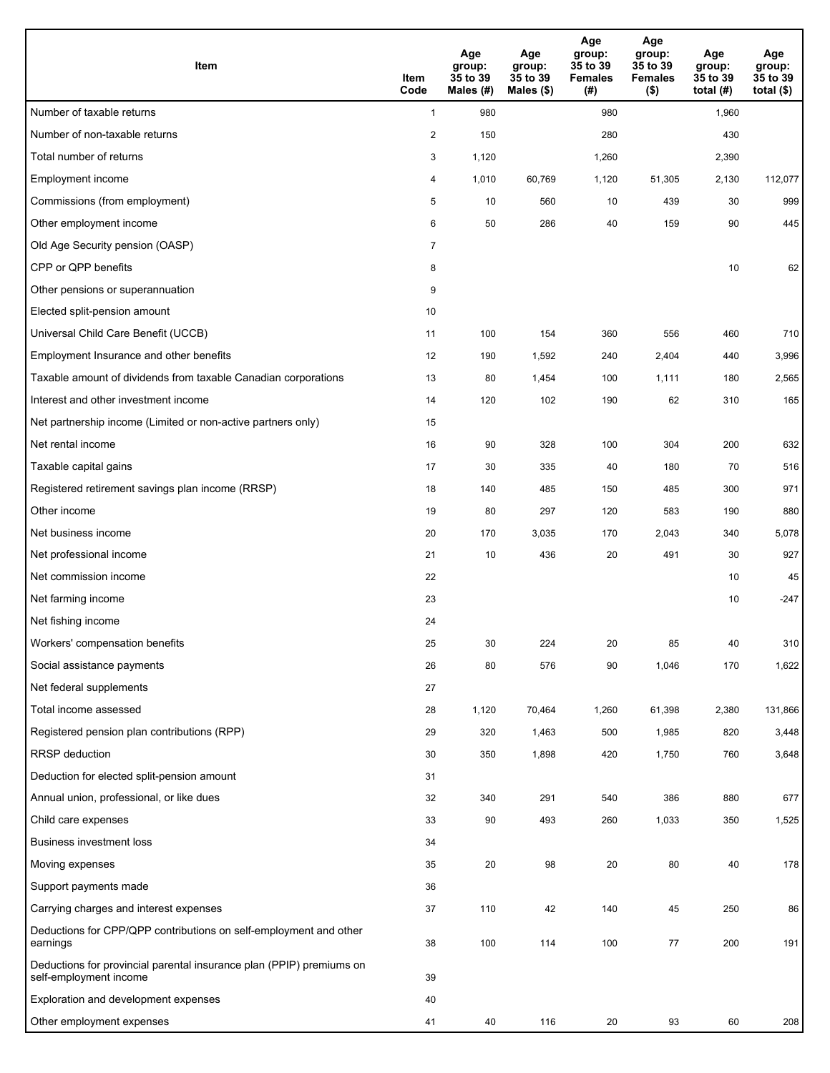| Item                                                                                           | Item<br>Code   | Age<br>group:<br>35 to 39<br>Males (#) | Age<br>group:<br>35 to 39<br>Males (\$) | Age<br>group:<br>35 to 39<br><b>Females</b><br>(#) | Age<br>group:<br>35 to 39<br><b>Females</b><br>$($ \$) | Age<br>group:<br>35 to 39<br>total $(H)$ | Age<br>group:<br>35 to 39<br>total $($)$ |
|------------------------------------------------------------------------------------------------|----------------|----------------------------------------|-----------------------------------------|----------------------------------------------------|--------------------------------------------------------|------------------------------------------|------------------------------------------|
| Number of taxable returns                                                                      | $\mathbf{1}$   | 980                                    |                                         | 980                                                |                                                        | 1,960                                    |                                          |
| Number of non-taxable returns                                                                  | $\overline{2}$ | 150                                    |                                         | 280                                                |                                                        | 430                                      |                                          |
| Total number of returns                                                                        | 3              | 1,120                                  |                                         | 1,260                                              |                                                        | 2,390                                    |                                          |
| Employment income                                                                              | 4              | 1,010                                  | 60,769                                  | 1,120                                              | 51,305                                                 | 2,130                                    | 112,077                                  |
| Commissions (from employment)                                                                  | 5              | 10                                     | 560                                     | 10                                                 | 439                                                    | 30                                       | 999                                      |
| Other employment income                                                                        | 6              | 50                                     | 286                                     | 40                                                 | 159                                                    | 90                                       | 445                                      |
| Old Age Security pension (OASP)                                                                | $\overline{7}$ |                                        |                                         |                                                    |                                                        |                                          |                                          |
| CPP or QPP benefits                                                                            | 8              |                                        |                                         |                                                    |                                                        | 10                                       | 62                                       |
| Other pensions or superannuation                                                               | 9              |                                        |                                         |                                                    |                                                        |                                          |                                          |
| Elected split-pension amount                                                                   | 10             |                                        |                                         |                                                    |                                                        |                                          |                                          |
| Universal Child Care Benefit (UCCB)                                                            | 11             | 100                                    | 154                                     | 360                                                | 556                                                    | 460                                      | 710                                      |
| Employment Insurance and other benefits                                                        | 12             | 190                                    | 1,592                                   | 240                                                | 2,404                                                  | 440                                      | 3,996                                    |
| Taxable amount of dividends from taxable Canadian corporations                                 | 13             | 80                                     | 1,454                                   | 100                                                | 1,111                                                  | 180                                      | 2,565                                    |
| Interest and other investment income                                                           | 14             | 120                                    | 102                                     | 190                                                | 62                                                     | 310                                      | 165                                      |
| Net partnership income (Limited or non-active partners only)                                   | 15             |                                        |                                         |                                                    |                                                        |                                          |                                          |
| Net rental income                                                                              | 16             | 90                                     | 328                                     | 100                                                | 304                                                    | 200                                      | 632                                      |
| Taxable capital gains                                                                          | 17             | 30                                     | 335                                     | 40                                                 | 180                                                    | 70                                       | 516                                      |
| Registered retirement savings plan income (RRSP)                                               | 18             | 140                                    | 485                                     | 150                                                | 485                                                    | 300                                      | 971                                      |
| Other income                                                                                   | 19             | 80                                     | 297                                     | 120                                                | 583                                                    | 190                                      | 880                                      |
| Net business income                                                                            | 20             | 170                                    | 3,035                                   | 170                                                | 2,043                                                  | 340                                      | 5,078                                    |
| Net professional income                                                                        | 21             | 10                                     | 436                                     | 20                                                 | 491                                                    | 30                                       | 927                                      |
| Net commission income                                                                          | 22             |                                        |                                         |                                                    |                                                        | 10                                       | 45                                       |
| Net farming income                                                                             | 23             |                                        |                                         |                                                    |                                                        | 10                                       | $-247$                                   |
| Net fishing income                                                                             | 24             |                                        |                                         |                                                    |                                                        |                                          |                                          |
| Workers' compensation benefits                                                                 | 25             | 30                                     | 224                                     | 20                                                 | 85                                                     | 40                                       | 310                                      |
| Social assistance payments                                                                     | 26             | 80                                     | 576                                     | 90                                                 | 1,046                                                  | 170                                      | 1,622                                    |
| Net federal supplements                                                                        | 27             |                                        |                                         |                                                    |                                                        |                                          |                                          |
| Total income assessed                                                                          | 28             | 1,120                                  | 70,464                                  | 1,260                                              | 61,398                                                 | 2,380                                    | 131,866                                  |
| Registered pension plan contributions (RPP)                                                    | 29             | 320                                    | 1,463                                   | 500                                                | 1,985                                                  | 820                                      | 3,448                                    |
| RRSP deduction                                                                                 | 30             | 350                                    | 1,898                                   | 420                                                | 1,750                                                  | 760                                      | 3,648                                    |
| Deduction for elected split-pension amount                                                     | 31             |                                        |                                         |                                                    |                                                        |                                          |                                          |
| Annual union, professional, or like dues                                                       | 32             | 340                                    | 291                                     | 540                                                | 386                                                    | 880                                      | 677                                      |
| Child care expenses                                                                            | 33             | 90                                     | 493                                     | 260                                                | 1,033                                                  | 350                                      | 1,525                                    |
| <b>Business investment loss</b>                                                                | 34             |                                        |                                         |                                                    |                                                        |                                          |                                          |
| Moving expenses                                                                                | 35             | 20                                     | 98                                      | 20                                                 | 80                                                     | 40                                       | 178                                      |
| Support payments made                                                                          | 36             |                                        |                                         |                                                    |                                                        |                                          |                                          |
| Carrying charges and interest expenses                                                         | 37             | 110                                    | 42                                      | 140                                                | 45                                                     | 250                                      | 86                                       |
| Deductions for CPP/QPP contributions on self-employment and other<br>earnings                  | 38             | 100                                    | 114                                     | 100                                                | 77                                                     | 200                                      | 191                                      |
| Deductions for provincial parental insurance plan (PPIP) premiums on<br>self-employment income | 39             |                                        |                                         |                                                    |                                                        |                                          |                                          |
| Exploration and development expenses                                                           | 40             |                                        |                                         |                                                    |                                                        |                                          |                                          |
| Other employment expenses                                                                      | 41             | 40                                     | 116                                     | 20                                                 | 93                                                     | 60                                       | 208                                      |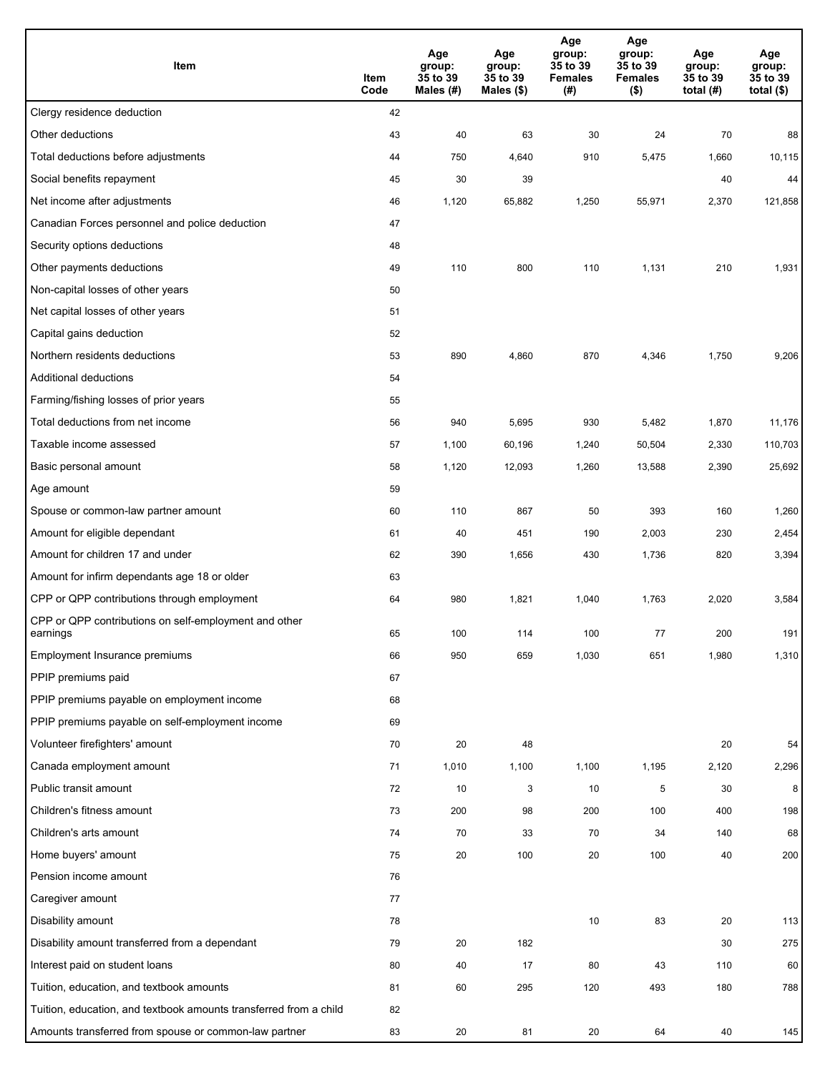| Item                                                              | Item<br>Code | Age<br>group:<br>35 to 39<br>Males (#) | Age<br>group:<br>35 to 39<br>Males (\$) | Age<br>group:<br>35 to 39<br><b>Females</b><br>(#) | Age<br>group:<br>35 to 39<br><b>Females</b><br>$($ \$) | Age<br>group:<br>35 to 39<br>total $(#)$ | Age<br>group:<br>35 to 39<br>total $($)$ |
|-------------------------------------------------------------------|--------------|----------------------------------------|-----------------------------------------|----------------------------------------------------|--------------------------------------------------------|------------------------------------------|------------------------------------------|
| Clergy residence deduction                                        | 42           |                                        |                                         |                                                    |                                                        |                                          |                                          |
| Other deductions                                                  | 43           | 40                                     | 63                                      | 30                                                 | 24                                                     | 70                                       | 88                                       |
| Total deductions before adjustments                               | 44           | 750                                    | 4,640                                   | 910                                                | 5,475                                                  | 1,660                                    | 10,115                                   |
| Social benefits repayment                                         | 45           | 30                                     | 39                                      |                                                    |                                                        | 40                                       | 44                                       |
| Net income after adjustments                                      | 46           | 1,120                                  | 65,882                                  | 1,250                                              | 55,971                                                 | 2,370                                    | 121,858                                  |
| Canadian Forces personnel and police deduction                    | 47           |                                        |                                         |                                                    |                                                        |                                          |                                          |
| Security options deductions                                       | 48           |                                        |                                         |                                                    |                                                        |                                          |                                          |
| Other payments deductions                                         | 49           | 110                                    | 800                                     | 110                                                | 1,131                                                  | 210                                      | 1,931                                    |
| Non-capital losses of other years                                 | 50           |                                        |                                         |                                                    |                                                        |                                          |                                          |
| Net capital losses of other years                                 | 51           |                                        |                                         |                                                    |                                                        |                                          |                                          |
| Capital gains deduction                                           | 52           |                                        |                                         |                                                    |                                                        |                                          |                                          |
| Northern residents deductions                                     | 53           | 890                                    | 4,860                                   | 870                                                | 4,346                                                  | 1,750                                    | 9,206                                    |
| Additional deductions                                             | 54           |                                        |                                         |                                                    |                                                        |                                          |                                          |
| Farming/fishing losses of prior years                             | 55           |                                        |                                         |                                                    |                                                        |                                          |                                          |
| Total deductions from net income                                  | 56           | 940                                    | 5,695                                   | 930                                                | 5,482                                                  | 1,870                                    | 11,176                                   |
| Taxable income assessed                                           | 57           | 1,100                                  | 60,196                                  | 1,240                                              | 50,504                                                 | 2,330                                    | 110,703                                  |
| Basic personal amount                                             | 58           | 1,120                                  | 12,093                                  | 1,260                                              | 13,588                                                 | 2,390                                    | 25,692                                   |
| Age amount                                                        | 59           |                                        |                                         |                                                    |                                                        |                                          |                                          |
| Spouse or common-law partner amount                               | 60           | 110                                    | 867                                     | 50                                                 | 393                                                    | 160                                      | 1,260                                    |
| Amount for eligible dependant                                     | 61           | 40                                     | 451                                     | 190                                                | 2,003                                                  | 230                                      | 2,454                                    |
| Amount for children 17 and under                                  | 62           | 390                                    | 1,656                                   | 430                                                | 1,736                                                  | 820                                      | 3,394                                    |
| Amount for infirm dependants age 18 or older                      | 63           |                                        |                                         |                                                    |                                                        |                                          |                                          |
| CPP or QPP contributions through employment                       | 64           | 980                                    | 1,821                                   | 1,040                                              | 1,763                                                  | 2,020                                    | 3,584                                    |
| CPP or QPP contributions on self-employment and other<br>earnings | 65           | 100                                    | 114                                     | 100                                                | 77                                                     | 200                                      | 191                                      |
| Employment Insurance premiums                                     | 66           | 950                                    | 659                                     | 1,030                                              | 651                                                    | 1,980                                    | 1,310                                    |
| PPIP premiums paid                                                | 67           |                                        |                                         |                                                    |                                                        |                                          |                                          |
| PPIP premiums payable on employment income                        | 68           |                                        |                                         |                                                    |                                                        |                                          |                                          |
| PPIP premiums payable on self-employment income                   | 69           |                                        |                                         |                                                    |                                                        |                                          |                                          |
| Volunteer firefighters' amount                                    | 70           | 20                                     | 48                                      |                                                    |                                                        | 20                                       | 54                                       |
| Canada employment amount                                          | 71           | 1,010                                  | 1,100                                   | 1,100                                              | 1,195                                                  | 2,120                                    | 2,296                                    |
| Public transit amount                                             | 72           | 10                                     | 3                                       | 10                                                 | 5                                                      | 30                                       | 8                                        |
| Children's fitness amount                                         | 73           | 200                                    | 98                                      | 200                                                | 100                                                    | 400                                      | 198                                      |
| Children's arts amount                                            | 74           | 70                                     | 33                                      | 70                                                 | 34                                                     | 140                                      | 68                                       |
| Home buyers' amount                                               | 75           | $20\,$                                 | 100                                     | 20                                                 | 100                                                    | 40                                       | 200                                      |
| Pension income amount                                             | 76           |                                        |                                         |                                                    |                                                        |                                          |                                          |
| Caregiver amount                                                  | 77           |                                        |                                         |                                                    |                                                        |                                          |                                          |
| Disability amount                                                 | 78           |                                        |                                         | 10                                                 | 83                                                     | 20                                       | 113                                      |
| Disability amount transferred from a dependant                    | 79           | 20                                     | 182                                     |                                                    |                                                        | 30                                       | 275                                      |
| Interest paid on student loans                                    | 80           | 40                                     | 17                                      | 80                                                 | 43                                                     | 110                                      | 60                                       |
| Tuition, education, and textbook amounts                          | 81           | 60                                     | 295                                     | 120                                                | 493                                                    | 180                                      | 788                                      |
| Tuition, education, and textbook amounts transferred from a child | 82           |                                        |                                         |                                                    |                                                        |                                          |                                          |
| Amounts transferred from spouse or common-law partner             | 83           | 20                                     | 81                                      | 20                                                 | 64                                                     | 40                                       | 145                                      |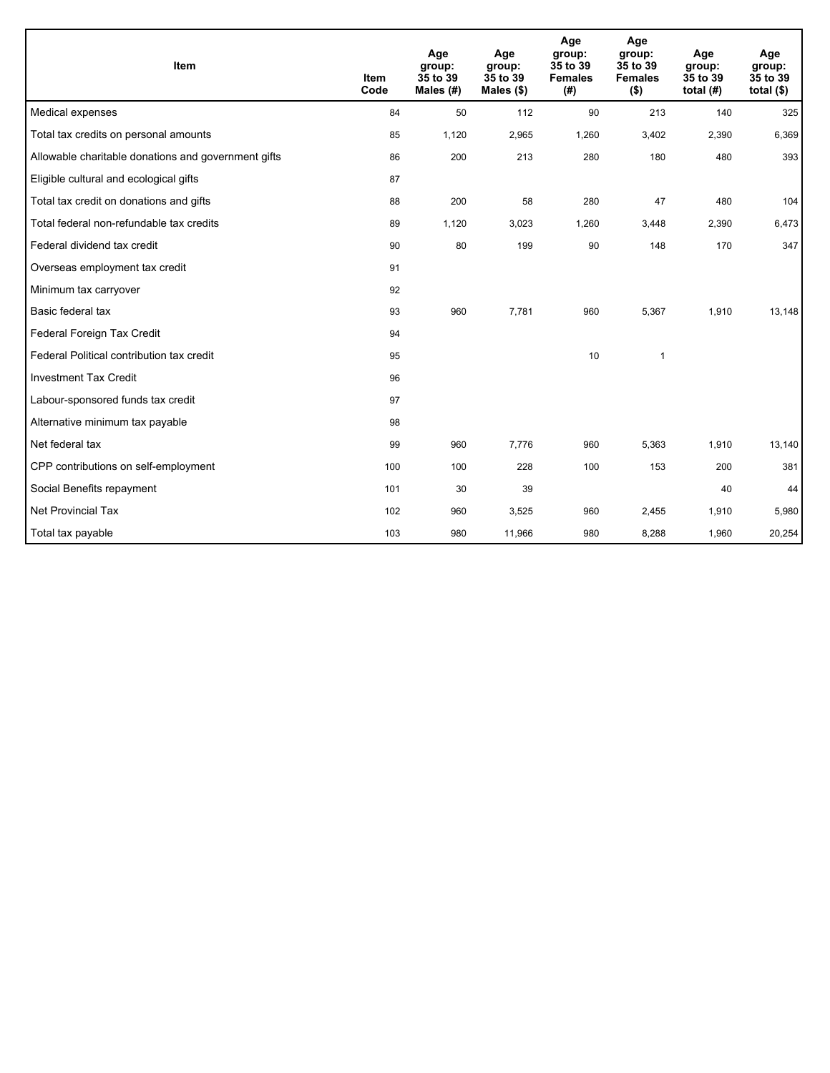| Item                                                | <b>Item</b><br>Code | Age<br>group:<br>35 to 39<br>Males (#) | Age<br>group:<br>35 to 39<br>Males (\$) | Age<br>group:<br>35 to 39<br><b>Females</b><br>(#) | Age<br>group:<br>35 to 39<br><b>Females</b><br>$($ \$) | Age<br>group:<br>35 to 39<br>total $(H)$ | Age<br>group:<br>35 to 39<br>total $($)$ |
|-----------------------------------------------------|---------------------|----------------------------------------|-----------------------------------------|----------------------------------------------------|--------------------------------------------------------|------------------------------------------|------------------------------------------|
| Medical expenses                                    | 84                  | 50                                     | 112                                     | 90                                                 | 213                                                    | 140                                      | 325                                      |
| Total tax credits on personal amounts               | 85                  | 1,120                                  | 2,965                                   | 1,260                                              | 3,402                                                  | 2,390                                    | 6,369                                    |
| Allowable charitable donations and government gifts | 86                  | 200                                    | 213                                     | 280                                                | 180                                                    | 480                                      | 393                                      |
| Eligible cultural and ecological gifts              | 87                  |                                        |                                         |                                                    |                                                        |                                          |                                          |
| Total tax credit on donations and gifts             | 88                  | 200                                    | 58                                      | 280                                                | 47                                                     | 480                                      | 104                                      |
| Total federal non-refundable tax credits            | 89                  | 1,120                                  | 3,023                                   | 1,260                                              | 3,448                                                  | 2,390                                    | 6,473                                    |
| Federal dividend tax credit                         | 90                  | 80                                     | 199                                     | 90                                                 | 148                                                    | 170                                      | 347                                      |
| Overseas employment tax credit                      | 91                  |                                        |                                         |                                                    |                                                        |                                          |                                          |
| Minimum tax carryover                               | 92                  |                                        |                                         |                                                    |                                                        |                                          |                                          |
| Basic federal tax                                   | 93                  | 960                                    | 7,781                                   | 960                                                | 5,367                                                  | 1,910                                    | 13,148                                   |
| Federal Foreign Tax Credit                          | 94                  |                                        |                                         |                                                    |                                                        |                                          |                                          |
| Federal Political contribution tax credit           | 95                  |                                        |                                         | 10                                                 | $\mathbf{1}$                                           |                                          |                                          |
| <b>Investment Tax Credit</b>                        | 96                  |                                        |                                         |                                                    |                                                        |                                          |                                          |
| Labour-sponsored funds tax credit                   | 97                  |                                        |                                         |                                                    |                                                        |                                          |                                          |
| Alternative minimum tax payable                     | 98                  |                                        |                                         |                                                    |                                                        |                                          |                                          |
| Net federal tax                                     | 99                  | 960                                    | 7,776                                   | 960                                                | 5,363                                                  | 1,910                                    | 13,140                                   |
| CPP contributions on self-employment                | 100                 | 100                                    | 228                                     | 100                                                | 153                                                    | 200                                      | 381                                      |
| Social Benefits repayment                           | 101                 | 30                                     | 39                                      |                                                    |                                                        | 40                                       | 44                                       |
| Net Provincial Tax                                  | 102                 | 960                                    | 3,525                                   | 960                                                | 2,455                                                  | 1,910                                    | 5,980                                    |
| Total tax payable                                   | 103                 | 980                                    | 11,966                                  | 980                                                | 8,288                                                  | 1,960                                    | 20,254                                   |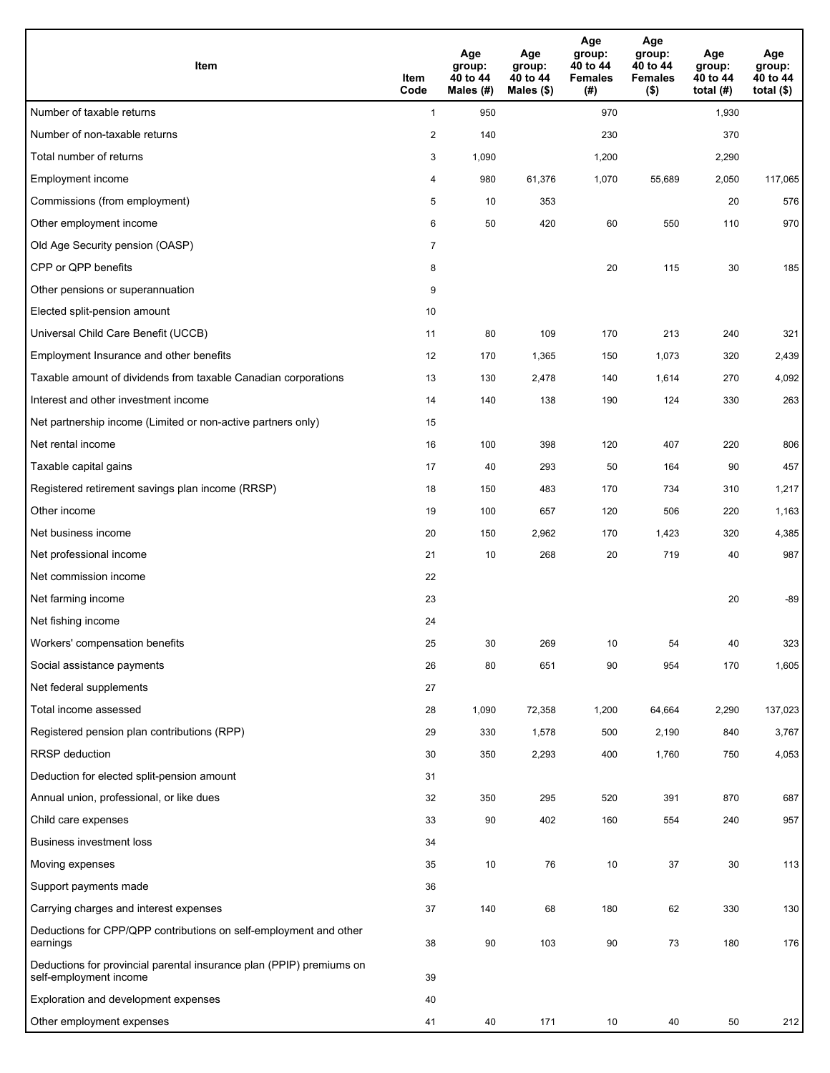| Item                                                                                           | Item<br>Code   | Age<br>group:<br>40 to 44<br>Males (#) | Age<br>group:<br>40 to 44<br>Males (\$) | Age<br>group:<br>40 to 44<br><b>Females</b><br>(# ) | Age<br>group:<br>40 to 44<br><b>Females</b><br>$($ \$) | Age<br>group:<br>40 to 44<br>total $(#)$ | Age<br>group:<br>40 to 44<br>total $($)$ |
|------------------------------------------------------------------------------------------------|----------------|----------------------------------------|-----------------------------------------|-----------------------------------------------------|--------------------------------------------------------|------------------------------------------|------------------------------------------|
| Number of taxable returns                                                                      | $\mathbf{1}$   | 950                                    |                                         | 970                                                 |                                                        | 1,930                                    |                                          |
| Number of non-taxable returns                                                                  | $\overline{2}$ | 140                                    |                                         | 230                                                 |                                                        | 370                                      |                                          |
| Total number of returns                                                                        | 3              | 1,090                                  |                                         | 1,200                                               |                                                        | 2,290                                    |                                          |
| <b>Employment income</b>                                                                       | 4              | 980                                    | 61,376                                  | 1,070                                               | 55,689                                                 | 2,050                                    | 117,065                                  |
| Commissions (from employment)                                                                  | 5              | 10                                     | 353                                     |                                                     |                                                        | 20                                       | 576                                      |
| Other employment income                                                                        | 6              | 50                                     | 420                                     | 60                                                  | 550                                                    | 110                                      | 970                                      |
| Old Age Security pension (OASP)                                                                | $\overline{7}$ |                                        |                                         |                                                     |                                                        |                                          |                                          |
| CPP or QPP benefits                                                                            | 8              |                                        |                                         | 20                                                  | 115                                                    | 30                                       | 185                                      |
| Other pensions or superannuation                                                               | 9              |                                        |                                         |                                                     |                                                        |                                          |                                          |
| Elected split-pension amount                                                                   | 10             |                                        |                                         |                                                     |                                                        |                                          |                                          |
| Universal Child Care Benefit (UCCB)                                                            | 11             | 80                                     | 109                                     | 170                                                 | 213                                                    | 240                                      | 321                                      |
| Employment Insurance and other benefits                                                        | 12             | 170                                    | 1,365                                   | 150                                                 | 1,073                                                  | 320                                      | 2,439                                    |
| Taxable amount of dividends from taxable Canadian corporations                                 | 13             | 130                                    | 2,478                                   | 140                                                 | 1,614                                                  | 270                                      | 4,092                                    |
| Interest and other investment income                                                           | 14             | 140                                    | 138                                     | 190                                                 | 124                                                    | 330                                      | 263                                      |
| Net partnership income (Limited or non-active partners only)                                   | 15             |                                        |                                         |                                                     |                                                        |                                          |                                          |
| Net rental income                                                                              | 16             | 100                                    | 398                                     | 120                                                 | 407                                                    | 220                                      | 806                                      |
| Taxable capital gains                                                                          | 17             | 40                                     | 293                                     | 50                                                  | 164                                                    | 90                                       | 457                                      |
| Registered retirement savings plan income (RRSP)                                               | 18             | 150                                    | 483                                     | 170                                                 | 734                                                    | 310                                      | 1,217                                    |
| Other income                                                                                   | 19             | 100                                    | 657                                     | 120                                                 | 506                                                    | 220                                      | 1,163                                    |
| Net business income                                                                            | 20             | 150                                    | 2,962                                   | 170                                                 | 1,423                                                  | 320                                      | 4,385                                    |
| Net professional income                                                                        | 21             | 10                                     | 268                                     | 20                                                  | 719                                                    | 40                                       | 987                                      |
| Net commission income                                                                          | 22             |                                        |                                         |                                                     |                                                        |                                          |                                          |
| Net farming income                                                                             | 23             |                                        |                                         |                                                     |                                                        | 20                                       | -89                                      |
| Net fishing income                                                                             | 24             |                                        |                                         |                                                     |                                                        |                                          |                                          |
| Workers' compensation benefits                                                                 | 25             | 30                                     | 269                                     | 10                                                  | 54                                                     | 40                                       | 323                                      |
| Social assistance payments                                                                     | 26             | 80                                     | 651                                     | 90                                                  | 954                                                    | 170                                      | 1,605                                    |
| Net federal supplements                                                                        | 27             |                                        |                                         |                                                     |                                                        |                                          |                                          |
| Total income assessed                                                                          | 28             | 1,090                                  | 72,358                                  | 1,200                                               | 64,664                                                 | 2,290                                    | 137,023                                  |
| Registered pension plan contributions (RPP)                                                    | 29             | 330                                    | 1,578                                   | 500                                                 | 2,190                                                  | 840                                      | 3,767                                    |
| <b>RRSP</b> deduction                                                                          | 30             | 350                                    | 2,293                                   | 400                                                 | 1,760                                                  | 750                                      | 4,053                                    |
| Deduction for elected split-pension amount                                                     | 31             |                                        |                                         |                                                     |                                                        |                                          |                                          |
| Annual union, professional, or like dues                                                       | 32             | 350                                    | 295                                     | 520                                                 | 391                                                    | 870                                      | 687                                      |
| Child care expenses                                                                            | 33             | 90                                     | 402                                     | 160                                                 | 554                                                    | 240                                      | 957                                      |
| Business investment loss                                                                       | 34             |                                        |                                         |                                                     |                                                        |                                          |                                          |
| Moving expenses                                                                                | 35             | 10                                     | 76                                      | 10                                                  | 37                                                     | 30                                       | 113                                      |
| Support payments made                                                                          | 36             |                                        |                                         |                                                     |                                                        |                                          |                                          |
| Carrying charges and interest expenses                                                         | 37             | 140                                    | 68                                      | 180                                                 | 62                                                     | 330                                      | 130                                      |
| Deductions for CPP/QPP contributions on self-employment and other<br>earnings                  | 38             | 90                                     | 103                                     | 90                                                  | 73                                                     | 180                                      | 176                                      |
| Deductions for provincial parental insurance plan (PPIP) premiums on<br>self-employment income | 39             |                                        |                                         |                                                     |                                                        |                                          |                                          |
| Exploration and development expenses                                                           | 40             |                                        |                                         |                                                     |                                                        |                                          |                                          |
| Other employment expenses                                                                      | 41             | 40                                     | 171                                     | 10                                                  | 40                                                     | 50                                       | 212                                      |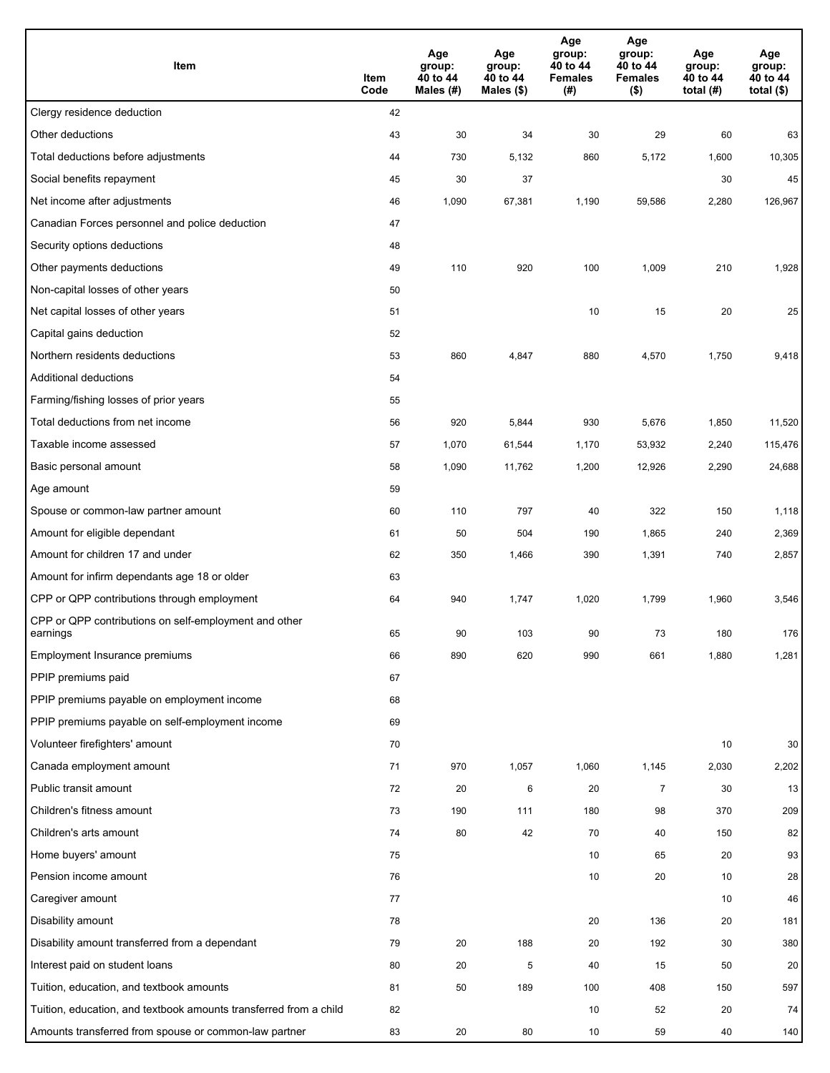| Item                                                              | Item<br>Code | Age<br>group:<br>40 to 44<br>Males (#) | Age<br>group:<br>40 to 44<br>Males (\$) | Age<br>group:<br>40 to 44<br><b>Females</b><br>(#) | Age<br>group:<br>40 to 44<br><b>Females</b><br>$($ \$) | Age<br>group:<br>40 to 44<br>total $(H)$ | Age<br>group:<br>40 to 44<br>total $($)$ |
|-------------------------------------------------------------------|--------------|----------------------------------------|-----------------------------------------|----------------------------------------------------|--------------------------------------------------------|------------------------------------------|------------------------------------------|
| Clergy residence deduction                                        | 42           |                                        |                                         |                                                    |                                                        |                                          |                                          |
| Other deductions                                                  | 43           | 30                                     | 34                                      | 30                                                 | 29                                                     | 60                                       | 63                                       |
| Total deductions before adjustments                               | 44           | 730                                    | 5,132                                   | 860                                                | 5,172                                                  | 1,600                                    | 10,305                                   |
| Social benefits repayment                                         | 45           | 30                                     | 37                                      |                                                    |                                                        | 30                                       | 45                                       |
| Net income after adjustments                                      | 46           | 1,090                                  | 67,381                                  | 1,190                                              | 59,586                                                 | 2,280                                    | 126,967                                  |
| Canadian Forces personnel and police deduction                    | 47           |                                        |                                         |                                                    |                                                        |                                          |                                          |
| Security options deductions                                       | 48           |                                        |                                         |                                                    |                                                        |                                          |                                          |
| Other payments deductions                                         | 49           | 110                                    | 920                                     | 100                                                | 1,009                                                  | 210                                      | 1,928                                    |
| Non-capital losses of other years                                 | 50           |                                        |                                         |                                                    |                                                        |                                          |                                          |
| Net capital losses of other years                                 | 51           |                                        |                                         | 10                                                 | 15                                                     | 20                                       | 25                                       |
| Capital gains deduction                                           | 52           |                                        |                                         |                                                    |                                                        |                                          |                                          |
| Northern residents deductions                                     | 53           | 860                                    | 4,847                                   | 880                                                | 4,570                                                  | 1,750                                    | 9,418                                    |
| Additional deductions                                             | 54           |                                        |                                         |                                                    |                                                        |                                          |                                          |
| Farming/fishing losses of prior years                             | 55           |                                        |                                         |                                                    |                                                        |                                          |                                          |
| Total deductions from net income                                  | 56           | 920                                    | 5,844                                   | 930                                                | 5,676                                                  | 1,850                                    | 11,520                                   |
| Taxable income assessed                                           | 57           | 1,070                                  | 61,544                                  | 1,170                                              | 53,932                                                 | 2,240                                    | 115,476                                  |
| Basic personal amount                                             | 58           | 1,090                                  | 11,762                                  | 1,200                                              | 12,926                                                 | 2,290                                    | 24,688                                   |
| Age amount                                                        | 59           |                                        |                                         |                                                    |                                                        |                                          |                                          |
| Spouse or common-law partner amount                               | 60           | 110                                    | 797                                     | 40                                                 | 322                                                    | 150                                      | 1,118                                    |
| Amount for eligible dependant                                     | 61           | 50                                     | 504                                     | 190                                                | 1,865                                                  | 240                                      | 2,369                                    |
| Amount for children 17 and under                                  | 62           | 350                                    | 1,466                                   | 390                                                | 1,391                                                  | 740                                      | 2,857                                    |
| Amount for infirm dependants age 18 or older                      | 63           |                                        |                                         |                                                    |                                                        |                                          |                                          |
| CPP or QPP contributions through employment                       | 64           | 940                                    | 1,747                                   | 1,020                                              | 1,799                                                  | 1,960                                    | 3,546                                    |
| CPP or QPP contributions on self-employment and other<br>earnings | 65           | 90                                     | 103                                     | 90                                                 | 73                                                     | 180                                      | 176                                      |
| Employment Insurance premiums                                     | 66           | 890                                    | 620                                     | 990                                                | 661                                                    | 1,880                                    | 1,281                                    |
| PPIP premiums paid                                                | 67           |                                        |                                         |                                                    |                                                        |                                          |                                          |
| PPIP premiums payable on employment income                        | 68           |                                        |                                         |                                                    |                                                        |                                          |                                          |
| PPIP premiums payable on self-employment income                   | 69           |                                        |                                         |                                                    |                                                        |                                          |                                          |
| Volunteer firefighters' amount                                    | 70           |                                        |                                         |                                                    |                                                        | 10                                       | 30                                       |
| Canada employment amount                                          | 71           | 970                                    | 1,057                                   | 1,060                                              | 1,145                                                  | 2,030                                    | 2,202                                    |
| Public transit amount                                             | 72           | 20                                     | 6                                       | 20                                                 | $\overline{7}$                                         | 30                                       | 13                                       |
| Children's fitness amount                                         | 73           | 190                                    | 111                                     | 180                                                | 98                                                     | 370                                      | 209                                      |
| Children's arts amount                                            | 74           | 80                                     | 42                                      | 70                                                 | 40                                                     | 150                                      | 82                                       |
| Home buyers' amount                                               | 75           |                                        |                                         | 10                                                 | 65                                                     | 20                                       | 93                                       |
| Pension income amount                                             | 76           |                                        |                                         | 10                                                 | 20                                                     | 10                                       | 28                                       |
| Caregiver amount                                                  | 77           |                                        |                                         |                                                    |                                                        | 10                                       | 46                                       |
| Disability amount                                                 | 78           |                                        |                                         | 20                                                 | 136                                                    | 20                                       | 181                                      |
| Disability amount transferred from a dependant                    | 79           | 20                                     | 188                                     | 20                                                 | 192                                                    | 30                                       | 380                                      |
| Interest paid on student loans                                    | 80           | 20                                     | 5                                       | 40                                                 | 15                                                     | 50                                       | 20                                       |
| Tuition, education, and textbook amounts                          | 81           | 50                                     | 189                                     | 100                                                | 408                                                    | 150                                      | 597                                      |
| Tuition, education, and textbook amounts transferred from a child | 82           |                                        |                                         | 10                                                 | 52                                                     | 20                                       | 74                                       |
| Amounts transferred from spouse or common-law partner             | 83           | 20                                     | 80                                      | 10                                                 | 59                                                     | 40                                       | 140                                      |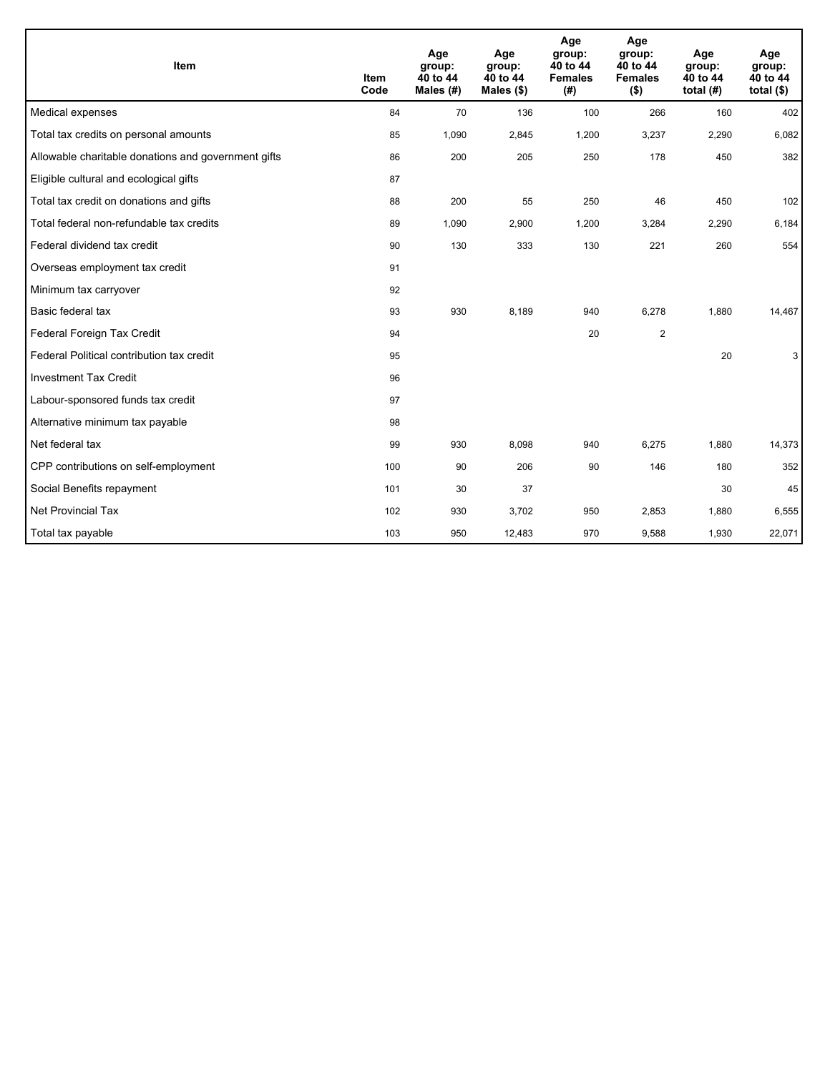| Item                                                | <b>Item</b><br>Code | Age<br>group:<br>40 to 44<br>Males $(H)$ | Age<br>group:<br>40 to 44<br>Males $(\$)$ | Age<br>group:<br>40 to 44<br><b>Females</b><br>(# ) | Age<br>group:<br>40 to 44<br><b>Females</b><br>$($ \$) | Age<br>group:<br>40 to 44<br>total $(H)$ | Age<br>group:<br>40 to 44<br>total $(§)$ |
|-----------------------------------------------------|---------------------|------------------------------------------|-------------------------------------------|-----------------------------------------------------|--------------------------------------------------------|------------------------------------------|------------------------------------------|
| Medical expenses                                    | 84                  | 70                                       | 136                                       | 100                                                 | 266                                                    | 160                                      | 402                                      |
| Total tax credits on personal amounts               | 85                  | 1,090                                    | 2,845                                     | 1,200                                               | 3,237                                                  | 2,290                                    | 6,082                                    |
| Allowable charitable donations and government gifts | 86                  | 200                                      | 205                                       | 250                                                 | 178                                                    | 450                                      | 382                                      |
| Eligible cultural and ecological gifts              | 87                  |                                          |                                           |                                                     |                                                        |                                          |                                          |
| Total tax credit on donations and gifts             | 88                  | 200                                      | 55                                        | 250                                                 | 46                                                     | 450                                      | 102                                      |
| Total federal non-refundable tax credits            | 89                  | 1,090                                    | 2,900                                     | 1,200                                               | 3,284                                                  | 2,290                                    | 6,184                                    |
| Federal dividend tax credit                         | 90                  | 130                                      | 333                                       | 130                                                 | 221                                                    | 260                                      | 554                                      |
| Overseas employment tax credit                      | 91                  |                                          |                                           |                                                     |                                                        |                                          |                                          |
| Minimum tax carryover                               | 92                  |                                          |                                           |                                                     |                                                        |                                          |                                          |
| Basic federal tax                                   | 93                  | 930                                      | 8,189                                     | 940                                                 | 6,278                                                  | 1,880                                    | 14,467                                   |
| Federal Foreign Tax Credit                          | 94                  |                                          |                                           | 20                                                  | $\overline{2}$                                         |                                          |                                          |
| Federal Political contribution tax credit           | 95                  |                                          |                                           |                                                     |                                                        | 20                                       | 3                                        |
| <b>Investment Tax Credit</b>                        | 96                  |                                          |                                           |                                                     |                                                        |                                          |                                          |
| Labour-sponsored funds tax credit                   | 97                  |                                          |                                           |                                                     |                                                        |                                          |                                          |
| Alternative minimum tax payable                     | 98                  |                                          |                                           |                                                     |                                                        |                                          |                                          |
| Net federal tax                                     | 99                  | 930                                      | 8.098                                     | 940                                                 | 6,275                                                  | 1,880                                    | 14,373                                   |
| CPP contributions on self-employment                | 100                 | 90                                       | 206                                       | 90                                                  | 146                                                    | 180                                      | 352                                      |
| Social Benefits repayment                           | 101                 | 30                                       | 37                                        |                                                     |                                                        | 30                                       | 45                                       |
| Net Provincial Tax                                  | 102                 | 930                                      | 3,702                                     | 950                                                 | 2,853                                                  | 1,880                                    | 6,555                                    |
| Total tax payable                                   | 103                 | 950                                      | 12,483                                    | 970                                                 | 9,588                                                  | 1,930                                    | 22,071                                   |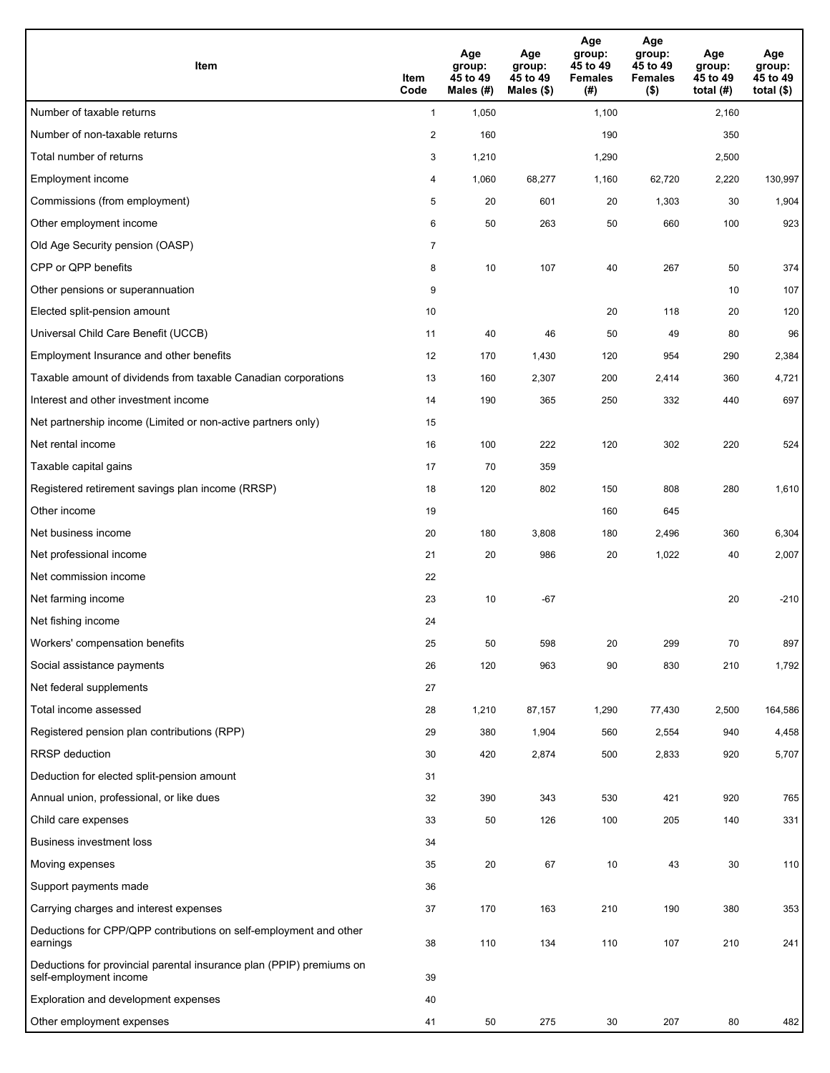| <b>Item</b>                                                                                    | Item<br>Code   | Age<br>group:<br>45 to 49<br>Males (#) | Age<br>group:<br>45 to 49<br>Males (\$) | Age<br>group:<br>45 to 49<br><b>Females</b><br>(#) | Age<br>group:<br>45 to 49<br><b>Females</b><br>$($ \$) | Age<br>group:<br>45 to 49<br>total $(#)$ | Age<br>group:<br>45 to 49<br>total $($)$ |
|------------------------------------------------------------------------------------------------|----------------|----------------------------------------|-----------------------------------------|----------------------------------------------------|--------------------------------------------------------|------------------------------------------|------------------------------------------|
| Number of taxable returns                                                                      | $\mathbf{1}$   | 1,050                                  |                                         | 1,100                                              |                                                        | 2,160                                    |                                          |
| Number of non-taxable returns                                                                  | $\overline{2}$ | 160                                    |                                         | 190                                                |                                                        | 350                                      |                                          |
| Total number of returns                                                                        | 3              | 1,210                                  |                                         | 1,290                                              |                                                        | 2,500                                    |                                          |
| Employment income                                                                              | 4              | 1,060                                  | 68,277                                  | 1,160                                              | 62,720                                                 | 2,220                                    | 130,997                                  |
| Commissions (from employment)                                                                  | 5              | 20                                     | 601                                     | 20                                                 | 1,303                                                  | 30                                       | 1,904                                    |
| Other employment income                                                                        | 6              | 50                                     | 263                                     | 50                                                 | 660                                                    | 100                                      | 923                                      |
| Old Age Security pension (OASP)                                                                | $\overline{7}$ |                                        |                                         |                                                    |                                                        |                                          |                                          |
| CPP or QPP benefits                                                                            | 8              | 10                                     | 107                                     | 40                                                 | 267                                                    | 50                                       | 374                                      |
| Other pensions or superannuation                                                               | 9              |                                        |                                         |                                                    |                                                        | 10                                       | 107                                      |
| Elected split-pension amount                                                                   | 10             |                                        |                                         | 20                                                 | 118                                                    | 20                                       | 120                                      |
| Universal Child Care Benefit (UCCB)                                                            | 11             | 40                                     | 46                                      | 50                                                 | 49                                                     | 80                                       | 96                                       |
| Employment Insurance and other benefits                                                        | 12             | 170                                    | 1,430                                   | 120                                                | 954                                                    | 290                                      | 2,384                                    |
| Taxable amount of dividends from taxable Canadian corporations                                 | 13             | 160                                    | 2,307                                   | 200                                                | 2,414                                                  | 360                                      | 4,721                                    |
| Interest and other investment income                                                           | 14             | 190                                    | 365                                     | 250                                                | 332                                                    | 440                                      | 697                                      |
| Net partnership income (Limited or non-active partners only)                                   | 15             |                                        |                                         |                                                    |                                                        |                                          |                                          |
| Net rental income                                                                              | 16             | 100                                    | 222                                     | 120                                                | 302                                                    | 220                                      | 524                                      |
| Taxable capital gains                                                                          | 17             | 70                                     | 359                                     |                                                    |                                                        |                                          |                                          |
| Registered retirement savings plan income (RRSP)                                               | 18             | 120                                    | 802                                     | 150                                                | 808                                                    | 280                                      | 1,610                                    |
| Other income                                                                                   | 19             |                                        |                                         | 160                                                | 645                                                    |                                          |                                          |
| Net business income                                                                            | 20             | 180                                    | 3,808                                   | 180                                                | 2,496                                                  | 360                                      | 6,304                                    |
| Net professional income                                                                        | 21             | 20                                     | 986                                     | 20                                                 | 1,022                                                  | 40                                       | 2,007                                    |
| Net commission income                                                                          | 22             |                                        |                                         |                                                    |                                                        |                                          |                                          |
| Net farming income                                                                             | 23             | 10                                     | $-67$                                   |                                                    |                                                        | 20                                       | $-210$                                   |
| Net fishing income                                                                             | 24             |                                        |                                         |                                                    |                                                        |                                          |                                          |
| Workers' compensation benefits                                                                 | 25             | 50                                     | 598                                     | 20                                                 | 299                                                    | 70                                       | 897                                      |
| Social assistance payments                                                                     | 26             | 120                                    | 963                                     | 90                                                 | 830                                                    | 210                                      | 1,792                                    |
| Net federal supplements                                                                        | 27             |                                        |                                         |                                                    |                                                        |                                          |                                          |
| Total income assessed                                                                          | 28             | 1,210                                  | 87,157                                  | 1,290                                              | 77,430                                                 | 2,500                                    | 164,586                                  |
| Registered pension plan contributions (RPP)                                                    | 29             | 380                                    | 1,904                                   | 560                                                | 2,554                                                  | 940                                      | 4,458                                    |
| RRSP deduction                                                                                 | 30             | 420                                    | 2,874                                   | 500                                                | 2,833                                                  | 920                                      | 5,707                                    |
| Deduction for elected split-pension amount                                                     | 31             |                                        |                                         |                                                    |                                                        |                                          |                                          |
| Annual union, professional, or like dues                                                       | 32             | 390                                    | 343                                     | 530                                                | 421                                                    | 920                                      | 765                                      |
| Child care expenses                                                                            | 33             | 50                                     | 126                                     | 100                                                | 205                                                    | 140                                      | 331                                      |
| <b>Business investment loss</b>                                                                | 34             |                                        |                                         |                                                    |                                                        |                                          |                                          |
| Moving expenses                                                                                | 35             | 20                                     | 67                                      | 10                                                 | 43                                                     | 30                                       | 110                                      |
| Support payments made                                                                          | 36             |                                        |                                         |                                                    |                                                        |                                          |                                          |
| Carrying charges and interest expenses                                                         | 37             | 170                                    | 163                                     | 210                                                | 190                                                    | 380                                      | 353                                      |
| Deductions for CPP/QPP contributions on self-employment and other<br>earnings                  | 38             | 110                                    | 134                                     | 110                                                | 107                                                    | 210                                      | 241                                      |
| Deductions for provincial parental insurance plan (PPIP) premiums on<br>self-employment income | 39             |                                        |                                         |                                                    |                                                        |                                          |                                          |
| Exploration and development expenses                                                           | 40             |                                        |                                         |                                                    |                                                        |                                          |                                          |
| Other employment expenses                                                                      | 41             | 50                                     | 275                                     | 30                                                 | 207                                                    | 80                                       | 482                                      |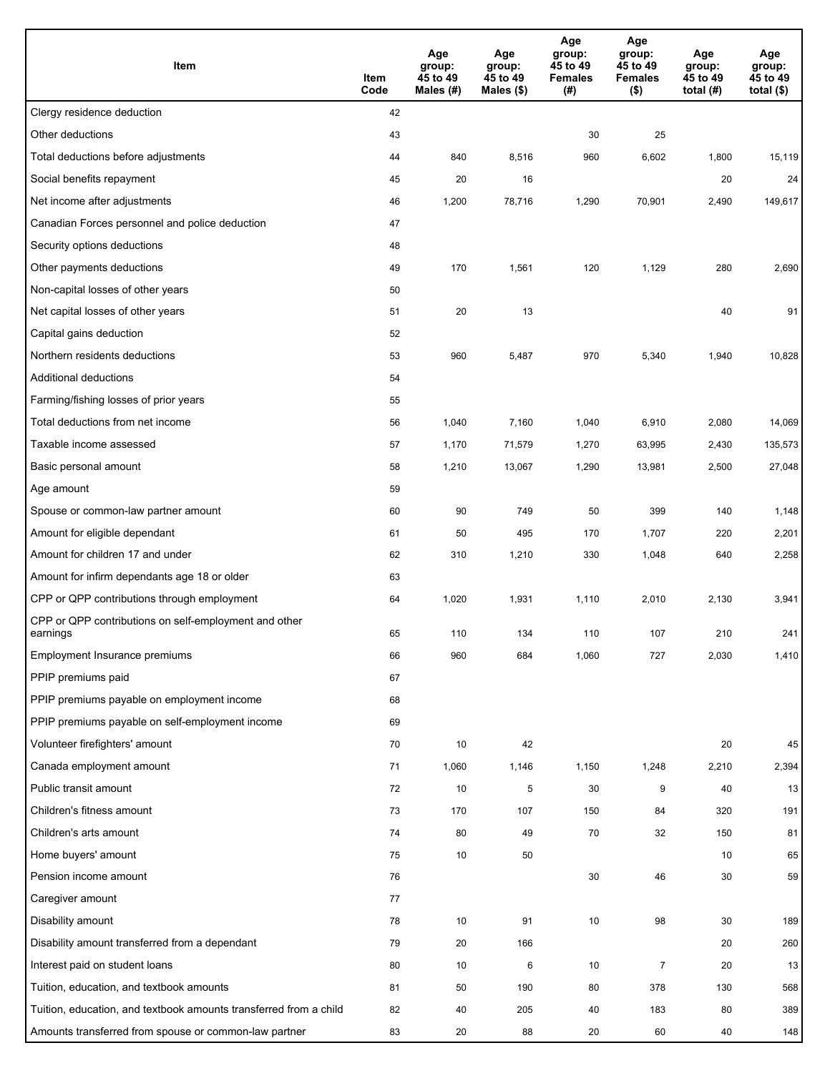| Item                                                              | Item<br>Code | Age<br>group:<br>45 to 49<br>Males (#) | Age<br>group:<br>45 to 49<br>Males (\$) | Age<br>group:<br>45 to 49<br><b>Females</b><br>(#) | Age<br>group:<br>45 to 49<br><b>Females</b><br>$($ \$) | Age<br>group:<br>45 to 49<br>total (#) | Age<br>group:<br>45 to 49<br>total $($)$ |
|-------------------------------------------------------------------|--------------|----------------------------------------|-----------------------------------------|----------------------------------------------------|--------------------------------------------------------|----------------------------------------|------------------------------------------|
| Clergy residence deduction                                        | 42           |                                        |                                         |                                                    |                                                        |                                        |                                          |
| Other deductions                                                  | 43           |                                        |                                         | 30                                                 | 25                                                     |                                        |                                          |
| Total deductions before adjustments                               | 44           | 840                                    | 8,516                                   | 960                                                | 6,602                                                  | 1,800                                  | 15,119                                   |
| Social benefits repayment                                         | 45           | 20                                     | 16                                      |                                                    |                                                        | 20                                     | 24                                       |
| Net income after adjustments                                      | 46           | 1,200                                  | 78,716                                  | 1,290                                              | 70,901                                                 | 2,490                                  | 149,617                                  |
| Canadian Forces personnel and police deduction                    | 47           |                                        |                                         |                                                    |                                                        |                                        |                                          |
| Security options deductions                                       | 48           |                                        |                                         |                                                    |                                                        |                                        |                                          |
| Other payments deductions                                         | 49           | 170                                    | 1,561                                   | 120                                                | 1,129                                                  | 280                                    | 2,690                                    |
| Non-capital losses of other years                                 | 50           |                                        |                                         |                                                    |                                                        |                                        |                                          |
| Net capital losses of other years                                 | 51           | 20                                     | 13                                      |                                                    |                                                        | 40                                     | 91                                       |
| Capital gains deduction                                           | 52           |                                        |                                         |                                                    |                                                        |                                        |                                          |
| Northern residents deductions                                     | 53           | 960                                    | 5,487                                   | 970                                                | 5,340                                                  | 1,940                                  | 10,828                                   |
| Additional deductions                                             | 54           |                                        |                                         |                                                    |                                                        |                                        |                                          |
| Farming/fishing losses of prior years                             | 55           |                                        |                                         |                                                    |                                                        |                                        |                                          |
| Total deductions from net income                                  | 56           | 1,040                                  | 7,160                                   | 1,040                                              | 6,910                                                  | 2,080                                  | 14,069                                   |
| Taxable income assessed                                           | 57           | 1,170                                  | 71,579                                  | 1,270                                              | 63,995                                                 | 2,430                                  | 135,573                                  |
| Basic personal amount                                             | 58           | 1,210                                  | 13,067                                  | 1,290                                              | 13,981                                                 | 2,500                                  | 27,048                                   |
| Age amount                                                        | 59           |                                        |                                         |                                                    |                                                        |                                        |                                          |
| Spouse or common-law partner amount                               | 60           | 90                                     | 749                                     | 50                                                 | 399                                                    | 140                                    | 1,148                                    |
| Amount for eligible dependant                                     | 61           | 50                                     | 495                                     | 170                                                | 1,707                                                  | 220                                    | 2,201                                    |
| Amount for children 17 and under                                  | 62           | 310                                    | 1,210                                   | 330                                                | 1,048                                                  | 640                                    | 2,258                                    |
| Amount for infirm dependants age 18 or older                      | 63           |                                        |                                         |                                                    |                                                        |                                        |                                          |
| CPP or QPP contributions through employment                       | 64           | 1,020                                  | 1,931                                   | 1,110                                              | 2,010                                                  | 2,130                                  | 3,941                                    |
| CPP or QPP contributions on self-employment and other<br>earnings | 65           | 110                                    | 134                                     | 110                                                | 107                                                    | 210                                    | 241                                      |
| Employment Insurance premiums                                     | 66           | 960                                    | 684                                     | 1,060                                              | 727                                                    | 2,030                                  | 1,410                                    |
| PPIP premiums paid                                                | 67           |                                        |                                         |                                                    |                                                        |                                        |                                          |
| PPIP premiums payable on employment income                        | 68           |                                        |                                         |                                                    |                                                        |                                        |                                          |
| PPIP premiums payable on self-employment income                   | 69           |                                        |                                         |                                                    |                                                        |                                        |                                          |
| Volunteer firefighters' amount                                    | 70           | 10                                     | 42                                      |                                                    |                                                        | 20                                     | 45                                       |
| Canada employment amount                                          | 71           | 1,060                                  | 1,146                                   | 1,150                                              | 1,248                                                  | 2,210                                  | 2,394                                    |
| Public transit amount                                             | 72           | 10                                     | 5                                       | 30                                                 | 9                                                      | 40                                     | 13                                       |
| Children's fitness amount                                         | 73           | 170                                    | 107                                     | 150                                                | 84                                                     | 320                                    | 191                                      |
| Children's arts amount                                            | 74           | 80                                     | 49                                      | 70                                                 | 32                                                     | 150                                    | 81                                       |
| Home buyers' amount                                               | 75           | 10                                     | 50                                      |                                                    |                                                        | 10                                     | 65                                       |
| Pension income amount                                             | 76           |                                        |                                         | 30                                                 | 46                                                     | 30                                     | 59                                       |
| Caregiver amount                                                  | 77           |                                        |                                         |                                                    |                                                        |                                        |                                          |
| Disability amount                                                 | 78           | 10                                     | 91                                      | 10                                                 | 98                                                     | 30                                     | 189                                      |
| Disability amount transferred from a dependant                    | 79           | 20                                     | 166                                     |                                                    |                                                        | 20                                     | 260                                      |
| Interest paid on student loans                                    | 80           | 10                                     | 6                                       | 10                                                 | $\overline{7}$                                         | 20                                     | 13                                       |
| Tuition, education, and textbook amounts                          | 81           | 50                                     | 190                                     | 80                                                 | 378                                                    | 130                                    | 568                                      |
| Tuition, education, and textbook amounts transferred from a child | 82           | 40                                     | 205                                     | 40                                                 | 183                                                    | 80                                     | 389                                      |
| Amounts transferred from spouse or common-law partner             | 83           | 20                                     | 88                                      | 20                                                 | 60                                                     | 40                                     | 148                                      |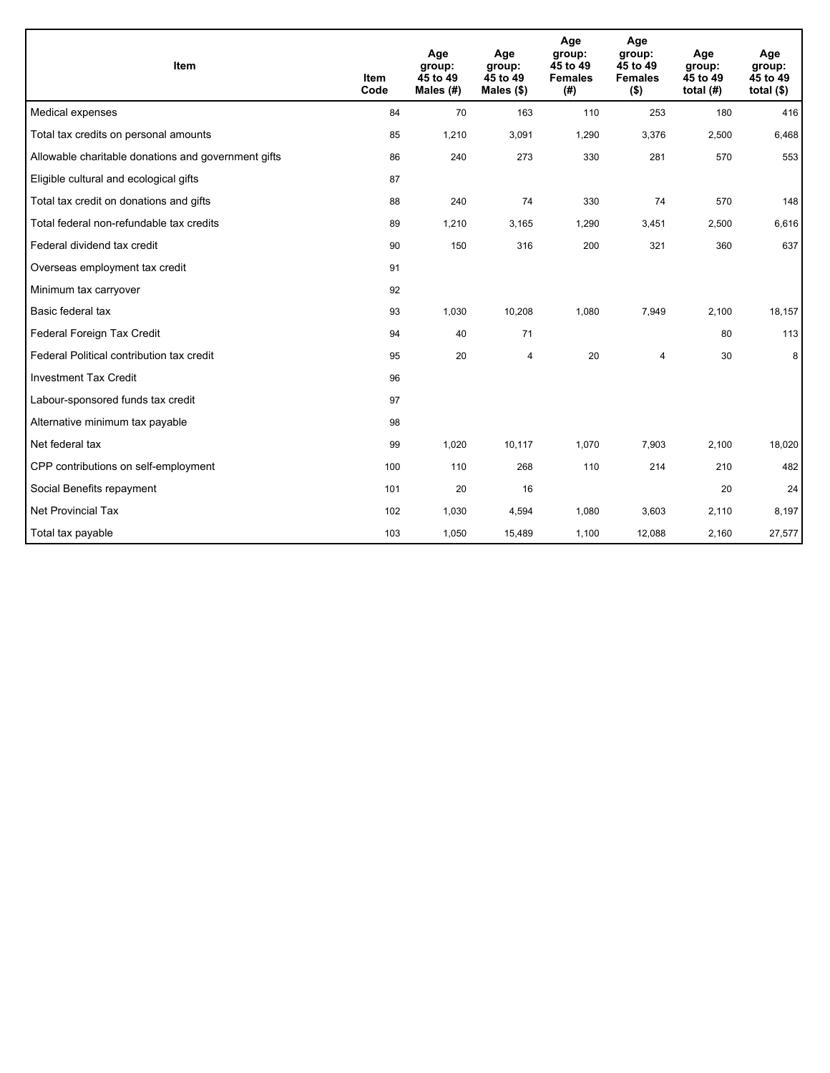| <b>Item</b>                                         | <b>Item</b><br>Code | Age<br>group:<br>45 to 49<br>Males (#) | Age<br>group:<br>45 to 49<br>Males $(\$)$ | Age<br>group:<br>45 to 49<br><b>Females</b><br>(# ) | Age<br>group:<br>45 to 49<br><b>Females</b><br>$($ \$) | Age<br>group:<br>45 to 49<br>total $(H)$ | Age<br>group:<br>45 to 49<br>total $(§)$ |
|-----------------------------------------------------|---------------------|----------------------------------------|-------------------------------------------|-----------------------------------------------------|--------------------------------------------------------|------------------------------------------|------------------------------------------|
| Medical expenses                                    | 84                  | 70                                     | 163                                       | 110                                                 | 253                                                    | 180                                      | 416                                      |
| Total tax credits on personal amounts               | 85                  | 1,210                                  | 3,091                                     | 1,290                                               | 3,376                                                  | 2,500                                    | 6,468                                    |
| Allowable charitable donations and government gifts | 86                  | 240                                    | 273                                       | 330                                                 | 281                                                    | 570                                      | 553                                      |
| Eligible cultural and ecological gifts              | 87                  |                                        |                                           |                                                     |                                                        |                                          |                                          |
| Total tax credit on donations and gifts             | 88                  | 240                                    | 74                                        | 330                                                 | 74                                                     | 570                                      | 148                                      |
| Total federal non-refundable tax credits            | 89                  | 1,210                                  | 3,165                                     | 1,290                                               | 3,451                                                  | 2,500                                    | 6,616                                    |
| Federal dividend tax credit                         | 90                  | 150                                    | 316                                       | 200                                                 | 321                                                    | 360                                      | 637                                      |
| Overseas employment tax credit                      | 91                  |                                        |                                           |                                                     |                                                        |                                          |                                          |
| Minimum tax carryover                               | 92                  |                                        |                                           |                                                     |                                                        |                                          |                                          |
| Basic federal tax                                   | 93                  | 1,030                                  | 10,208                                    | 1,080                                               | 7,949                                                  | 2,100                                    | 18,157                                   |
| Federal Foreign Tax Credit                          | 94                  | 40                                     | 71                                        |                                                     |                                                        | 80                                       | 113                                      |
| Federal Political contribution tax credit           | 95                  | 20                                     | 4                                         | 20                                                  | 4                                                      | 30                                       | 8                                        |
| <b>Investment Tax Credit</b>                        | 96                  |                                        |                                           |                                                     |                                                        |                                          |                                          |
| Labour-sponsored funds tax credit                   | 97                  |                                        |                                           |                                                     |                                                        |                                          |                                          |
| Alternative minimum tax payable                     | 98                  |                                        |                                           |                                                     |                                                        |                                          |                                          |
| Net federal tax                                     | 99                  | 1,020                                  | 10,117                                    | 1,070                                               | 7,903                                                  | 2,100                                    | 18,020                                   |
| CPP contributions on self-employment                | 100                 | 110                                    | 268                                       | 110                                                 | 214                                                    | 210                                      | 482                                      |
| Social Benefits repayment                           | 101                 | 20                                     | 16                                        |                                                     |                                                        | 20                                       | 24                                       |
| Net Provincial Tax                                  | 102                 | 1,030                                  | 4,594                                     | 1,080                                               | 3,603                                                  | 2,110                                    | 8,197                                    |
| Total tax payable                                   | 103                 | 1,050                                  | 15,489                                    | 1,100                                               | 12,088                                                 | 2,160                                    | 27,577                                   |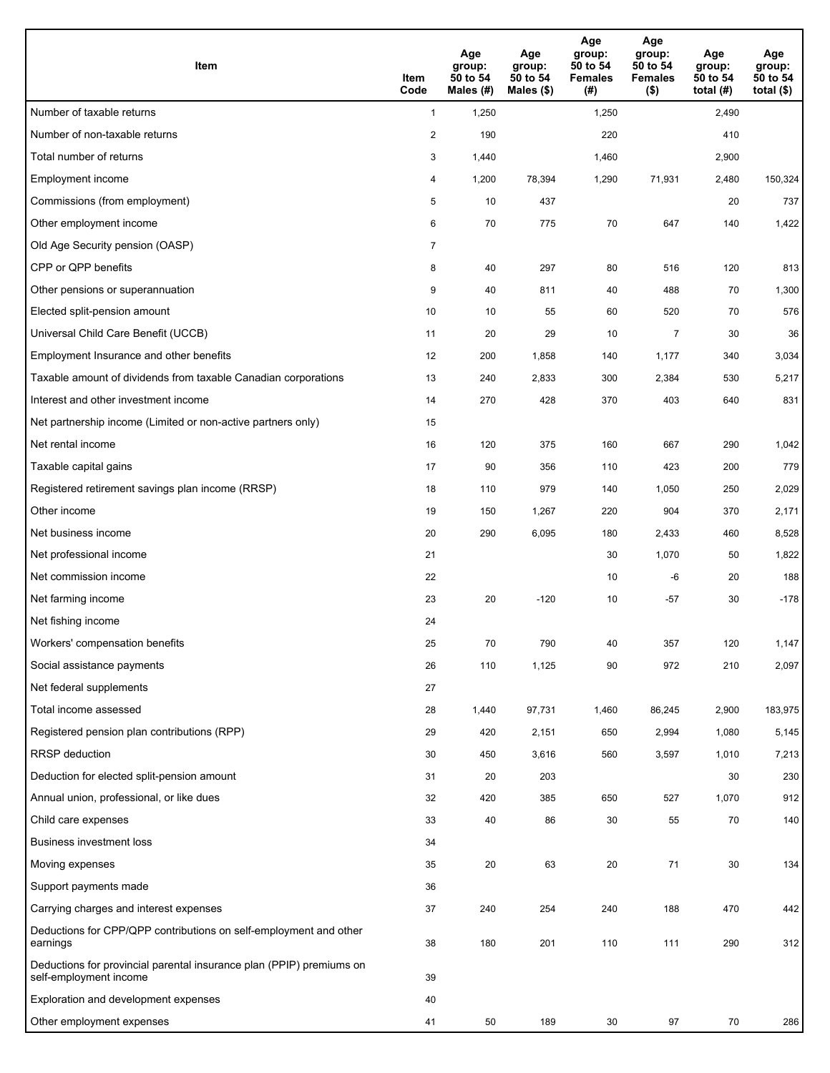| <b>Item</b>                                                                                    | Item<br>Code            | Age<br>group:<br>50 to 54<br>Males (#) | Age<br>group:<br>50 to 54<br>Males (\$) | Age<br>group:<br>50 to 54<br><b>Females</b><br>(#) | Age<br>group:<br>50 to 54<br><b>Females</b><br>$($ \$) | Age<br>group:<br>50 to 54<br>total $(H)$ | Age<br>group:<br>50 to 54<br>total $($)$ |
|------------------------------------------------------------------------------------------------|-------------------------|----------------------------------------|-----------------------------------------|----------------------------------------------------|--------------------------------------------------------|------------------------------------------|------------------------------------------|
| Number of taxable returns                                                                      | $\mathbf{1}$            | 1,250                                  |                                         | 1,250                                              |                                                        | 2,490                                    |                                          |
| Number of non-taxable returns                                                                  | $\overline{\mathbf{c}}$ | 190                                    |                                         | 220                                                |                                                        | 410                                      |                                          |
| Total number of returns                                                                        | 3                       | 1,440                                  |                                         | 1,460                                              |                                                        | 2,900                                    |                                          |
| Employment income                                                                              | 4                       | 1,200                                  | 78,394                                  | 1,290                                              | 71,931                                                 | 2,480                                    | 150,324                                  |
| Commissions (from employment)                                                                  | 5                       | 10                                     | 437                                     |                                                    |                                                        | 20                                       | 737                                      |
| Other employment income                                                                        | 6                       | 70                                     | 775                                     | 70                                                 | 647                                                    | 140                                      | 1,422                                    |
| Old Age Security pension (OASP)                                                                | $\overline{7}$          |                                        |                                         |                                                    |                                                        |                                          |                                          |
| CPP or QPP benefits                                                                            | 8                       | 40                                     | 297                                     | 80                                                 | 516                                                    | 120                                      | 813                                      |
| Other pensions or superannuation                                                               | 9                       | 40                                     | 811                                     | 40                                                 | 488                                                    | 70                                       | 1,300                                    |
| Elected split-pension amount                                                                   | 10                      | 10                                     | 55                                      | 60                                                 | 520                                                    | 70                                       | 576                                      |
| Universal Child Care Benefit (UCCB)                                                            | 11                      | 20                                     | 29                                      | 10                                                 | $\overline{7}$                                         | 30                                       | 36                                       |
| Employment Insurance and other benefits                                                        | 12                      | 200                                    | 1,858                                   | 140                                                | 1,177                                                  | 340                                      | 3,034                                    |
| Taxable amount of dividends from taxable Canadian corporations                                 | 13                      | 240                                    | 2,833                                   | 300                                                | 2,384                                                  | 530                                      | 5,217                                    |
| Interest and other investment income                                                           | 14                      | 270                                    | 428                                     | 370                                                | 403                                                    | 640                                      | 831                                      |
| Net partnership income (Limited or non-active partners only)                                   | 15                      |                                        |                                         |                                                    |                                                        |                                          |                                          |
| Net rental income                                                                              | 16                      | 120                                    | 375                                     | 160                                                | 667                                                    | 290                                      | 1,042                                    |
| Taxable capital gains                                                                          | 17                      | 90                                     | 356                                     | 110                                                | 423                                                    | 200                                      | 779                                      |
| Registered retirement savings plan income (RRSP)                                               | 18                      | 110                                    | 979                                     | 140                                                | 1,050                                                  | 250                                      | 2,029                                    |
| Other income                                                                                   | 19                      | 150                                    | 1,267                                   | 220                                                | 904                                                    | 370                                      | 2,171                                    |
| Net business income                                                                            | 20                      | 290                                    | 6,095                                   | 180                                                | 2,433                                                  | 460                                      | 8,528                                    |
| Net professional income                                                                        | 21                      |                                        |                                         | 30                                                 | 1,070                                                  | 50                                       | 1,822                                    |
| Net commission income                                                                          | 22                      |                                        |                                         | 10                                                 | -6                                                     | 20                                       | 188                                      |
| Net farming income                                                                             | 23                      | 20                                     | $-120$                                  | 10                                                 | $-57$                                                  | 30                                       | $-178$                                   |
| Net fishing income                                                                             | 24                      |                                        |                                         |                                                    |                                                        |                                          |                                          |
| Workers' compensation benefits                                                                 | 25                      | 70                                     | 790                                     | 40                                                 | 357                                                    | 120                                      | 1,147                                    |
| Social assistance payments                                                                     | 26                      | 110                                    | 1,125                                   | 90                                                 | 972                                                    | 210                                      | 2,097                                    |
| Net federal supplements                                                                        | 27                      |                                        |                                         |                                                    |                                                        |                                          |                                          |
| Total income assessed                                                                          | 28                      | 1,440                                  | 97,731                                  | 1,460                                              | 86,245                                                 | 2,900                                    | 183,975                                  |
| Registered pension plan contributions (RPP)                                                    | 29                      | 420                                    | 2,151                                   | 650                                                | 2,994                                                  | 1,080                                    | 5,145                                    |
| RRSP deduction                                                                                 | 30                      | 450                                    | 3,616                                   | 560                                                | 3,597                                                  | 1,010                                    | 7,213                                    |
| Deduction for elected split-pension amount                                                     | 31                      | 20                                     | 203                                     |                                                    |                                                        | 30                                       | 230                                      |
| Annual union, professional, or like dues                                                       | 32                      | 420                                    | 385                                     | 650                                                | 527                                                    | 1,070                                    | 912                                      |
| Child care expenses                                                                            | 33                      | 40                                     | 86                                      | 30                                                 | 55                                                     | 70                                       | 140                                      |
| <b>Business investment loss</b>                                                                | 34                      |                                        |                                         |                                                    |                                                        |                                          |                                          |
| Moving expenses                                                                                | 35                      | 20                                     | 63                                      | 20                                                 | 71                                                     | 30                                       | 134                                      |
| Support payments made                                                                          | 36                      |                                        |                                         |                                                    |                                                        |                                          |                                          |
| Carrying charges and interest expenses                                                         | 37                      | 240                                    | 254                                     | 240                                                | 188                                                    | 470                                      | 442                                      |
| Deductions for CPP/QPP contributions on self-employment and other<br>earnings                  | 38                      | 180                                    | 201                                     | 110                                                | 111                                                    | 290                                      | 312                                      |
| Deductions for provincial parental insurance plan (PPIP) premiums on<br>self-employment income | 39                      |                                        |                                         |                                                    |                                                        |                                          |                                          |
| Exploration and development expenses                                                           | 40                      |                                        |                                         |                                                    |                                                        |                                          |                                          |
| Other employment expenses                                                                      | 41                      | 50                                     | 189                                     | 30                                                 | 97                                                     | 70                                       | 286                                      |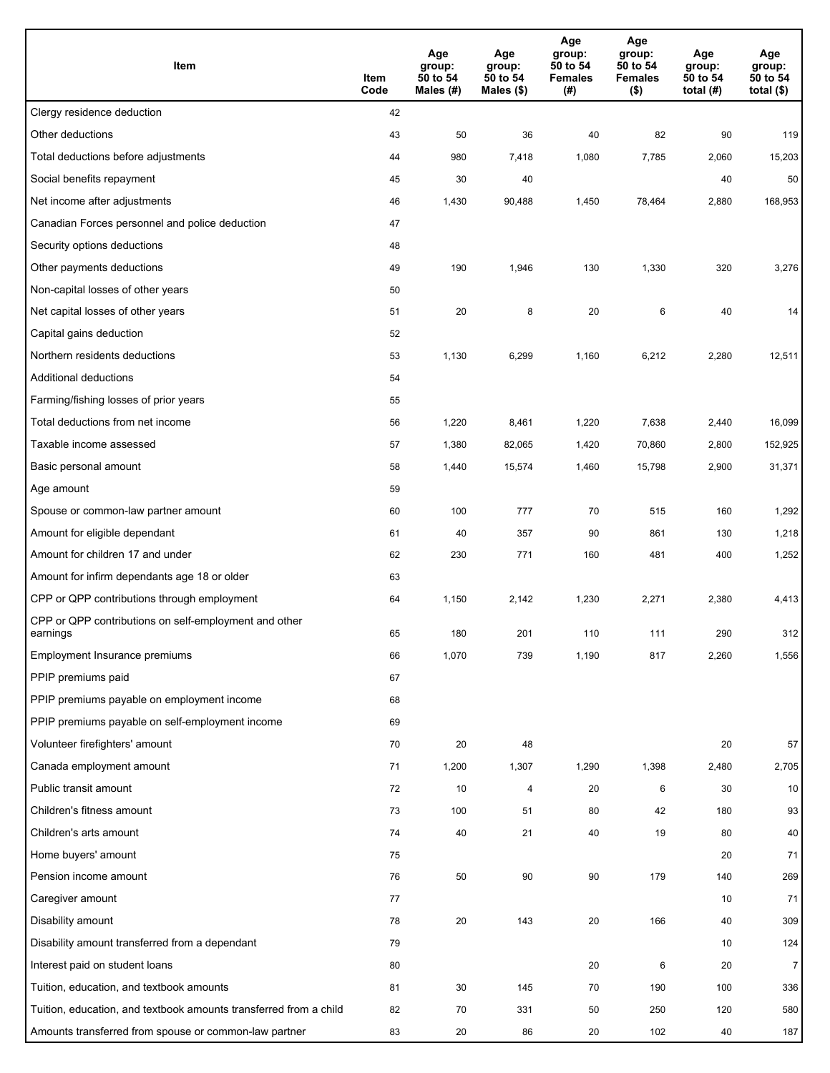| Item                                                              | Item<br>Code | Age<br>group:<br>50 to 54<br>Males (#) | Age<br>group:<br>50 to 54<br>Males (\$) | Age<br>group:<br>50 to 54<br><b>Females</b><br>(#) | Age<br>group:<br>50 to 54<br><b>Females</b><br>$($ \$) | Age<br>group:<br>50 to 54<br>total $(H)$ | Age<br>group:<br>50 to 54<br>total $($)$ |
|-------------------------------------------------------------------|--------------|----------------------------------------|-----------------------------------------|----------------------------------------------------|--------------------------------------------------------|------------------------------------------|------------------------------------------|
| Clergy residence deduction                                        | 42           |                                        |                                         |                                                    |                                                        |                                          |                                          |
| Other deductions                                                  | 43           | 50                                     | 36                                      | 40                                                 | 82                                                     | 90                                       | 119                                      |
| Total deductions before adjustments                               | 44           | 980                                    | 7,418                                   | 1,080                                              | 7,785                                                  | 2,060                                    | 15,203                                   |
| Social benefits repayment                                         | 45           | 30                                     | 40                                      |                                                    |                                                        | 40                                       | 50                                       |
| Net income after adjustments                                      | 46           | 1,430                                  | 90,488                                  | 1,450                                              | 78,464                                                 | 2,880                                    | 168,953                                  |
| Canadian Forces personnel and police deduction                    | 47           |                                        |                                         |                                                    |                                                        |                                          |                                          |
| Security options deductions                                       | 48           |                                        |                                         |                                                    |                                                        |                                          |                                          |
| Other payments deductions                                         | 49           | 190                                    | 1,946                                   | 130                                                | 1,330                                                  | 320                                      | 3,276                                    |
| Non-capital losses of other years                                 | 50           |                                        |                                         |                                                    |                                                        |                                          |                                          |
| Net capital losses of other years                                 | 51           | 20                                     | 8                                       | 20                                                 | 6                                                      | 40                                       | 14                                       |
| Capital gains deduction                                           | 52           |                                        |                                         |                                                    |                                                        |                                          |                                          |
| Northern residents deductions                                     | 53           | 1,130                                  | 6,299                                   | 1,160                                              | 6,212                                                  | 2,280                                    | 12,511                                   |
| Additional deductions                                             | 54           |                                        |                                         |                                                    |                                                        |                                          |                                          |
| Farming/fishing losses of prior years                             | 55           |                                        |                                         |                                                    |                                                        |                                          |                                          |
| Total deductions from net income                                  | 56           | 1,220                                  | 8,461                                   | 1,220                                              | 7,638                                                  | 2,440                                    | 16,099                                   |
| Taxable income assessed                                           | 57           | 1,380                                  | 82,065                                  | 1,420                                              | 70,860                                                 | 2,800                                    | 152,925                                  |
| Basic personal amount                                             | 58           | 1,440                                  | 15,574                                  | 1,460                                              | 15,798                                                 | 2,900                                    | 31,371                                   |
| Age amount                                                        | 59           |                                        |                                         |                                                    |                                                        |                                          |                                          |
| Spouse or common-law partner amount                               | 60           | 100                                    | 777                                     | 70                                                 | 515                                                    | 160                                      | 1,292                                    |
| Amount for eligible dependant                                     | 61           | 40                                     | 357                                     | 90                                                 | 861                                                    | 130                                      | 1,218                                    |
| Amount for children 17 and under                                  | 62           | 230                                    | 771                                     | 160                                                | 481                                                    | 400                                      | 1,252                                    |
| Amount for infirm dependants age 18 or older                      | 63           |                                        |                                         |                                                    |                                                        |                                          |                                          |
| CPP or QPP contributions through employment                       | 64           | 1,150                                  | 2,142                                   | 1,230                                              | 2,271                                                  | 2,380                                    | 4,413                                    |
| CPP or QPP contributions on self-employment and other<br>earnings | 65           | 180                                    | 201                                     | 110                                                | 111                                                    | 290                                      | 312                                      |
| Employment Insurance premiums                                     | 66           | 1,070                                  | 739                                     | 1,190                                              | 817                                                    | 2,260                                    | 1,556                                    |
| PPIP premiums paid                                                | 67           |                                        |                                         |                                                    |                                                        |                                          |                                          |
| PPIP premiums payable on employment income                        | 68           |                                        |                                         |                                                    |                                                        |                                          |                                          |
| PPIP premiums payable on self-employment income                   | 69           |                                        |                                         |                                                    |                                                        |                                          |                                          |
| Volunteer firefighters' amount                                    | 70           | 20                                     | 48                                      |                                                    |                                                        | 20                                       | 57                                       |
| Canada employment amount                                          | 71           | 1,200                                  | 1,307                                   | 1,290                                              | 1,398                                                  | 2,480                                    | 2,705                                    |
| Public transit amount                                             | 72           | 10                                     | 4                                       | 20                                                 | 6                                                      | 30                                       | 10                                       |
| Children's fitness amount                                         | 73           | 100                                    | 51                                      | 80                                                 | 42                                                     | 180                                      | 93                                       |
| Children's arts amount                                            | 74           | 40                                     | 21                                      | 40                                                 | 19                                                     | 80                                       | 40                                       |
| Home buyers' amount                                               | 75           |                                        |                                         |                                                    |                                                        | 20                                       | 71                                       |
| Pension income amount                                             | 76           | 50                                     | 90                                      | 90                                                 | 179                                                    | 140                                      | 269                                      |
| Caregiver amount                                                  | 77           |                                        |                                         |                                                    |                                                        | 10                                       | 71                                       |
| Disability amount                                                 | 78           | 20                                     | 143                                     | 20                                                 | 166                                                    | 40                                       | 309                                      |
| Disability amount transferred from a dependant                    | 79           |                                        |                                         |                                                    |                                                        | 10                                       | 124                                      |
| Interest paid on student loans                                    | 80           |                                        |                                         | 20                                                 | 6                                                      | 20                                       | $\overline{7}$                           |
| Tuition, education, and textbook amounts                          | 81           | 30                                     | 145                                     | 70                                                 | 190                                                    | 100                                      | 336                                      |
| Tuition, education, and textbook amounts transferred from a child | 82           | 70                                     | 331                                     | 50                                                 | 250                                                    | 120                                      | 580                                      |
| Amounts transferred from spouse or common-law partner             | 83           | 20                                     | 86                                      | 20                                                 | 102                                                    | 40                                       | 187                                      |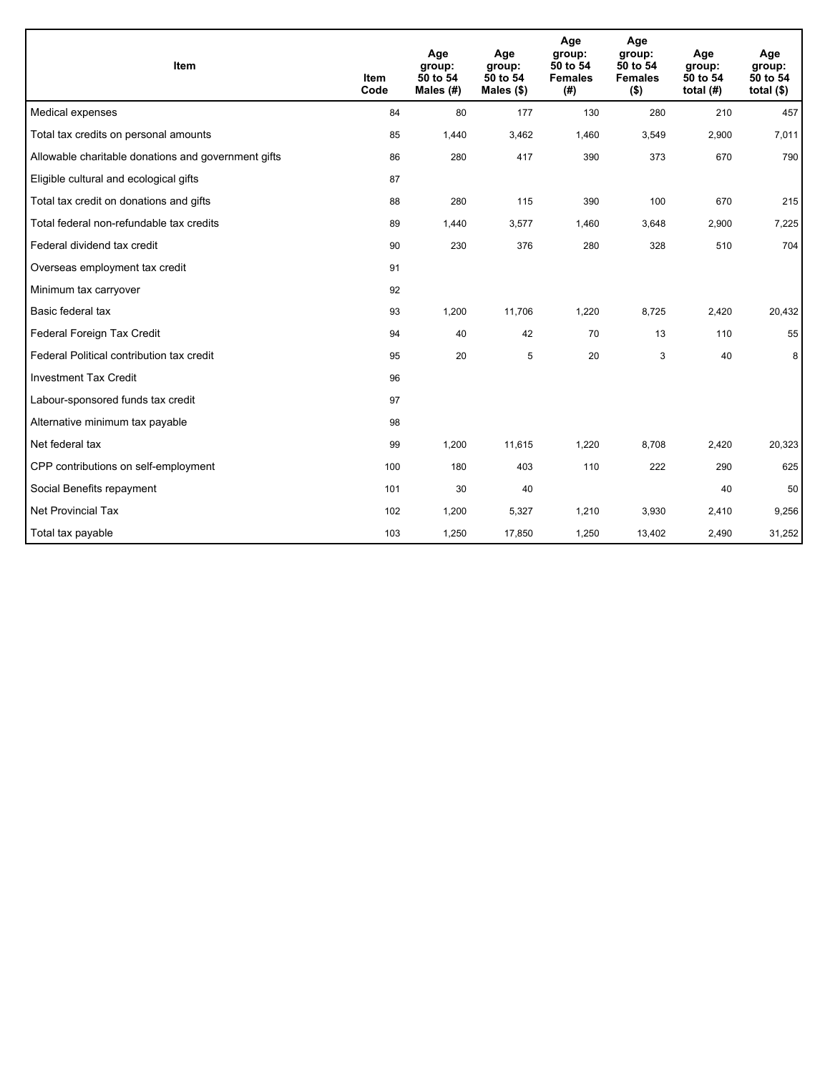| Item                                                | <b>Item</b><br>Code | Age<br>group:<br>50 to 54<br>Males (#) | Age<br>group:<br>50 to 54<br>Males $(\$)$ | Age<br>group:<br>50 to 54<br><b>Females</b><br>(# ) | Age<br>group:<br>50 to 54<br><b>Females</b><br>$($ \$) | Age<br>group:<br>50 to 54<br>total $(H)$ | Age<br>group:<br>50 to 54<br>total $($)$ |
|-----------------------------------------------------|---------------------|----------------------------------------|-------------------------------------------|-----------------------------------------------------|--------------------------------------------------------|------------------------------------------|------------------------------------------|
| Medical expenses                                    | 84                  | 80                                     | 177                                       | 130                                                 | 280                                                    | 210                                      | 457                                      |
| Total tax credits on personal amounts               | 85                  | 1,440                                  | 3,462                                     | 1,460                                               | 3,549                                                  | 2,900                                    | 7,011                                    |
| Allowable charitable donations and government gifts | 86                  | 280                                    | 417                                       | 390                                                 | 373                                                    | 670                                      | 790                                      |
| Eligible cultural and ecological gifts              | 87                  |                                        |                                           |                                                     |                                                        |                                          |                                          |
| Total tax credit on donations and gifts             | 88                  | 280                                    | 115                                       | 390                                                 | 100                                                    | 670                                      | 215                                      |
| Total federal non-refundable tax credits            | 89                  | 1,440                                  | 3,577                                     | 1,460                                               | 3,648                                                  | 2,900                                    | 7,225                                    |
| Federal dividend tax credit                         | 90                  | 230                                    | 376                                       | 280                                                 | 328                                                    | 510                                      | 704                                      |
| Overseas employment tax credit                      | 91                  |                                        |                                           |                                                     |                                                        |                                          |                                          |
| Minimum tax carryover                               | 92                  |                                        |                                           |                                                     |                                                        |                                          |                                          |
| Basic federal tax                                   | 93                  | 1,200                                  | 11,706                                    | 1,220                                               | 8,725                                                  | 2,420                                    | 20,432                                   |
| Federal Foreign Tax Credit                          | 94                  | 40                                     | 42                                        | 70                                                  | 13                                                     | 110                                      | 55                                       |
| Federal Political contribution tax credit           | 95                  | 20                                     | 5                                         | 20                                                  | 3                                                      | 40                                       | 8                                        |
| <b>Investment Tax Credit</b>                        | 96                  |                                        |                                           |                                                     |                                                        |                                          |                                          |
| Labour-sponsored funds tax credit                   | 97                  |                                        |                                           |                                                     |                                                        |                                          |                                          |
| Alternative minimum tax payable                     | 98                  |                                        |                                           |                                                     |                                                        |                                          |                                          |
| Net federal tax                                     | 99                  | 1,200                                  | 11,615                                    | 1,220                                               | 8,708                                                  | 2,420                                    | 20,323                                   |
| CPP contributions on self-employment                | 100                 | 180                                    | 403                                       | 110                                                 | 222                                                    | 290                                      | 625                                      |
| Social Benefits repayment                           | 101                 | 30                                     | 40                                        |                                                     |                                                        | 40                                       | 50                                       |
| <b>Net Provincial Tax</b>                           | 102                 | 1,200                                  | 5,327                                     | 1,210                                               | 3,930                                                  | 2,410                                    | 9,256                                    |
| Total tax payable                                   | 103                 | 1,250                                  | 17,850                                    | 1,250                                               | 13,402                                                 | 2,490                                    | 31,252                                   |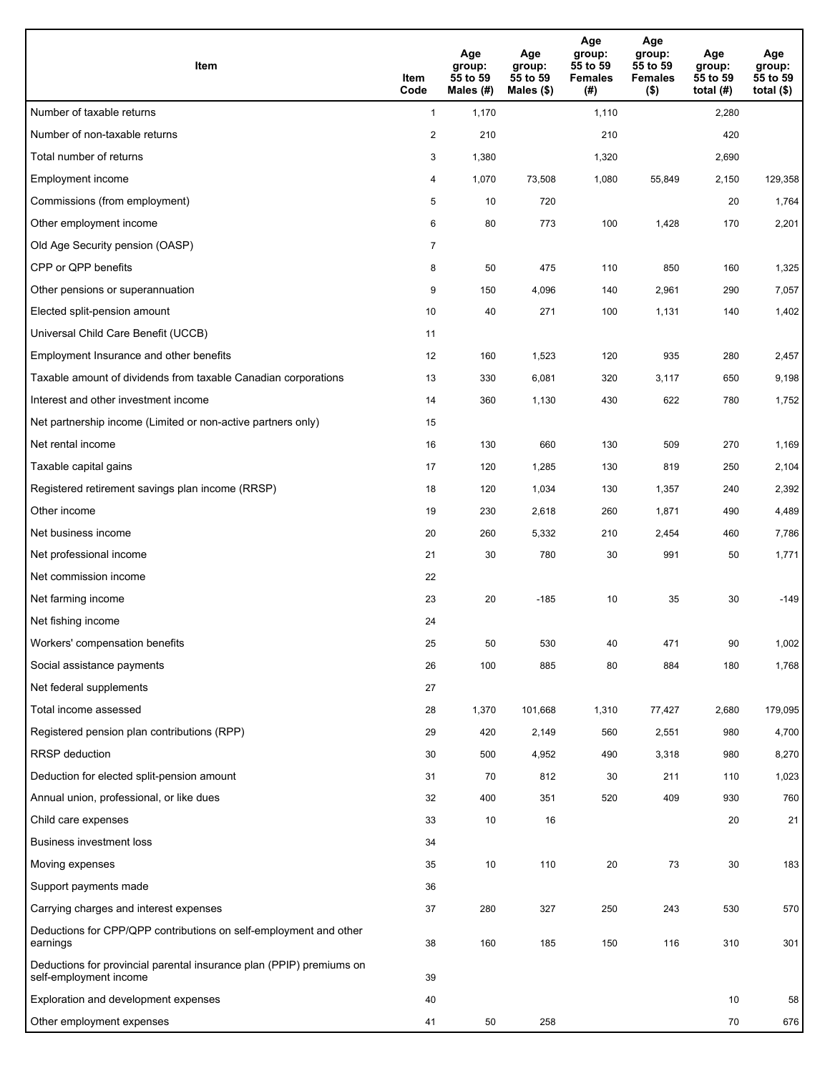| <b>Item</b>                                                                                    | Item<br>Code   | Age<br>group:<br>55 to 59<br>Males (#) | Age<br>group:<br>55 to 59<br>Males $(\$)$ | Age<br>group:<br>55 to 59<br><b>Females</b><br>(#) | Age<br>group:<br>55 to 59<br><b>Females</b><br>$($ \$) | Age<br>group:<br>55 to 59<br>total $(#)$ | Age<br>group:<br>55 to 59<br>total $($)$ |
|------------------------------------------------------------------------------------------------|----------------|----------------------------------------|-------------------------------------------|----------------------------------------------------|--------------------------------------------------------|------------------------------------------|------------------------------------------|
| Number of taxable returns                                                                      | $\mathbf{1}$   | 1,170                                  |                                           | 1,110                                              |                                                        | 2,280                                    |                                          |
| Number of non-taxable returns                                                                  | $\overline{2}$ | 210                                    |                                           | 210                                                |                                                        | 420                                      |                                          |
| Total number of returns                                                                        | 3              | 1,380                                  |                                           | 1,320                                              |                                                        | 2,690                                    |                                          |
| Employment income                                                                              | 4              | 1,070                                  | 73,508                                    | 1,080                                              | 55,849                                                 | 2,150                                    | 129,358                                  |
| Commissions (from employment)                                                                  | 5              | 10                                     | 720                                       |                                                    |                                                        | 20                                       | 1,764                                    |
| Other employment income                                                                        | 6              | 80                                     | 773                                       | 100                                                | 1,428                                                  | 170                                      | 2,201                                    |
| Old Age Security pension (OASP)                                                                | $\overline{7}$ |                                        |                                           |                                                    |                                                        |                                          |                                          |
| CPP or QPP benefits                                                                            | 8              | 50                                     | 475                                       | 110                                                | 850                                                    | 160                                      | 1,325                                    |
| Other pensions or superannuation                                                               | 9              | 150                                    | 4,096                                     | 140                                                | 2,961                                                  | 290                                      | 7,057                                    |
| Elected split-pension amount                                                                   | 10             | 40                                     | 271                                       | 100                                                | 1,131                                                  | 140                                      | 1,402                                    |
| Universal Child Care Benefit (UCCB)                                                            | 11             |                                        |                                           |                                                    |                                                        |                                          |                                          |
| Employment Insurance and other benefits                                                        | 12             | 160                                    | 1,523                                     | 120                                                | 935                                                    | 280                                      | 2,457                                    |
| Taxable amount of dividends from taxable Canadian corporations                                 | 13             | 330                                    | 6,081                                     | 320                                                | 3,117                                                  | 650                                      | 9,198                                    |
| Interest and other investment income                                                           | 14             | 360                                    | 1,130                                     | 430                                                | 622                                                    | 780                                      | 1,752                                    |
| Net partnership income (Limited or non-active partners only)                                   | 15             |                                        |                                           |                                                    |                                                        |                                          |                                          |
| Net rental income                                                                              | 16             | 130                                    | 660                                       | 130                                                | 509                                                    | 270                                      | 1,169                                    |
| Taxable capital gains                                                                          | 17             | 120                                    | 1,285                                     | 130                                                | 819                                                    | 250                                      | 2,104                                    |
| Registered retirement savings plan income (RRSP)                                               | 18             | 120                                    | 1,034                                     | 130                                                | 1,357                                                  | 240                                      | 2,392                                    |
| Other income                                                                                   | 19             | 230                                    | 2,618                                     | 260                                                | 1,871                                                  | 490                                      | 4,489                                    |
| Net business income                                                                            | 20             | 260                                    | 5,332                                     | 210                                                | 2,454                                                  | 460                                      | 7,786                                    |
| Net professional income                                                                        | 21             | 30                                     | 780                                       | 30                                                 | 991                                                    | 50                                       | 1,771                                    |
| Net commission income                                                                          | 22             |                                        |                                           |                                                    |                                                        |                                          |                                          |
| Net farming income                                                                             | 23             | 20                                     | $-185$                                    | 10                                                 | 35                                                     | 30                                       | $-149$                                   |
| Net fishing income                                                                             | 24             |                                        |                                           |                                                    |                                                        |                                          |                                          |
| Workers' compensation benefits                                                                 | 25             | 50                                     | 530                                       | 40                                                 | 471                                                    | 90                                       | 1,002                                    |
| Social assistance payments                                                                     | 26             | 100                                    | 885                                       | 80                                                 | 884                                                    | 180                                      | 1,768                                    |
| Net federal supplements                                                                        | 27             |                                        |                                           |                                                    |                                                        |                                          |                                          |
| Total income assessed                                                                          | 28             | 1,370                                  | 101,668                                   | 1,310                                              | 77,427                                                 | 2,680                                    | 179,095                                  |
| Registered pension plan contributions (RPP)                                                    | 29             | 420                                    | 2,149                                     | 560                                                | 2,551                                                  | 980                                      | 4,700                                    |
| RRSP deduction                                                                                 | 30             | 500                                    | 4,952                                     | 490                                                | 3,318                                                  | 980                                      | 8,270                                    |
| Deduction for elected split-pension amount                                                     | 31             | 70                                     | 812                                       | 30                                                 | 211                                                    | 110                                      | 1,023                                    |
| Annual union, professional, or like dues                                                       | 32             | 400                                    | 351                                       | 520                                                | 409                                                    | 930                                      | 760                                      |
| Child care expenses                                                                            | 33             | 10                                     | 16                                        |                                                    |                                                        | 20                                       | 21                                       |
| Business investment loss                                                                       | 34             |                                        |                                           |                                                    |                                                        |                                          |                                          |
| Moving expenses                                                                                | 35             | 10                                     | 110                                       | 20                                                 | 73                                                     | 30                                       | 183                                      |
| Support payments made                                                                          | 36             |                                        |                                           |                                                    |                                                        |                                          |                                          |
| Carrying charges and interest expenses                                                         | 37             | 280                                    | 327                                       | 250                                                | 243                                                    | 530                                      | 570                                      |
| Deductions for CPP/QPP contributions on self-employment and other<br>earnings                  | 38             | 160                                    | 185                                       | 150                                                | 116                                                    | 310                                      | 301                                      |
| Deductions for provincial parental insurance plan (PPIP) premiums on<br>self-employment income | 39             |                                        |                                           |                                                    |                                                        |                                          |                                          |
| Exploration and development expenses                                                           | 40             |                                        |                                           |                                                    |                                                        | 10                                       | 58                                       |
| Other employment expenses                                                                      | 41             | 50                                     | 258                                       |                                                    |                                                        | 70                                       | 676                                      |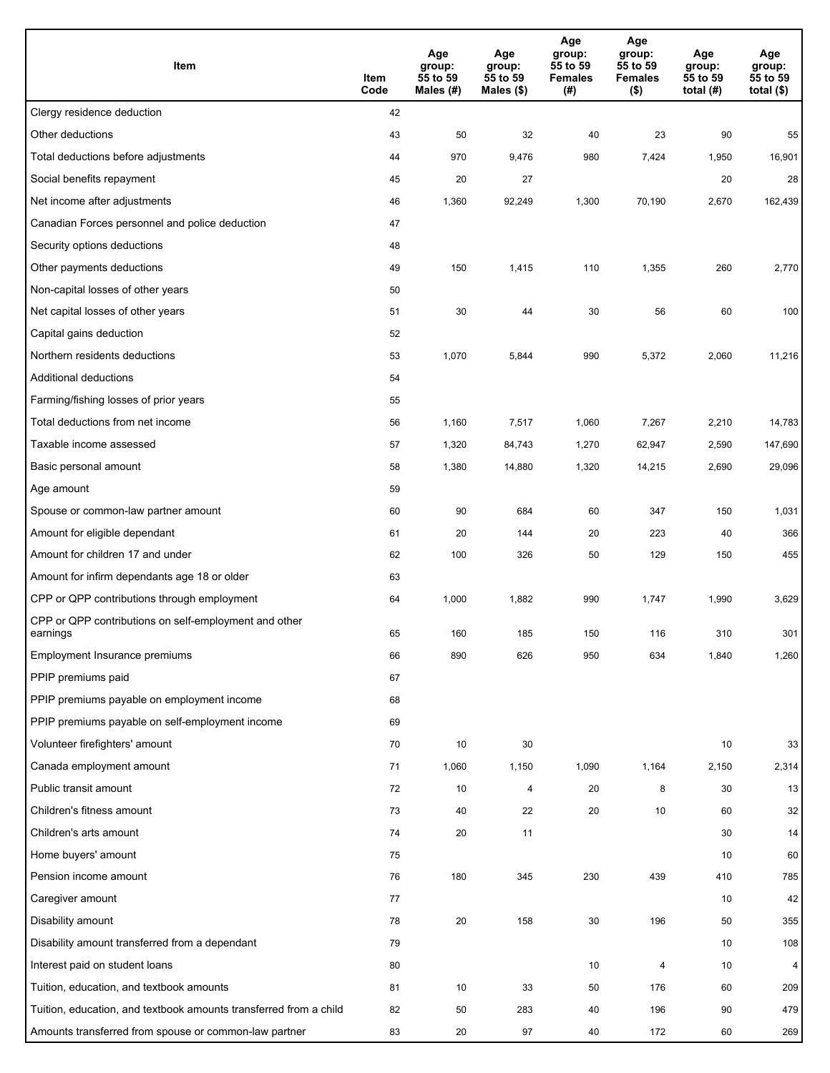| Item                                                              | Item<br>Code | Age<br>group:<br>55 to 59<br>Males (#) | Age<br>group:<br>55 to 59<br>Males (\$) | Age<br>group:<br>55 to 59<br><b>Females</b><br>(#) | Age<br>group:<br>55 to 59<br><b>Females</b><br>$($ \$) | Age<br>group:<br>55 to 59<br>total (#) | Age<br>group:<br>55 to 59<br>total $($)$ |
|-------------------------------------------------------------------|--------------|----------------------------------------|-----------------------------------------|----------------------------------------------------|--------------------------------------------------------|----------------------------------------|------------------------------------------|
| Clergy residence deduction                                        | 42           |                                        |                                         |                                                    |                                                        |                                        |                                          |
| Other deductions                                                  | 43           | 50                                     | 32                                      | 40                                                 | 23                                                     | 90                                     | 55                                       |
| Total deductions before adjustments                               | 44           | 970                                    | 9,476                                   | 980                                                | 7,424                                                  | 1,950                                  | 16,901                                   |
| Social benefits repayment                                         | 45           | 20                                     | 27                                      |                                                    |                                                        | 20                                     | 28                                       |
| Net income after adjustments                                      | 46           | 1,360                                  | 92,249                                  | 1,300                                              | 70,190                                                 | 2,670                                  | 162,439                                  |
| Canadian Forces personnel and police deduction                    | 47           |                                        |                                         |                                                    |                                                        |                                        |                                          |
| Security options deductions                                       | 48           |                                        |                                         |                                                    |                                                        |                                        |                                          |
| Other payments deductions                                         | 49           | 150                                    | 1,415                                   | 110                                                | 1,355                                                  | 260                                    | 2,770                                    |
| Non-capital losses of other years                                 | 50           |                                        |                                         |                                                    |                                                        |                                        |                                          |
| Net capital losses of other years                                 | 51           | 30                                     | 44                                      | 30                                                 | 56                                                     | 60                                     | 100                                      |
| Capital gains deduction                                           | 52           |                                        |                                         |                                                    |                                                        |                                        |                                          |
| Northern residents deductions                                     | 53           | 1,070                                  | 5,844                                   | 990                                                | 5,372                                                  | 2,060                                  | 11,216                                   |
| Additional deductions                                             | 54           |                                        |                                         |                                                    |                                                        |                                        |                                          |
| Farming/fishing losses of prior years                             | 55           |                                        |                                         |                                                    |                                                        |                                        |                                          |
| Total deductions from net income                                  | 56           | 1,160                                  | 7,517                                   | 1,060                                              | 7,267                                                  | 2,210                                  | 14,783                                   |
| Taxable income assessed                                           | 57           | 1,320                                  | 84,743                                  | 1,270                                              | 62,947                                                 | 2,590                                  | 147,690                                  |
| Basic personal amount                                             | 58           | 1,380                                  | 14,880                                  | 1,320                                              | 14,215                                                 | 2,690                                  | 29,096                                   |
| Age amount                                                        | 59           |                                        |                                         |                                                    |                                                        |                                        |                                          |
| Spouse or common-law partner amount                               | 60           | 90                                     | 684                                     | 60                                                 | 347                                                    | 150                                    | 1,031                                    |
| Amount for eligible dependant                                     | 61           | 20                                     | 144                                     | 20                                                 | 223                                                    | 40                                     | 366                                      |
| Amount for children 17 and under                                  | 62           | 100                                    | 326                                     | 50                                                 | 129                                                    | 150                                    | 455                                      |
| Amount for infirm dependants age 18 or older                      | 63           |                                        |                                         |                                                    |                                                        |                                        |                                          |
| CPP or QPP contributions through employment                       | 64           | 1,000                                  | 1,882                                   | 990                                                | 1,747                                                  | 1,990                                  | 3,629                                    |
| CPP or QPP contributions on self-employment and other             |              |                                        |                                         |                                                    |                                                        |                                        |                                          |
| earnings                                                          | 65           | 160                                    | 185                                     | 150                                                | 116                                                    | 310                                    | 301                                      |
| Employment Insurance premiums                                     | 66           | 890                                    | 626                                     | 950                                                | 634                                                    | 1,840                                  | 1,260                                    |
| PPIP premiums paid                                                | 67           |                                        |                                         |                                                    |                                                        |                                        |                                          |
| PPIP premiums payable on employment income                        | 68           |                                        |                                         |                                                    |                                                        |                                        |                                          |
| PPIP premiums payable on self-employment income                   | 69           |                                        |                                         |                                                    |                                                        |                                        |                                          |
| Volunteer firefighters' amount                                    | 70           | 10                                     | 30                                      |                                                    |                                                        | 10                                     | 33                                       |
| Canada employment amount                                          | 71           | 1,060                                  | 1,150                                   | 1,090                                              | 1,164                                                  | 2,150                                  | 2,314                                    |
| Public transit amount                                             | 72           | 10                                     | 4                                       | 20                                                 | 8                                                      | 30                                     | 13                                       |
| Children's fitness amount                                         | 73           | 40                                     | 22                                      | 20                                                 | 10                                                     | 60                                     | 32                                       |
| Children's arts amount                                            | 74           | 20                                     | 11                                      |                                                    |                                                        | 30                                     | 14                                       |
| Home buyers' amount                                               | 75           |                                        |                                         |                                                    |                                                        | 10                                     | 60                                       |
| Pension income amount                                             | 76           | 180                                    | 345                                     | 230                                                | 439                                                    | 410                                    | 785                                      |
| Caregiver amount                                                  | 77           |                                        |                                         |                                                    |                                                        | 10                                     | 42                                       |
| Disability amount                                                 | 78           | 20                                     | 158                                     | 30                                                 | 196                                                    | 50                                     | 355                                      |
| Disability amount transferred from a dependant                    | 79           |                                        |                                         |                                                    |                                                        | 10                                     | 108                                      |
| Interest paid on student loans                                    | 80           |                                        |                                         | 10                                                 | 4                                                      | 10                                     | 4                                        |
| Tuition, education, and textbook amounts                          | 81           | 10                                     | 33                                      | 50                                                 | 176                                                    | 60                                     | 209                                      |
| Tuition, education, and textbook amounts transferred from a child | 82           | 50                                     | 283                                     | 40                                                 | 196                                                    | 90                                     | 479                                      |
| Amounts transferred from spouse or common-law partner             | 83           | 20                                     | 97                                      | 40                                                 | 172                                                    | 60                                     | 269                                      |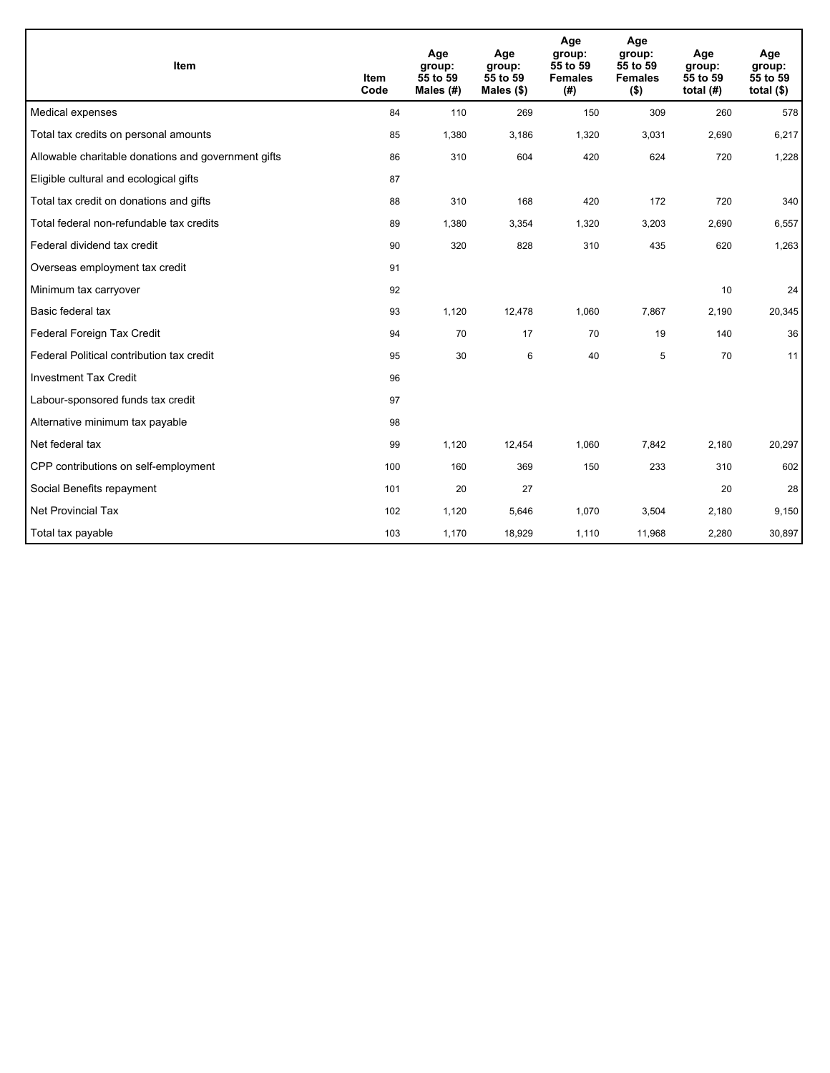| Item                                                | <b>Item</b><br>Code | Age<br>group:<br>55 to 59<br>Males (#) | Age<br>group:<br>55 to 59<br>Males $(\$)$ | Age<br>group:<br>55 to 59<br><b>Females</b><br>(#) | Age<br>group:<br>55 to 59<br><b>Females</b><br>$($ \$) | Age<br>group:<br>55 to 59<br>total $(H)$ | Age<br>group:<br>55 to 59<br>total $(§)$ |
|-----------------------------------------------------|---------------------|----------------------------------------|-------------------------------------------|----------------------------------------------------|--------------------------------------------------------|------------------------------------------|------------------------------------------|
| Medical expenses                                    | 84                  | 110                                    | 269                                       | 150                                                | 309                                                    | 260                                      | 578                                      |
| Total tax credits on personal amounts               | 85                  | 1,380                                  | 3,186                                     | 1,320                                              | 3,031                                                  | 2,690                                    | 6,217                                    |
| Allowable charitable donations and government gifts | 86                  | 310                                    | 604                                       | 420                                                | 624                                                    | 720                                      | 1,228                                    |
| Eligible cultural and ecological gifts              | 87                  |                                        |                                           |                                                    |                                                        |                                          |                                          |
| Total tax credit on donations and gifts             | 88                  | 310                                    | 168                                       | 420                                                | 172                                                    | 720                                      | 340                                      |
| Total federal non-refundable tax credits            | 89                  | 1,380                                  | 3,354                                     | 1,320                                              | 3,203                                                  | 2,690                                    | 6,557                                    |
| Federal dividend tax credit                         | 90                  | 320                                    | 828                                       | 310                                                | 435                                                    | 620                                      | 1,263                                    |
| Overseas employment tax credit                      | 91                  |                                        |                                           |                                                    |                                                        |                                          |                                          |
| Minimum tax carryover                               | 92                  |                                        |                                           |                                                    |                                                        | 10                                       | 24                                       |
| Basic federal tax                                   | 93                  | 1,120                                  | 12,478                                    | 1,060                                              | 7,867                                                  | 2,190                                    | 20,345                                   |
| Federal Foreign Tax Credit                          | 94                  | 70                                     | 17                                        | 70                                                 | 19                                                     | 140                                      | 36                                       |
| Federal Political contribution tax credit           | 95                  | 30                                     | 6                                         | 40                                                 | 5                                                      | 70                                       | 11                                       |
| <b>Investment Tax Credit</b>                        | 96                  |                                        |                                           |                                                    |                                                        |                                          |                                          |
| Labour-sponsored funds tax credit                   | 97                  |                                        |                                           |                                                    |                                                        |                                          |                                          |
| Alternative minimum tax payable                     | 98                  |                                        |                                           |                                                    |                                                        |                                          |                                          |
| Net federal tax                                     | 99                  | 1,120                                  | 12,454                                    | 1,060                                              | 7,842                                                  | 2,180                                    | 20,297                                   |
| CPP contributions on self-employment                | 100                 | 160                                    | 369                                       | 150                                                | 233                                                    | 310                                      | 602                                      |
| Social Benefits repayment                           | 101                 | 20                                     | 27                                        |                                                    |                                                        | 20                                       | 28                                       |
| <b>Net Provincial Tax</b>                           | 102                 | 1,120                                  | 5,646                                     | 1,070                                              | 3,504                                                  | 2,180                                    | 9,150                                    |
| Total tax payable                                   | 103                 | 1,170                                  | 18,929                                    | 1,110                                              | 11,968                                                 | 2,280                                    | 30,897                                   |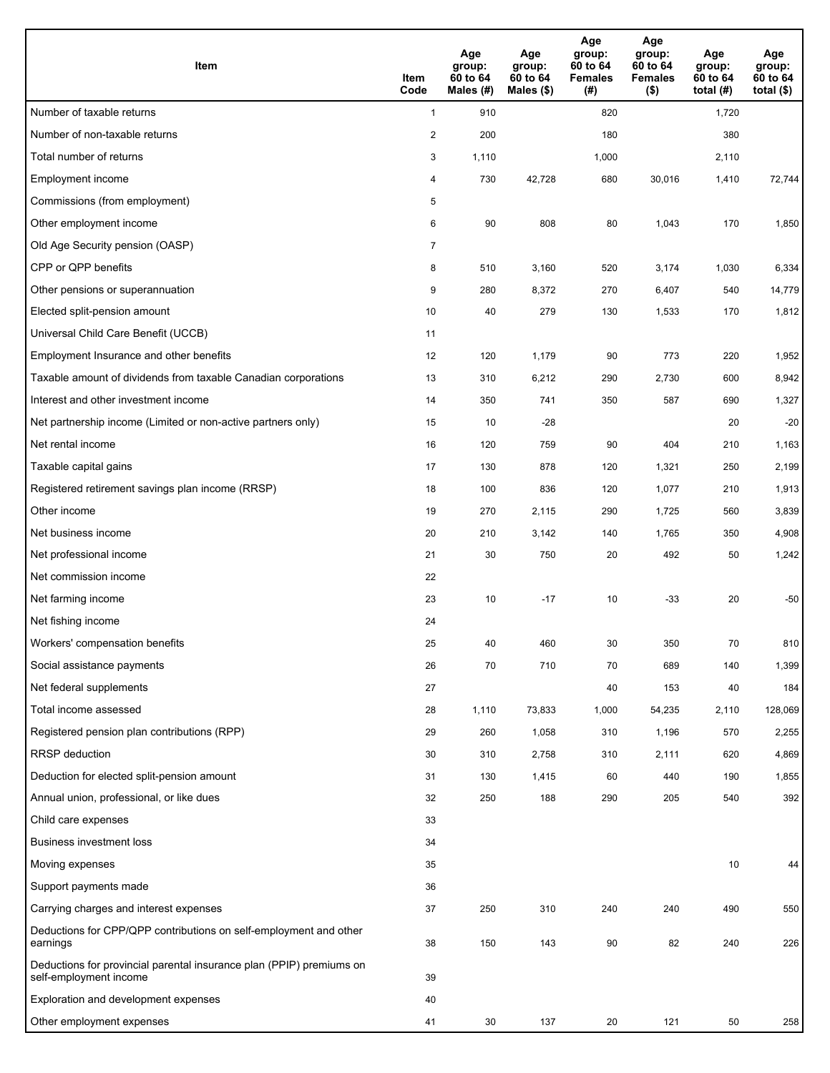| <b>Item</b>                                                                                    | Item<br>Code            | Age<br>group:<br>60 to 64<br>Males (#) | Age<br>group:<br>60 to 64<br>Males $(\$)$ | Age<br>group:<br>60 to 64<br><b>Females</b><br>(#) | Age<br>group:<br>60 to 64<br><b>Females</b><br>$($ \$) | Age<br>group:<br>60 to 64<br>total $(H)$ | Age<br>group:<br>60 to 64<br>total $($)$ |
|------------------------------------------------------------------------------------------------|-------------------------|----------------------------------------|-------------------------------------------|----------------------------------------------------|--------------------------------------------------------|------------------------------------------|------------------------------------------|
| Number of taxable returns                                                                      | $\mathbf{1}$            | 910                                    |                                           | 820                                                |                                                        | 1,720                                    |                                          |
| Number of non-taxable returns                                                                  | $\overline{\mathbf{c}}$ | 200                                    |                                           | 180                                                |                                                        | 380                                      |                                          |
| Total number of returns                                                                        | 3                       | 1,110                                  |                                           | 1,000                                              |                                                        | 2,110                                    |                                          |
| Employment income                                                                              | 4                       | 730                                    | 42,728                                    | 680                                                | 30,016                                                 | 1,410                                    | 72,744                                   |
| Commissions (from employment)                                                                  | 5                       |                                        |                                           |                                                    |                                                        |                                          |                                          |
| Other employment income                                                                        | 6                       | 90                                     | 808                                       | 80                                                 | 1,043                                                  | 170                                      | 1,850                                    |
| Old Age Security pension (OASP)                                                                | $\overline{7}$          |                                        |                                           |                                                    |                                                        |                                          |                                          |
| CPP or QPP benefits                                                                            | 8                       | 510                                    | 3,160                                     | 520                                                | 3,174                                                  | 1,030                                    | 6,334                                    |
| Other pensions or superannuation                                                               | 9                       | 280                                    | 8,372                                     | 270                                                | 6,407                                                  | 540                                      | 14,779                                   |
| Elected split-pension amount                                                                   | 10                      | 40                                     | 279                                       | 130                                                | 1,533                                                  | 170                                      | 1,812                                    |
| Universal Child Care Benefit (UCCB)                                                            | 11                      |                                        |                                           |                                                    |                                                        |                                          |                                          |
| Employment Insurance and other benefits                                                        | 12                      | 120                                    | 1,179                                     | 90                                                 | 773                                                    | 220                                      | 1,952                                    |
| Taxable amount of dividends from taxable Canadian corporations                                 | 13                      | 310                                    | 6,212                                     | 290                                                | 2,730                                                  | 600                                      | 8,942                                    |
| Interest and other investment income                                                           | 14                      | 350                                    | 741                                       | 350                                                | 587                                                    | 690                                      | 1,327                                    |
| Net partnership income (Limited or non-active partners only)                                   | 15                      | 10                                     | $-28$                                     |                                                    |                                                        | 20                                       | $-20$                                    |
| Net rental income                                                                              | 16                      | 120                                    | 759                                       | 90                                                 | 404                                                    | 210                                      | 1,163                                    |
| Taxable capital gains                                                                          | 17                      | 130                                    | 878                                       | 120                                                | 1,321                                                  | 250                                      | 2,199                                    |
| Registered retirement savings plan income (RRSP)                                               | 18                      | 100                                    | 836                                       | 120                                                | 1,077                                                  | 210                                      | 1,913                                    |
| Other income                                                                                   | 19                      | 270                                    | 2,115                                     | 290                                                | 1,725                                                  | 560                                      | 3,839                                    |
| Net business income                                                                            | 20                      | 210                                    | 3,142                                     | 140                                                | 1,765                                                  | 350                                      | 4,908                                    |
| Net professional income                                                                        | 21                      | 30                                     | 750                                       | 20                                                 | 492                                                    | 50                                       | 1,242                                    |
| Net commission income                                                                          | 22                      |                                        |                                           |                                                    |                                                        |                                          |                                          |
| Net farming income                                                                             | 23                      | 10                                     | $-17$                                     | 10                                                 | $-33$                                                  | 20                                       | $-50$                                    |
| Net fishing income                                                                             | 24                      |                                        |                                           |                                                    |                                                        |                                          |                                          |
| Workers' compensation benefits                                                                 | 25                      | 40                                     | 460                                       | 30                                                 | 350                                                    | 70                                       | 810                                      |
| Social assistance payments                                                                     | 26                      | 70                                     | 710                                       | 70                                                 | 689                                                    | 140                                      | 1,399                                    |
| Net federal supplements                                                                        | 27                      |                                        |                                           | 40                                                 | 153                                                    | 40                                       | 184                                      |
| Total income assessed                                                                          | 28                      | 1,110                                  | 73,833                                    | 1,000                                              | 54,235                                                 | 2,110                                    | 128,069                                  |
| Registered pension plan contributions (RPP)                                                    | 29                      | 260                                    | 1,058                                     | 310                                                | 1,196                                                  | 570                                      | 2,255                                    |
| RRSP deduction                                                                                 | 30                      | 310                                    | 2,758                                     | 310                                                | 2,111                                                  | 620                                      | 4,869                                    |
| Deduction for elected split-pension amount                                                     | 31                      | 130                                    | 1,415                                     | 60                                                 | 440                                                    | 190                                      | 1,855                                    |
| Annual union, professional, or like dues                                                       | 32                      | 250                                    | 188                                       | 290                                                | 205                                                    | 540                                      | 392                                      |
| Child care expenses                                                                            | 33                      |                                        |                                           |                                                    |                                                        |                                          |                                          |
| <b>Business investment loss</b>                                                                | 34                      |                                        |                                           |                                                    |                                                        |                                          |                                          |
| Moving expenses                                                                                | 35                      |                                        |                                           |                                                    |                                                        | 10                                       | 44                                       |
| Support payments made                                                                          | 36                      |                                        |                                           |                                                    |                                                        |                                          |                                          |
| Carrying charges and interest expenses                                                         | 37                      | 250                                    | 310                                       | 240                                                | 240                                                    | 490                                      | 550                                      |
| Deductions for CPP/QPP contributions on self-employment and other<br>earnings                  | 38                      | 150                                    | 143                                       | 90                                                 | 82                                                     | 240                                      | 226                                      |
| Deductions for provincial parental insurance plan (PPIP) premiums on<br>self-employment income | 39                      |                                        |                                           |                                                    |                                                        |                                          |                                          |
| Exploration and development expenses                                                           | 40                      |                                        |                                           |                                                    |                                                        |                                          |                                          |
| Other employment expenses                                                                      | 41                      | 30                                     | 137                                       | 20                                                 | 121                                                    | 50                                       | 258                                      |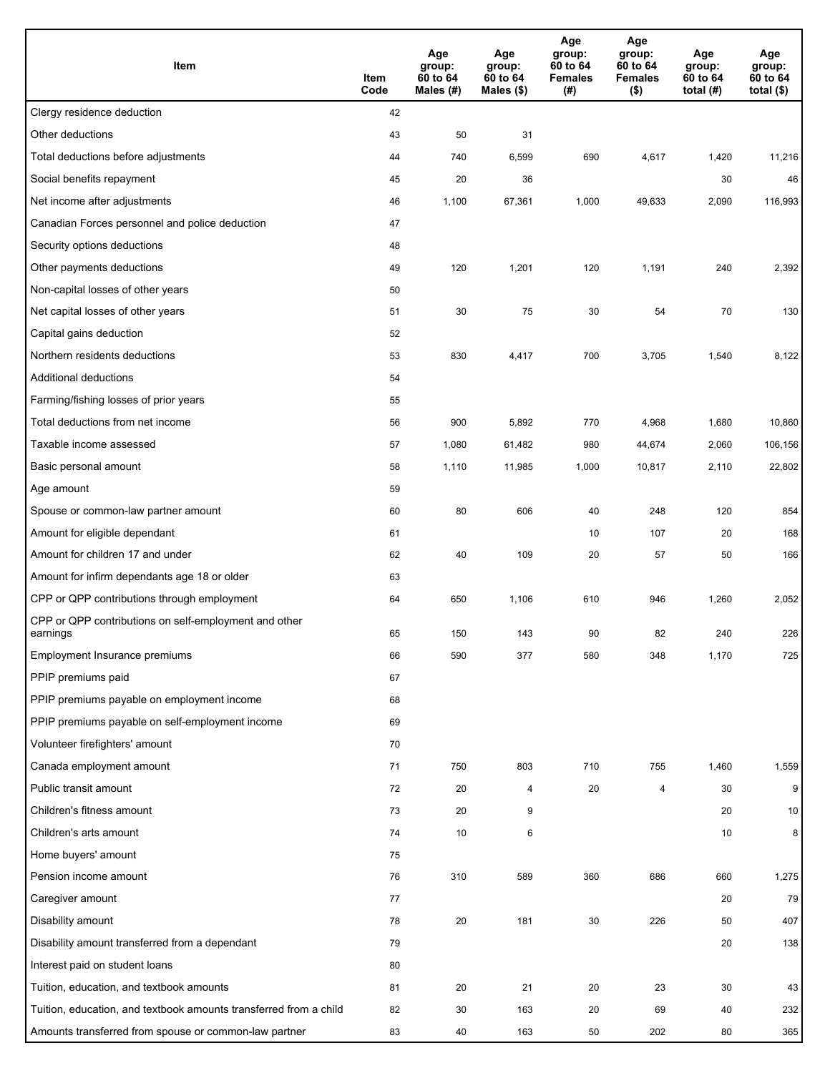| Item                                                              | Item<br>Code | Age<br>group:<br>60 to 64<br>Males (#) | Age<br>group:<br>60 to 64<br>Males (\$) | Age<br>group:<br>60 to 64<br><b>Females</b><br>(#) | Age<br>group:<br>60 to 64<br><b>Females</b><br>$($ \$) | Age<br>group:<br>60 to 64<br>total $(#)$ | Age<br>group:<br>60 to 64<br>total $($)$ |
|-------------------------------------------------------------------|--------------|----------------------------------------|-----------------------------------------|----------------------------------------------------|--------------------------------------------------------|------------------------------------------|------------------------------------------|
| Clergy residence deduction                                        | 42           |                                        |                                         |                                                    |                                                        |                                          |                                          |
| Other deductions                                                  | 43           | 50                                     | 31                                      |                                                    |                                                        |                                          |                                          |
| Total deductions before adjustments                               | 44           | 740                                    | 6,599                                   | 690                                                | 4,617                                                  | 1,420                                    | 11,216                                   |
| Social benefits repayment                                         | 45           | 20                                     | 36                                      |                                                    |                                                        | 30                                       | 46                                       |
| Net income after adjustments                                      | 46           | 1,100                                  | 67,361                                  | 1,000                                              | 49,633                                                 | 2,090                                    | 116,993                                  |
| Canadian Forces personnel and police deduction                    | 47           |                                        |                                         |                                                    |                                                        |                                          |                                          |
| Security options deductions                                       | 48           |                                        |                                         |                                                    |                                                        |                                          |                                          |
| Other payments deductions                                         | 49           | 120                                    | 1,201                                   | 120                                                | 1,191                                                  | 240                                      | 2,392                                    |
| Non-capital losses of other years                                 | 50           |                                        |                                         |                                                    |                                                        |                                          |                                          |
| Net capital losses of other years                                 | 51           | 30                                     | 75                                      | 30                                                 | 54                                                     | 70                                       | 130                                      |
| Capital gains deduction                                           | 52           |                                        |                                         |                                                    |                                                        |                                          |                                          |
| Northern residents deductions                                     | 53           | 830                                    | 4,417                                   | 700                                                | 3,705                                                  | 1,540                                    | 8,122                                    |
| Additional deductions                                             | 54           |                                        |                                         |                                                    |                                                        |                                          |                                          |
| Farming/fishing losses of prior years                             | 55           |                                        |                                         |                                                    |                                                        |                                          |                                          |
| Total deductions from net income                                  | 56           | 900                                    | 5,892                                   | 770                                                | 4,968                                                  | 1,680                                    | 10,860                                   |
| Taxable income assessed                                           | 57           | 1,080                                  | 61,482                                  | 980                                                | 44,674                                                 | 2,060                                    | 106,156                                  |
| Basic personal amount                                             | 58           | 1,110                                  | 11,985                                  | 1,000                                              | 10,817                                                 | 2,110                                    | 22,802                                   |
| Age amount                                                        | 59           |                                        |                                         |                                                    |                                                        |                                          |                                          |
| Spouse or common-law partner amount                               | 60           | 80                                     | 606                                     | 40                                                 | 248                                                    | 120                                      | 854                                      |
| Amount for eligible dependant                                     | 61           |                                        |                                         | 10                                                 | 107                                                    | 20                                       | 168                                      |
| Amount for children 17 and under                                  | 62           | 40                                     | 109                                     | 20                                                 | 57                                                     | 50                                       | 166                                      |
| Amount for infirm dependants age 18 or older                      | 63           |                                        |                                         |                                                    |                                                        |                                          |                                          |
| CPP or QPP contributions through employment                       | 64           | 650                                    | 1,106                                   | 610                                                | 946                                                    | 1,260                                    | 2,052                                    |
| CPP or QPP contributions on self-employment and other<br>earnings | 65           | 150                                    | 143                                     | 90                                                 | 82                                                     | 240                                      | 226                                      |
| Employment Insurance premiums                                     | 66           | 590                                    | 377                                     | 580                                                | 348                                                    | 1,170                                    | 725                                      |
| PPIP premiums paid                                                | 67           |                                        |                                         |                                                    |                                                        |                                          |                                          |
| PPIP premiums payable on employment income                        | 68           |                                        |                                         |                                                    |                                                        |                                          |                                          |
| PPIP premiums payable on self-employment income                   | 69           |                                        |                                         |                                                    |                                                        |                                          |                                          |
| Volunteer firefighters' amount                                    | 70           |                                        |                                         |                                                    |                                                        |                                          |                                          |
| Canada employment amount                                          | 71           | 750                                    | 803                                     | 710                                                | 755                                                    | 1,460                                    | 1,559                                    |
| Public transit amount                                             | 72           | 20                                     | 4                                       | 20                                                 | 4                                                      | 30                                       | 9                                        |
| Children's fitness amount                                         | 73           | 20                                     | 9                                       |                                                    |                                                        | 20                                       | 10 <sup>°</sup>                          |
| Children's arts amount                                            | 74           | 10                                     | 6                                       |                                                    |                                                        | 10                                       | 8                                        |
| Home buyers' amount                                               | 75           |                                        |                                         |                                                    |                                                        |                                          |                                          |
| Pension income amount                                             | 76           | 310                                    | 589                                     | 360                                                | 686                                                    | 660                                      | 1,275                                    |
| Caregiver amount                                                  | 77           |                                        |                                         |                                                    |                                                        | 20                                       | 79                                       |
| Disability amount                                                 | 78           | 20                                     | 181                                     | 30                                                 | 226                                                    | 50                                       | 407                                      |
| Disability amount transferred from a dependant                    | 79           |                                        |                                         |                                                    |                                                        | 20                                       | 138                                      |
| Interest paid on student loans                                    | 80           |                                        |                                         |                                                    |                                                        |                                          |                                          |
| Tuition, education, and textbook amounts                          | 81           | 20                                     | 21                                      | 20                                                 | 23                                                     | 30                                       | 43                                       |
| Tuition, education, and textbook amounts transferred from a child | 82           | 30                                     | 163                                     | 20                                                 | 69                                                     | 40                                       | 232                                      |
| Amounts transferred from spouse or common-law partner             | 83           | 40                                     | 163                                     | 50                                                 | 202                                                    | 80                                       | 365                                      |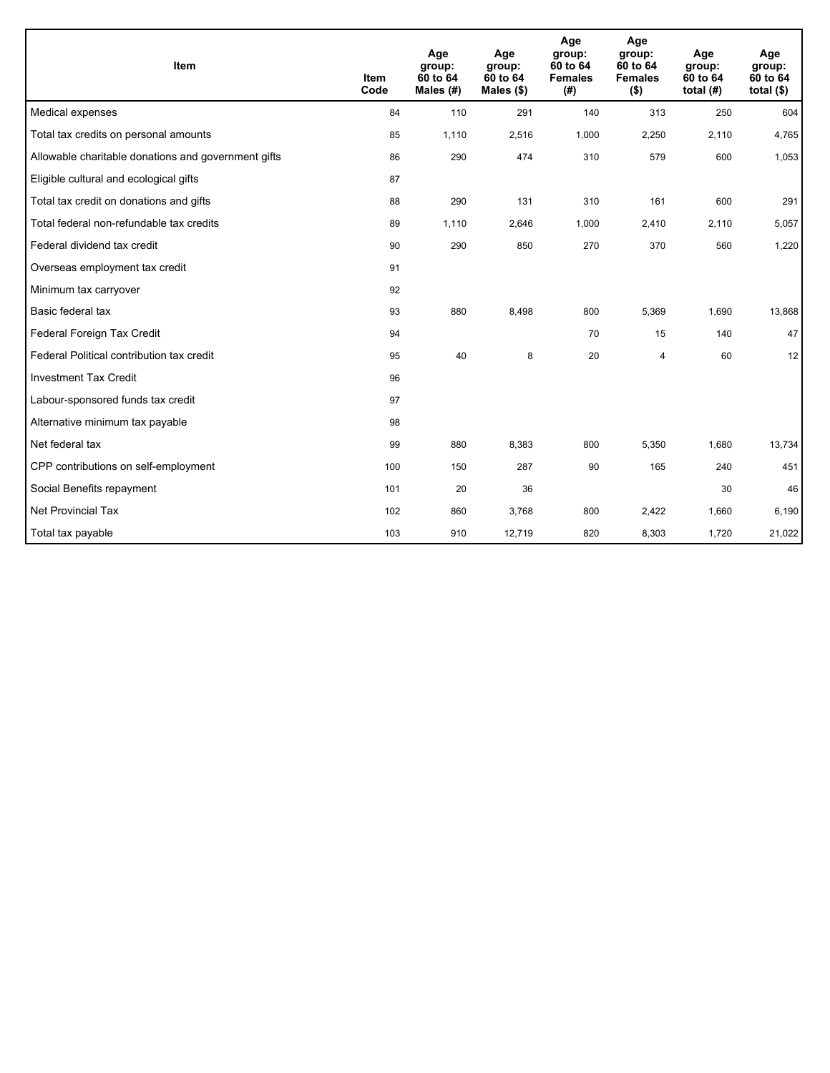| Item                                                | <b>Item</b><br>Code | Age<br>group:<br>60 to 64<br>Males $(H)$ | Age<br>group:<br>60 to 64<br>Males $(\$)$ | Age<br>group:<br>60 to 64<br><b>Females</b><br>(# ) | Age<br>group:<br>60 to 64<br><b>Females</b><br>$($ \$) | Age<br>group:<br>60 to 64<br>total $(H)$ | Age<br>group:<br>60 to 64<br>total $(§)$ |
|-----------------------------------------------------|---------------------|------------------------------------------|-------------------------------------------|-----------------------------------------------------|--------------------------------------------------------|------------------------------------------|------------------------------------------|
| Medical expenses                                    | 84                  | 110                                      | 291                                       | 140                                                 | 313                                                    | 250                                      | 604                                      |
| Total tax credits on personal amounts               | 85                  | 1,110                                    | 2,516                                     | 1,000                                               | 2,250                                                  | 2,110                                    | 4,765                                    |
| Allowable charitable donations and government gifts | 86                  | 290                                      | 474                                       | 310                                                 | 579                                                    | 600                                      | 1,053                                    |
| Eligible cultural and ecological gifts              | 87                  |                                          |                                           |                                                     |                                                        |                                          |                                          |
| Total tax credit on donations and gifts             | 88                  | 290                                      | 131                                       | 310                                                 | 161                                                    | 600                                      | 291                                      |
| Total federal non-refundable tax credits            | 89                  | 1,110                                    | 2,646                                     | 1,000                                               | 2,410                                                  | 2,110                                    | 5,057                                    |
| Federal dividend tax credit                         | 90                  | 290                                      | 850                                       | 270                                                 | 370                                                    | 560                                      | 1,220                                    |
| Overseas employment tax credit                      | 91                  |                                          |                                           |                                                     |                                                        |                                          |                                          |
| Minimum tax carryover                               | 92                  |                                          |                                           |                                                     |                                                        |                                          |                                          |
| Basic federal tax                                   | 93                  | 880                                      | 8,498                                     | 800                                                 | 5,369                                                  | 1,690                                    | 13,868                                   |
| Federal Foreign Tax Credit                          | 94                  |                                          |                                           | 70                                                  | 15                                                     | 140                                      | 47                                       |
| Federal Political contribution tax credit           | 95                  | 40                                       | 8                                         | 20                                                  | 4                                                      | 60                                       | 12                                       |
| <b>Investment Tax Credit</b>                        | 96                  |                                          |                                           |                                                     |                                                        |                                          |                                          |
| Labour-sponsored funds tax credit                   | 97                  |                                          |                                           |                                                     |                                                        |                                          |                                          |
| Alternative minimum tax payable                     | 98                  |                                          |                                           |                                                     |                                                        |                                          |                                          |
| Net federal tax                                     | 99                  | 880                                      | 8,383                                     | 800                                                 | 5,350                                                  | 1,680                                    | 13,734                                   |
| CPP contributions on self-employment                | 100                 | 150                                      | 287                                       | 90                                                  | 165                                                    | 240                                      | 451                                      |
| Social Benefits repayment                           | 101                 | 20                                       | 36                                        |                                                     |                                                        | 30                                       | 46                                       |
| Net Provincial Tax                                  | 102                 | 860                                      | 3,768                                     | 800                                                 | 2,422                                                  | 1,660                                    | 6,190                                    |
| Total tax payable                                   | 103                 | 910                                      | 12,719                                    | 820                                                 | 8,303                                                  | 1,720                                    | 21,022                                   |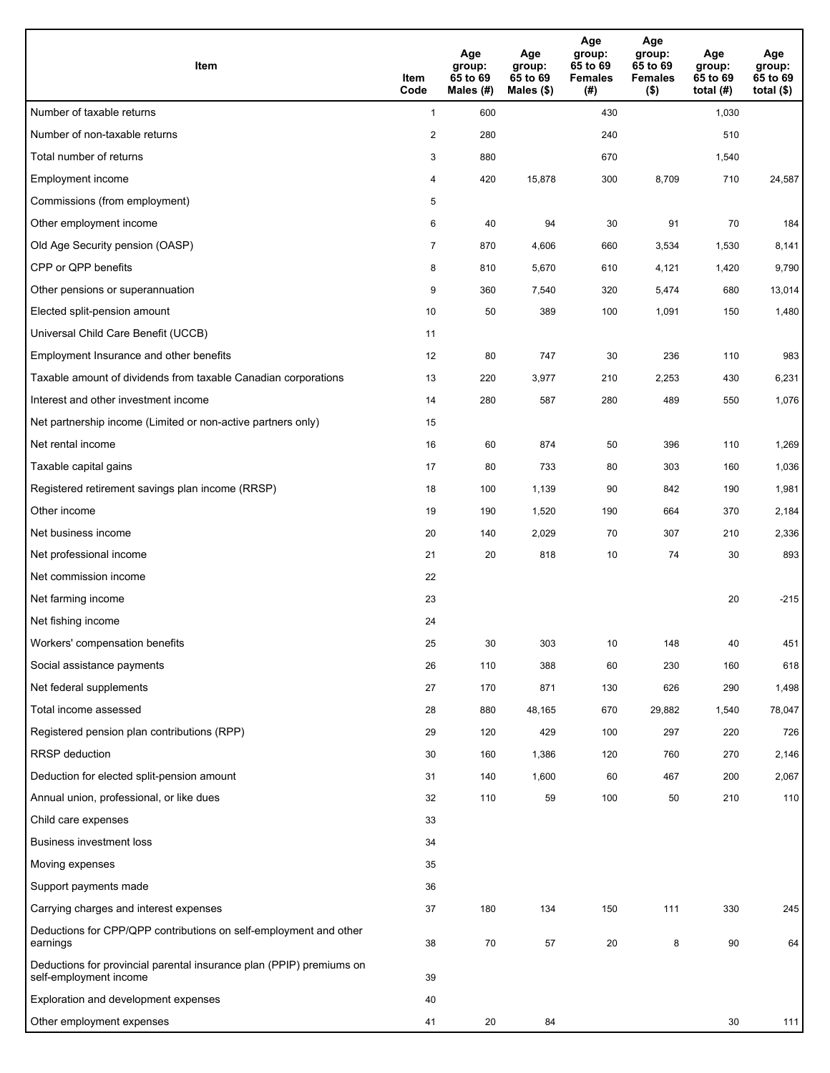| <b>Item</b>                                                                                    | Item<br>Code            | Age<br>group:<br>65 to 69<br>Males (#) | Age<br>group:<br>65 to 69<br>Males $(\$)$ | Age<br>group:<br>65 to 69<br><b>Females</b><br>(#) | Age<br>group:<br>65 to 69<br><b>Females</b><br>$($ \$) | Age<br>group:<br>65 to 69<br>total $(H)$ | Age<br>group:<br>65 to 69<br>total $($)$ |
|------------------------------------------------------------------------------------------------|-------------------------|----------------------------------------|-------------------------------------------|----------------------------------------------------|--------------------------------------------------------|------------------------------------------|------------------------------------------|
| Number of taxable returns                                                                      | $\mathbf{1}$            | 600                                    |                                           | 430                                                |                                                        | 1,030                                    |                                          |
| Number of non-taxable returns                                                                  | $\overline{\mathbf{c}}$ | 280                                    |                                           | 240                                                |                                                        | 510                                      |                                          |
| Total number of returns                                                                        | 3                       | 880                                    |                                           | 670                                                |                                                        | 1,540                                    |                                          |
| Employment income                                                                              | 4                       | 420                                    | 15,878                                    | 300                                                | 8,709                                                  | 710                                      | 24,587                                   |
| Commissions (from employment)                                                                  | 5                       |                                        |                                           |                                                    |                                                        |                                          |                                          |
| Other employment income                                                                        | 6                       | 40                                     | 94                                        | 30                                                 | 91                                                     | 70                                       | 184                                      |
| Old Age Security pension (OASP)                                                                | $\overline{7}$          | 870                                    | 4,606                                     | 660                                                | 3,534                                                  | 1,530                                    | 8,141                                    |
| CPP or QPP benefits                                                                            | 8                       | 810                                    | 5,670                                     | 610                                                | 4,121                                                  | 1,420                                    | 9,790                                    |
| Other pensions or superannuation                                                               | 9                       | 360                                    | 7,540                                     | 320                                                | 5,474                                                  | 680                                      | 13,014                                   |
| Elected split-pension amount                                                                   | 10                      | 50                                     | 389                                       | 100                                                | 1,091                                                  | 150                                      | 1,480                                    |
| Universal Child Care Benefit (UCCB)                                                            | 11                      |                                        |                                           |                                                    |                                                        |                                          |                                          |
| Employment Insurance and other benefits                                                        | 12                      | 80                                     | 747                                       | 30                                                 | 236                                                    | 110                                      | 983                                      |
| Taxable amount of dividends from taxable Canadian corporations                                 | 13                      | 220                                    | 3,977                                     | 210                                                | 2,253                                                  | 430                                      | 6,231                                    |
| Interest and other investment income                                                           | 14                      | 280                                    | 587                                       | 280                                                | 489                                                    | 550                                      | 1,076                                    |
| Net partnership income (Limited or non-active partners only)                                   | 15                      |                                        |                                           |                                                    |                                                        |                                          |                                          |
| Net rental income                                                                              | 16                      | 60                                     | 874                                       | 50                                                 | 396                                                    | 110                                      | 1,269                                    |
| Taxable capital gains                                                                          | 17                      | 80                                     | 733                                       | 80                                                 | 303                                                    | 160                                      | 1,036                                    |
| Registered retirement savings plan income (RRSP)                                               | 18                      | 100                                    | 1,139                                     | 90                                                 | 842                                                    | 190                                      | 1,981                                    |
| Other income                                                                                   | 19                      | 190                                    | 1,520                                     | 190                                                | 664                                                    | 370                                      | 2,184                                    |
| Net business income                                                                            | 20                      | 140                                    | 2,029                                     | 70                                                 | 307                                                    | 210                                      | 2,336                                    |
| Net professional income                                                                        | 21                      | 20                                     | 818                                       | 10                                                 | 74                                                     | 30                                       | 893                                      |
| Net commission income                                                                          | 22                      |                                        |                                           |                                                    |                                                        |                                          |                                          |
| Net farming income                                                                             | 23                      |                                        |                                           |                                                    |                                                        | 20                                       | $-215$                                   |
| Net fishing income                                                                             | 24                      |                                        |                                           |                                                    |                                                        |                                          |                                          |
| Workers' compensation benefits                                                                 | 25                      | 30                                     | 303                                       | 10                                                 | 148                                                    | 40                                       | 451                                      |
| Social assistance payments                                                                     | 26                      | 110                                    | 388                                       | 60                                                 | 230                                                    | 160                                      | 618                                      |
| Net federal supplements                                                                        | 27                      | 170                                    | 871                                       | 130                                                | 626                                                    | 290                                      | 1,498                                    |
| Total income assessed                                                                          | 28                      | 880                                    | 48,165                                    | 670                                                | 29,882                                                 | 1,540                                    | 78,047                                   |
| Registered pension plan contributions (RPP)                                                    | 29                      | 120                                    | 429                                       | 100                                                | 297                                                    | 220                                      | 726                                      |
| RRSP deduction                                                                                 | 30                      | 160                                    | 1,386                                     | 120                                                | 760                                                    | 270                                      | 2,146                                    |
| Deduction for elected split-pension amount                                                     | 31                      | 140                                    | 1,600                                     | 60                                                 | 467                                                    | 200                                      | 2,067                                    |
| Annual union, professional, or like dues                                                       | 32                      | 110                                    | 59                                        | 100                                                | 50                                                     | 210                                      | 110                                      |
| Child care expenses                                                                            | 33                      |                                        |                                           |                                                    |                                                        |                                          |                                          |
| <b>Business investment loss</b>                                                                | 34                      |                                        |                                           |                                                    |                                                        |                                          |                                          |
| Moving expenses                                                                                | 35                      |                                        |                                           |                                                    |                                                        |                                          |                                          |
| Support payments made                                                                          | 36                      |                                        |                                           |                                                    |                                                        |                                          |                                          |
| Carrying charges and interest expenses                                                         | 37                      | 180                                    | 134                                       | 150                                                | 111                                                    | 330                                      | 245                                      |
| Deductions for CPP/QPP contributions on self-employment and other<br>earnings                  | 38                      | 70                                     | 57                                        | 20                                                 | 8                                                      | 90                                       | 64                                       |
| Deductions for provincial parental insurance plan (PPIP) premiums on<br>self-employment income | 39                      |                                        |                                           |                                                    |                                                        |                                          |                                          |
| Exploration and development expenses                                                           | 40                      |                                        |                                           |                                                    |                                                        |                                          |                                          |
| Other employment expenses                                                                      | 41                      | 20                                     | 84                                        |                                                    |                                                        | 30                                       | 111                                      |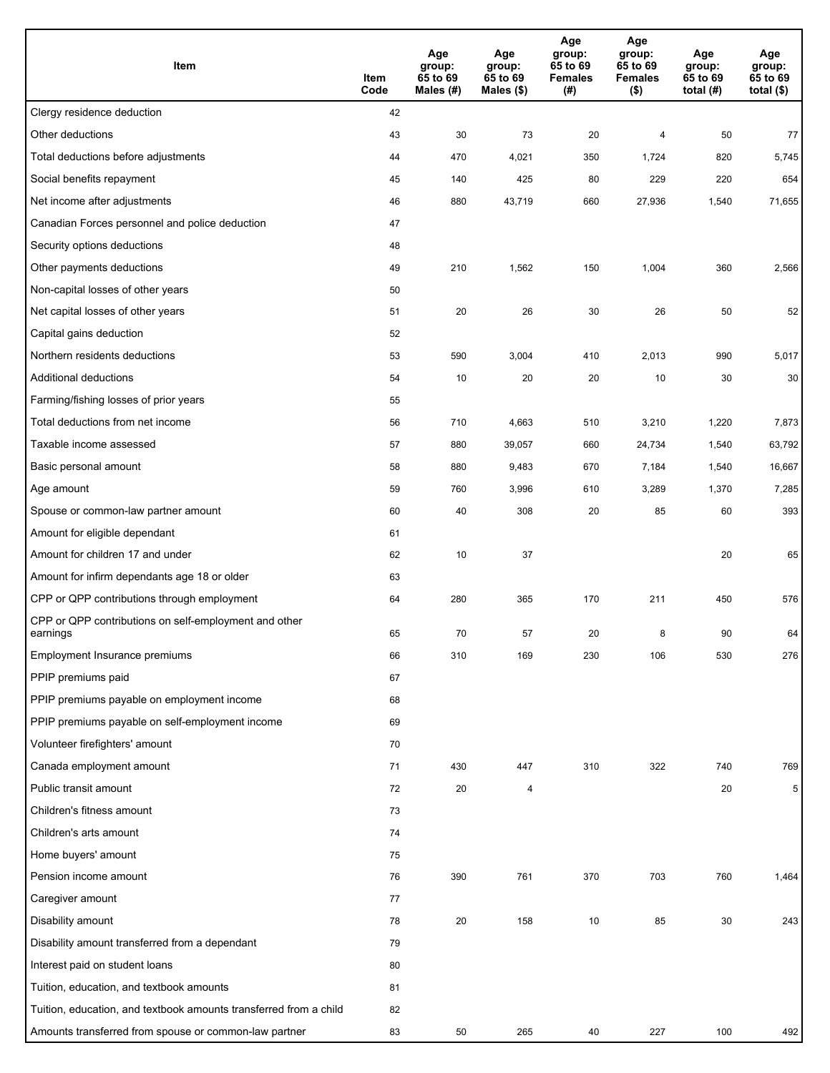| Item                                                              | Item<br>Code | Age<br>group:<br>65 to 69<br>Males (#) | Age<br>group:<br>65 to 69<br>Males (\$) | Age<br>group:<br>65 to 69<br><b>Females</b><br>(#) | Age<br>group:<br>65 to 69<br><b>Females</b><br>$($ \$) | Age<br>group:<br>65 to 69<br>total $(#)$ | Age<br>group:<br>65 to 69<br>total $($)$ |
|-------------------------------------------------------------------|--------------|----------------------------------------|-----------------------------------------|----------------------------------------------------|--------------------------------------------------------|------------------------------------------|------------------------------------------|
| Clergy residence deduction                                        | 42           |                                        |                                         |                                                    |                                                        |                                          |                                          |
| Other deductions                                                  | 43           | 30                                     | 73                                      | 20                                                 | 4                                                      | 50                                       | 77                                       |
| Total deductions before adjustments                               | 44           | 470                                    | 4,021                                   | 350                                                | 1,724                                                  | 820                                      | 5,745                                    |
| Social benefits repayment                                         | 45           | 140                                    | 425                                     | 80                                                 | 229                                                    | 220                                      | 654                                      |
| Net income after adjustments                                      | 46           | 880                                    | 43,719                                  | 660                                                | 27,936                                                 | 1,540                                    | 71,655                                   |
| Canadian Forces personnel and police deduction                    | 47           |                                        |                                         |                                                    |                                                        |                                          |                                          |
| Security options deductions                                       | 48           |                                        |                                         |                                                    |                                                        |                                          |                                          |
| Other payments deductions                                         | 49           | 210                                    | 1,562                                   | 150                                                | 1,004                                                  | 360                                      | 2,566                                    |
| Non-capital losses of other years                                 | 50           |                                        |                                         |                                                    |                                                        |                                          |                                          |
| Net capital losses of other years                                 | 51           | 20                                     | 26                                      | 30                                                 | 26                                                     | 50                                       | 52                                       |
| Capital gains deduction                                           | 52           |                                        |                                         |                                                    |                                                        |                                          |                                          |
| Northern residents deductions                                     | 53           | 590                                    | 3,004                                   | 410                                                | 2,013                                                  | 990                                      | 5,017                                    |
| Additional deductions                                             | 54           | 10                                     | 20                                      | 20                                                 | 10                                                     | 30                                       | 30                                       |
| Farming/fishing losses of prior years                             | 55           |                                        |                                         |                                                    |                                                        |                                          |                                          |
| Total deductions from net income                                  | 56           | 710                                    | 4,663                                   | 510                                                | 3,210                                                  | 1,220                                    | 7,873                                    |
| Taxable income assessed                                           | 57           | 880                                    | 39,057                                  | 660                                                | 24,734                                                 | 1,540                                    | 63,792                                   |
| Basic personal amount                                             | 58           | 880                                    | 9,483                                   | 670                                                | 7,184                                                  | 1,540                                    | 16,667                                   |
| Age amount                                                        | 59           | 760                                    | 3,996                                   | 610                                                | 3,289                                                  | 1,370                                    | 7,285                                    |
| Spouse or common-law partner amount                               | 60           | 40                                     | 308                                     | 20                                                 | 85                                                     | 60                                       | 393                                      |
| Amount for eligible dependant                                     | 61           |                                        |                                         |                                                    |                                                        |                                          |                                          |
| Amount for children 17 and under                                  | 62           | 10                                     | 37                                      |                                                    |                                                        | 20                                       | 65                                       |
| Amount for infirm dependants age 18 or older                      | 63           |                                        |                                         |                                                    |                                                        |                                          |                                          |
| CPP or QPP contributions through employment                       | 64           | 280                                    | 365                                     | 170                                                | 211                                                    | 450                                      | 576                                      |
| CPP or QPP contributions on self-employment and other             |              |                                        |                                         |                                                    |                                                        |                                          |                                          |
| earnings                                                          | 65           | 70                                     | 57                                      | 20                                                 | 8                                                      | 90                                       | 64                                       |
| Employment Insurance premiums                                     | 66           | 310                                    | 169                                     | 230                                                | 106                                                    | 530                                      | 276                                      |
| PPIP premiums paid                                                | 67           |                                        |                                         |                                                    |                                                        |                                          |                                          |
| PPIP premiums payable on employment income                        | 68           |                                        |                                         |                                                    |                                                        |                                          |                                          |
| PPIP premiums payable on self-employment income                   | 69           |                                        |                                         |                                                    |                                                        |                                          |                                          |
| Volunteer firefighters' amount                                    | 70           |                                        |                                         |                                                    |                                                        |                                          |                                          |
| Canada employment amount                                          | 71           | 430                                    | 447                                     | 310                                                | 322                                                    | 740                                      | 769                                      |
| Public transit amount                                             | 72           | 20                                     | 4                                       |                                                    |                                                        | 20                                       | 5                                        |
| Children's fitness amount                                         | 73           |                                        |                                         |                                                    |                                                        |                                          |                                          |
| Children's arts amount                                            | 74           |                                        |                                         |                                                    |                                                        |                                          |                                          |
| Home buyers' amount                                               | 75           |                                        |                                         |                                                    |                                                        |                                          |                                          |
| Pension income amount                                             | 76           | 390                                    | 761                                     | 370                                                | 703                                                    | 760                                      | 1,464                                    |
| Caregiver amount                                                  | 77           |                                        |                                         |                                                    |                                                        |                                          |                                          |
| Disability amount                                                 | 78           | 20                                     | 158                                     | 10                                                 | 85                                                     | 30                                       | 243                                      |
| Disability amount transferred from a dependant                    | 79           |                                        |                                         |                                                    |                                                        |                                          |                                          |
| Interest paid on student loans                                    | 80           |                                        |                                         |                                                    |                                                        |                                          |                                          |
| Tuition, education, and textbook amounts                          | 81           |                                        |                                         |                                                    |                                                        |                                          |                                          |
| Tuition, education, and textbook amounts transferred from a child | 82           |                                        |                                         |                                                    |                                                        |                                          |                                          |
| Amounts transferred from spouse or common-law partner             | 83           | 50                                     | 265                                     | 40                                                 | 227                                                    | 100                                      | 492                                      |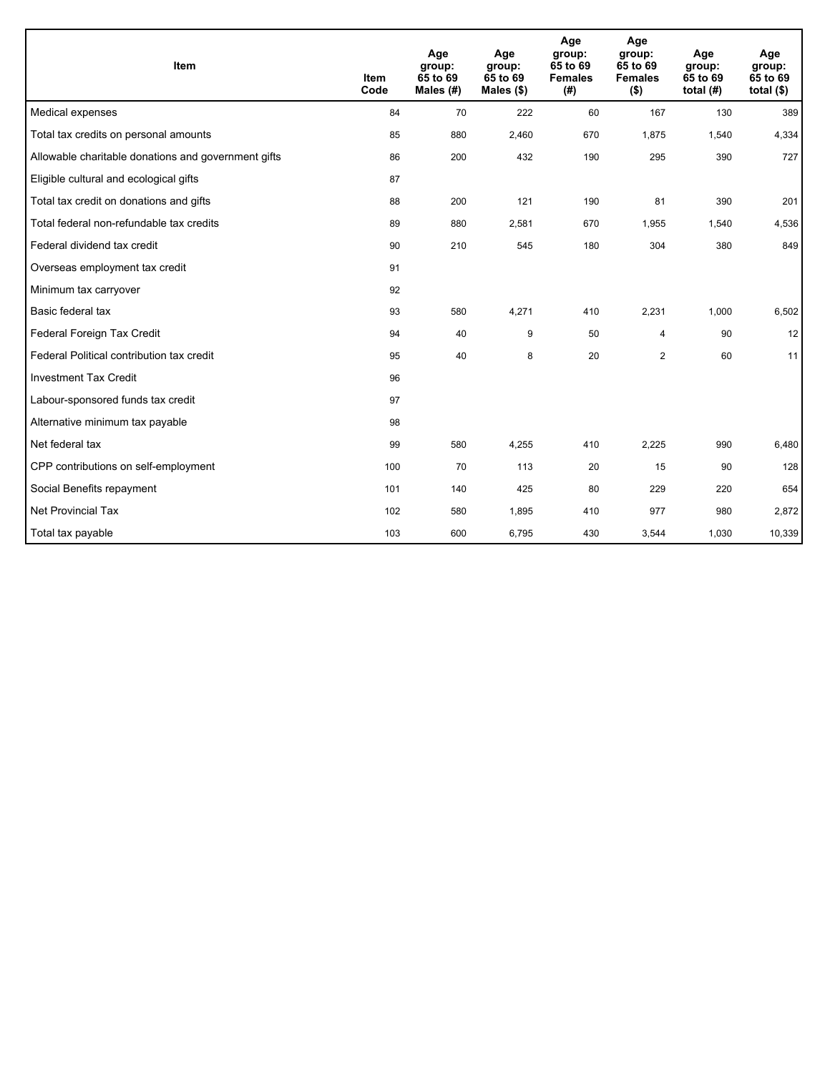| <b>Item</b>                                         | <b>Item</b><br>Code | Age<br>group:<br>65 to 69<br>Males (#) | Age<br>group:<br>65 to 69<br>Males $(\$)$ | Age<br>group:<br>65 to 69<br><b>Females</b><br>(# ) | Age<br>group:<br>65 to 69<br><b>Females</b><br>$($ \$) | Age<br>group:<br>65 to 69<br>total $(H)$ | Age<br>group:<br>65 to 69<br>total $($)$ |
|-----------------------------------------------------|---------------------|----------------------------------------|-------------------------------------------|-----------------------------------------------------|--------------------------------------------------------|------------------------------------------|------------------------------------------|
| Medical expenses                                    | 84                  | 70                                     | 222                                       | 60                                                  | 167                                                    | 130                                      | 389                                      |
| Total tax credits on personal amounts               | 85                  | 880                                    | 2,460                                     | 670                                                 | 1,875                                                  | 1,540                                    | 4,334                                    |
| Allowable charitable donations and government gifts | 86                  | 200                                    | 432                                       | 190                                                 | 295                                                    | 390                                      | 727                                      |
| Eligible cultural and ecological gifts              | 87                  |                                        |                                           |                                                     |                                                        |                                          |                                          |
| Total tax credit on donations and gifts             | 88                  | 200                                    | 121                                       | 190                                                 | 81                                                     | 390                                      | 201                                      |
| Total federal non-refundable tax credits            | 89                  | 880                                    | 2,581                                     | 670                                                 | 1,955                                                  | 1,540                                    | 4,536                                    |
| Federal dividend tax credit                         | 90                  | 210                                    | 545                                       | 180                                                 | 304                                                    | 380                                      | 849                                      |
| Overseas employment tax credit                      | 91                  |                                        |                                           |                                                     |                                                        |                                          |                                          |
| Minimum tax carryover                               | 92                  |                                        |                                           |                                                     |                                                        |                                          |                                          |
| Basic federal tax                                   | 93                  | 580                                    | 4,271                                     | 410                                                 | 2,231                                                  | 1,000                                    | 6,502                                    |
| Federal Foreign Tax Credit                          | 94                  | 40                                     | 9                                         | 50                                                  | 4                                                      | 90                                       | 12                                       |
| Federal Political contribution tax credit           | 95                  | 40                                     | 8                                         | 20                                                  | $\overline{2}$                                         | 60                                       | 11                                       |
| <b>Investment Tax Credit</b>                        | 96                  |                                        |                                           |                                                     |                                                        |                                          |                                          |
| Labour-sponsored funds tax credit                   | 97                  |                                        |                                           |                                                     |                                                        |                                          |                                          |
| Alternative minimum tax payable                     | 98                  |                                        |                                           |                                                     |                                                        |                                          |                                          |
| Net federal tax                                     | 99                  | 580                                    | 4,255                                     | 410                                                 | 2,225                                                  | 990                                      | 6,480                                    |
| CPP contributions on self-employment                | 100                 | 70                                     | 113                                       | 20                                                  | 15                                                     | 90                                       | 128                                      |
| Social Benefits repayment                           | 101                 | 140                                    | 425                                       | 80                                                  | 229                                                    | 220                                      | 654                                      |
| Net Provincial Tax                                  | 102                 | 580                                    | 1,895                                     | 410                                                 | 977                                                    | 980                                      | 2,872                                    |
| Total tax payable                                   | 103                 | 600                                    | 6,795                                     | 430                                                 | 3,544                                                  | 1,030                                    | 10,339                                   |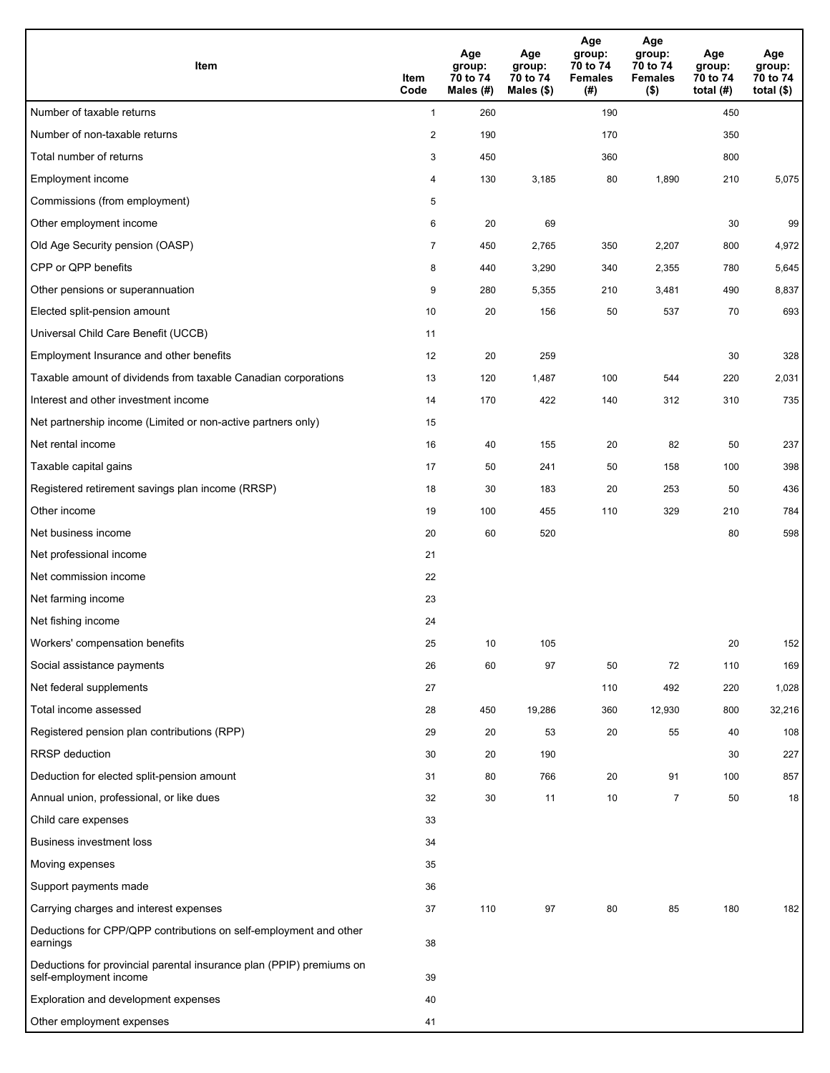| Item                                                                                           | Item<br>Code              | Age<br>group:<br>70 to 74<br>Males (#) | Age<br>group:<br>70 to 74<br>Males $(\$)$ | Age<br>group:<br>70 to 74<br><b>Females</b><br>(# ) | Age<br>group:<br>70 to 74<br><b>Females</b><br>$($ \$) | Age<br>group:<br>70 to 74<br>total $(H)$ | Age<br>group:<br>70 to 74<br>total $($ |
|------------------------------------------------------------------------------------------------|---------------------------|----------------------------------------|-------------------------------------------|-----------------------------------------------------|--------------------------------------------------------|------------------------------------------|----------------------------------------|
| Number of taxable returns                                                                      | $\mathbf{1}$              | 260                                    |                                           | 190                                                 |                                                        | 450                                      |                                        |
| Number of non-taxable returns                                                                  | $\sqrt{2}$                | 190                                    |                                           | 170                                                 |                                                        | 350                                      |                                        |
| Total number of returns                                                                        | $\ensuremath{\mathsf{3}}$ | 450                                    |                                           | 360                                                 |                                                        | 800                                      |                                        |
| Employment income                                                                              | 4                         | 130                                    | 3,185                                     | 80                                                  | 1,890                                                  | 210                                      | 5,075                                  |
| Commissions (from employment)                                                                  | 5                         |                                        |                                           |                                                     |                                                        |                                          |                                        |
| Other employment income                                                                        | 6                         | 20                                     | 69                                        |                                                     |                                                        | 30                                       | 99                                     |
| Old Age Security pension (OASP)                                                                | $\overline{7}$            | 450                                    | 2,765                                     | 350                                                 | 2,207                                                  | 800                                      | 4,972                                  |
| CPP or QPP benefits                                                                            | 8                         | 440                                    | 3,290                                     | 340                                                 | 2,355                                                  | 780                                      | 5,645                                  |
| Other pensions or superannuation                                                               | 9                         | 280                                    | 5,355                                     | 210                                                 | 3,481                                                  | 490                                      | 8,837                                  |
| Elected split-pension amount                                                                   | 10                        | 20                                     | 156                                       | 50                                                  | 537                                                    | 70                                       | 693                                    |
| Universal Child Care Benefit (UCCB)                                                            | 11                        |                                        |                                           |                                                     |                                                        |                                          |                                        |
| Employment Insurance and other benefits                                                        | 12                        | 20                                     | 259                                       |                                                     |                                                        | 30                                       | 328                                    |
| Taxable amount of dividends from taxable Canadian corporations                                 | 13                        | 120                                    | 1,487                                     | 100                                                 | 544                                                    | 220                                      | 2,031                                  |
| Interest and other investment income                                                           | 14                        | 170                                    | 422                                       | 140                                                 | 312                                                    | 310                                      | 735                                    |
| Net partnership income (Limited or non-active partners only)                                   | 15                        |                                        |                                           |                                                     |                                                        |                                          |                                        |
| Net rental income                                                                              | 16                        | 40                                     | 155                                       | 20                                                  | 82                                                     | 50                                       | 237                                    |
| Taxable capital gains                                                                          | 17                        | 50                                     | 241                                       | 50                                                  | 158                                                    | 100                                      | 398                                    |
| Registered retirement savings plan income (RRSP)                                               | 18                        | 30                                     | 183                                       | 20                                                  | 253                                                    | 50                                       | 436                                    |
| Other income                                                                                   | 19                        | 100                                    | 455                                       | 110                                                 | 329                                                    | 210                                      | 784                                    |
| Net business income                                                                            | 20                        | 60                                     | 520                                       |                                                     |                                                        | 80                                       | 598                                    |
| Net professional income                                                                        | 21                        |                                        |                                           |                                                     |                                                        |                                          |                                        |
| Net commission income                                                                          | 22                        |                                        |                                           |                                                     |                                                        |                                          |                                        |
| Net farming income                                                                             | 23                        |                                        |                                           |                                                     |                                                        |                                          |                                        |
| Net fishing income                                                                             | 24                        |                                        |                                           |                                                     |                                                        |                                          |                                        |
| Workers' compensation benefits                                                                 | 25                        | 10                                     | 105                                       |                                                     |                                                        | 20                                       | 152                                    |
| Social assistance payments                                                                     | 26                        | 60                                     | 97                                        | 50                                                  | 72                                                     | 110                                      | 169                                    |
| Net federal supplements                                                                        | 27                        |                                        |                                           | 110                                                 | 492                                                    | 220                                      | 1,028                                  |
| Total income assessed                                                                          | 28                        | 450                                    | 19,286                                    | 360                                                 | 12,930                                                 | 800                                      | 32,216                                 |
| Registered pension plan contributions (RPP)                                                    | 29                        | 20                                     | 53                                        | 20                                                  | 55                                                     | 40                                       | 108                                    |
| <b>RRSP</b> deduction                                                                          | 30                        | 20                                     | 190                                       |                                                     |                                                        | 30                                       | 227                                    |
| Deduction for elected split-pension amount                                                     | 31                        | 80                                     | 766                                       | 20                                                  | 91                                                     | 100                                      | 857                                    |
| Annual union, professional, or like dues                                                       | 32                        | 30                                     | 11                                        | 10                                                  | $\overline{7}$                                         | 50                                       | 18                                     |
| Child care expenses                                                                            | 33                        |                                        |                                           |                                                     |                                                        |                                          |                                        |
| Business investment loss                                                                       | 34                        |                                        |                                           |                                                     |                                                        |                                          |                                        |
| Moving expenses                                                                                | 35                        |                                        |                                           |                                                     |                                                        |                                          |                                        |
| Support payments made                                                                          | 36                        |                                        |                                           |                                                     |                                                        |                                          |                                        |
| Carrying charges and interest expenses                                                         | 37                        | 110                                    | 97                                        | 80                                                  | 85                                                     | 180                                      | 182                                    |
| Deductions for CPP/QPP contributions on self-employment and other<br>earnings                  | 38                        |                                        |                                           |                                                     |                                                        |                                          |                                        |
| Deductions for provincial parental insurance plan (PPIP) premiums on<br>self-employment income | 39                        |                                        |                                           |                                                     |                                                        |                                          |                                        |
| Exploration and development expenses                                                           | 40                        |                                        |                                           |                                                     |                                                        |                                          |                                        |
| Other employment expenses                                                                      | 41                        |                                        |                                           |                                                     |                                                        |                                          |                                        |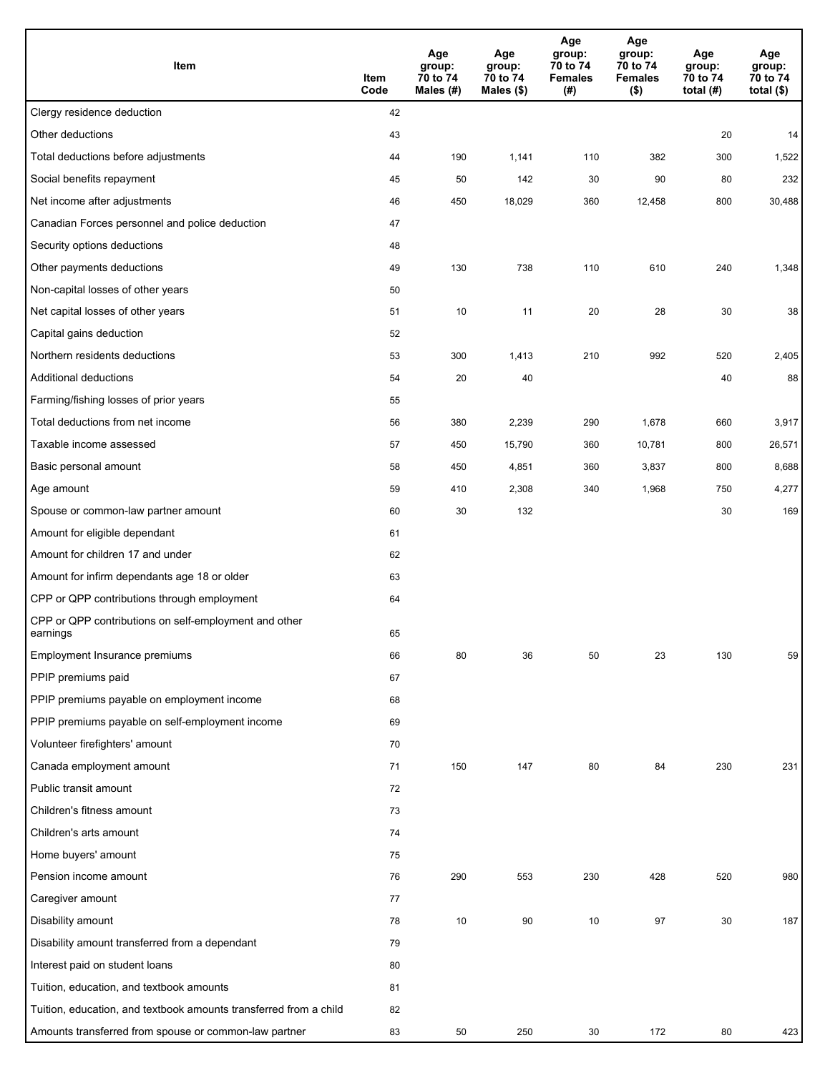| Item                                                              | Item<br>Code | Age<br>group:<br>70 to 74<br>Males (#) | Age<br>group:<br>70 to 74<br>Males (\$) | Age<br>group:<br>70 to 74<br><b>Females</b><br>(#) | Age<br>group:<br>70 to 74<br><b>Females</b><br>$($ \$) | Age<br>group:<br>70 to 74<br>total $(H)$ | Age<br>group:<br>70 to 74<br>total $($)$ |
|-------------------------------------------------------------------|--------------|----------------------------------------|-----------------------------------------|----------------------------------------------------|--------------------------------------------------------|------------------------------------------|------------------------------------------|
| Clergy residence deduction                                        | 42           |                                        |                                         |                                                    |                                                        |                                          |                                          |
| Other deductions                                                  | 43           |                                        |                                         |                                                    |                                                        | 20                                       | 14                                       |
| Total deductions before adjustments                               | 44           | 190                                    | 1,141                                   | 110                                                | 382                                                    | 300                                      | 1,522                                    |
| Social benefits repayment                                         | 45           | 50                                     | 142                                     | 30                                                 | 90                                                     | 80                                       | 232                                      |
| Net income after adjustments                                      | 46           | 450                                    | 18,029                                  | 360                                                | 12,458                                                 | 800                                      | 30,488                                   |
| Canadian Forces personnel and police deduction                    | 47           |                                        |                                         |                                                    |                                                        |                                          |                                          |
| Security options deductions                                       | 48           |                                        |                                         |                                                    |                                                        |                                          |                                          |
| Other payments deductions                                         | 49           | 130                                    | 738                                     | 110                                                | 610                                                    | 240                                      | 1,348                                    |
| Non-capital losses of other years                                 | 50           |                                        |                                         |                                                    |                                                        |                                          |                                          |
| Net capital losses of other years                                 | 51           | 10                                     | 11                                      | 20                                                 | 28                                                     | 30                                       | 38                                       |
| Capital gains deduction                                           | 52           |                                        |                                         |                                                    |                                                        |                                          |                                          |
| Northern residents deductions                                     | 53           | 300                                    | 1,413                                   | 210                                                | 992                                                    | 520                                      | 2,405                                    |
| Additional deductions                                             | 54           | 20                                     | 40                                      |                                                    |                                                        | 40                                       | 88                                       |
| Farming/fishing losses of prior years                             | 55           |                                        |                                         |                                                    |                                                        |                                          |                                          |
| Total deductions from net income                                  | 56           | 380                                    | 2,239                                   | 290                                                | 1,678                                                  | 660                                      | 3,917                                    |
| Taxable income assessed                                           | 57           | 450                                    | 15,790                                  | 360                                                | 10,781                                                 | 800                                      | 26,571                                   |
| Basic personal amount                                             | 58           | 450                                    | 4,851                                   | 360                                                | 3,837                                                  | 800                                      | 8,688                                    |
| Age amount                                                        | 59           | 410                                    | 2,308                                   | 340                                                | 1,968                                                  | 750                                      | 4,277                                    |
| Spouse or common-law partner amount                               | 60           | 30                                     | 132                                     |                                                    |                                                        | 30                                       | 169                                      |
| Amount for eligible dependant                                     | 61           |                                        |                                         |                                                    |                                                        |                                          |                                          |
| Amount for children 17 and under                                  | 62           |                                        |                                         |                                                    |                                                        |                                          |                                          |
| Amount for infirm dependants age 18 or older                      | 63           |                                        |                                         |                                                    |                                                        |                                          |                                          |
| CPP or QPP contributions through employment                       | 64           |                                        |                                         |                                                    |                                                        |                                          |                                          |
| CPP or QPP contributions on self-employment and other<br>earnings | 65           |                                        |                                         |                                                    |                                                        |                                          |                                          |
| Employment Insurance premiums                                     | 66           | 80                                     | 36                                      | 50                                                 | 23                                                     | 130                                      | 59                                       |
| PPIP premiums paid                                                | 67           |                                        |                                         |                                                    |                                                        |                                          |                                          |
| PPIP premiums payable on employment income                        | 68           |                                        |                                         |                                                    |                                                        |                                          |                                          |
| PPIP premiums payable on self-employment income                   | 69           |                                        |                                         |                                                    |                                                        |                                          |                                          |
| Volunteer firefighters' amount                                    | 70           |                                        |                                         |                                                    |                                                        |                                          |                                          |
| Canada employment amount                                          | 71           | 150                                    | 147                                     | 80                                                 | 84                                                     | 230                                      | 231                                      |
| Public transit amount                                             | 72           |                                        |                                         |                                                    |                                                        |                                          |                                          |
| Children's fitness amount                                         | 73           |                                        |                                         |                                                    |                                                        |                                          |                                          |
| Children's arts amount                                            | 74           |                                        |                                         |                                                    |                                                        |                                          |                                          |
| Home buyers' amount                                               | 75           |                                        |                                         |                                                    |                                                        |                                          |                                          |
| Pension income amount                                             | 76           | 290                                    | 553                                     | 230                                                | 428                                                    | 520                                      | 980                                      |
| Caregiver amount                                                  | 77           |                                        |                                         |                                                    |                                                        |                                          |                                          |
| Disability amount                                                 | 78           | 10                                     | 90                                      | 10                                                 | 97                                                     | 30                                       | 187                                      |
| Disability amount transferred from a dependant                    | 79           |                                        |                                         |                                                    |                                                        |                                          |                                          |
| Interest paid on student loans                                    | 80           |                                        |                                         |                                                    |                                                        |                                          |                                          |
| Tuition, education, and textbook amounts                          | 81           |                                        |                                         |                                                    |                                                        |                                          |                                          |
| Tuition, education, and textbook amounts transferred from a child | 82           |                                        |                                         |                                                    |                                                        |                                          |                                          |
| Amounts transferred from spouse or common-law partner             | 83           | 50                                     | 250                                     | 30                                                 | 172                                                    | 80                                       | 423                                      |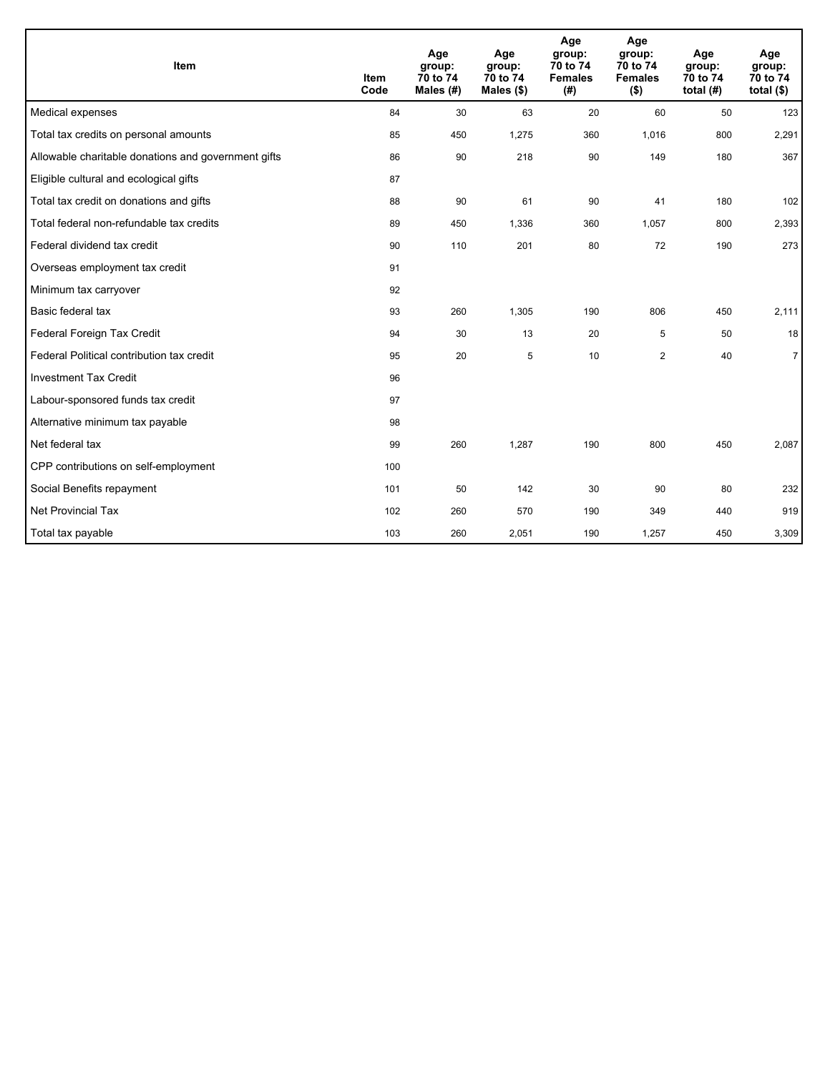| <b>Item</b>                                         | <b>Item</b><br>Code | Age<br>group:<br>70 to 74<br>Males (#) | Age<br>group:<br>70 to 74<br>Males $(\$)$ | Age<br>group:<br>70 to 74<br><b>Females</b><br>(# ) | Age<br>group:<br>70 to 74<br><b>Females</b><br>$($ \$) | Age<br>group:<br>70 to 74<br>total $(H)$ | Age<br>group:<br>70 to 74<br>total $($)$ |
|-----------------------------------------------------|---------------------|----------------------------------------|-------------------------------------------|-----------------------------------------------------|--------------------------------------------------------|------------------------------------------|------------------------------------------|
| Medical expenses                                    | 84                  | 30                                     | 63                                        | 20                                                  | 60                                                     | 50                                       | 123                                      |
| Total tax credits on personal amounts               | 85                  | 450                                    | 1,275                                     | 360                                                 | 1,016                                                  | 800                                      | 2,291                                    |
| Allowable charitable donations and government gifts | 86                  | 90                                     | 218                                       | 90                                                  | 149                                                    | 180                                      | 367                                      |
| Eligible cultural and ecological gifts              | 87                  |                                        |                                           |                                                     |                                                        |                                          |                                          |
| Total tax credit on donations and gifts             | 88                  | 90                                     | 61                                        | 90                                                  | 41                                                     | 180                                      | 102                                      |
| Total federal non-refundable tax credits            | 89                  | 450                                    | 1,336                                     | 360                                                 | 1,057                                                  | 800                                      | 2,393                                    |
| Federal dividend tax credit                         | 90                  | 110                                    | 201                                       | 80                                                  | 72                                                     | 190                                      | 273                                      |
| Overseas employment tax credit                      | 91                  |                                        |                                           |                                                     |                                                        |                                          |                                          |
| Minimum tax carryover                               | 92                  |                                        |                                           |                                                     |                                                        |                                          |                                          |
| Basic federal tax                                   | 93                  | 260                                    | 1,305                                     | 190                                                 | 806                                                    | 450                                      | 2,111                                    |
| Federal Foreign Tax Credit                          | 94                  | 30                                     | 13                                        | 20                                                  | 5                                                      | 50                                       | 18                                       |
| Federal Political contribution tax credit           | 95                  | 20                                     | 5                                         | 10                                                  | $\overline{2}$                                         | 40                                       | $\overline{7}$                           |
| <b>Investment Tax Credit</b>                        | 96                  |                                        |                                           |                                                     |                                                        |                                          |                                          |
| Labour-sponsored funds tax credit                   | 97                  |                                        |                                           |                                                     |                                                        |                                          |                                          |
| Alternative minimum tax payable                     | 98                  |                                        |                                           |                                                     |                                                        |                                          |                                          |
| Net federal tax                                     | 99                  | 260                                    | 1,287                                     | 190                                                 | 800                                                    | 450                                      | 2,087                                    |
| CPP contributions on self-employment                | 100                 |                                        |                                           |                                                     |                                                        |                                          |                                          |
| Social Benefits repayment                           | 101                 | 50                                     | 142                                       | 30                                                  | 90                                                     | 80                                       | 232                                      |
| <b>Net Provincial Tax</b>                           | 102                 | 260                                    | 570                                       | 190                                                 | 349                                                    | 440                                      | 919                                      |
| Total tax payable                                   | 103                 | 260                                    | 2,051                                     | 190                                                 | 1,257                                                  | 450                                      | 3,309                                    |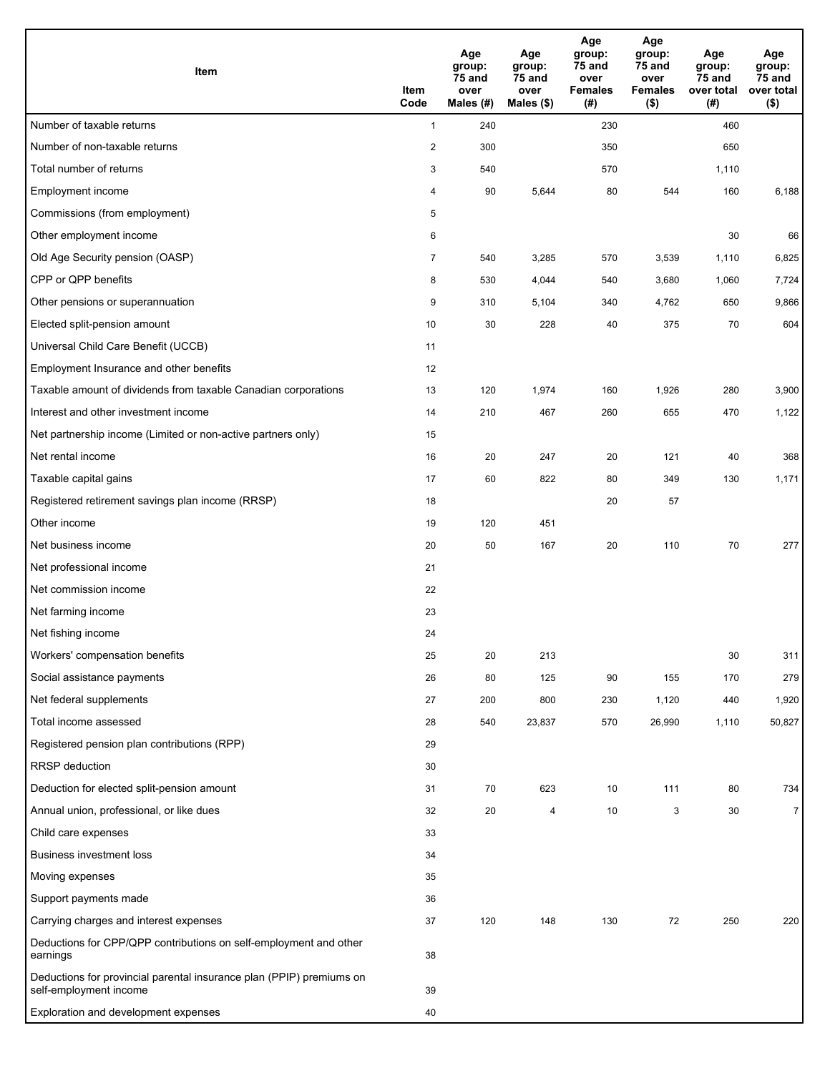| Item                                                                                           | Item<br>Code   | Age<br>group:<br>75 and<br>over<br>Males $(H)$ | Age<br>group:<br>75 and<br>over<br>Males $($)$ | Age<br>group:<br>75 and<br>over<br><b>Females</b><br>(#) | Age<br>group:<br>75 and<br>over<br><b>Females</b><br>$($ \$) | Age<br>group:<br>75 and<br>over total<br>(#) | Age<br>group:<br>75 and<br>over total<br>$($ \$) |
|------------------------------------------------------------------------------------------------|----------------|------------------------------------------------|------------------------------------------------|----------------------------------------------------------|--------------------------------------------------------------|----------------------------------------------|--------------------------------------------------|
| Number of taxable returns                                                                      | $\mathbf{1}$   | 240                                            |                                                | 230                                                      |                                                              | 460                                          |                                                  |
| Number of non-taxable returns                                                                  | $\overline{2}$ | 300                                            |                                                | 350                                                      |                                                              | 650                                          |                                                  |
| Total number of returns                                                                        | 3              | 540                                            |                                                | 570                                                      |                                                              | 1,110                                        |                                                  |
| Employment income                                                                              | 4              | 90                                             | 5,644                                          | 80                                                       | 544                                                          | 160                                          | 6,188                                            |
| Commissions (from employment)                                                                  | 5              |                                                |                                                |                                                          |                                                              |                                              |                                                  |
| Other employment income                                                                        | 6              |                                                |                                                |                                                          |                                                              | 30                                           | 66                                               |
| Old Age Security pension (OASP)                                                                | $\overline{7}$ | 540                                            | 3,285                                          | 570                                                      | 3,539                                                        | 1,110                                        | 6,825                                            |
| CPP or QPP benefits                                                                            | 8              | 530                                            | 4,044                                          | 540                                                      | 3,680                                                        | 1,060                                        | 7,724                                            |
| Other pensions or superannuation                                                               | 9              | 310                                            | 5,104                                          | 340                                                      | 4,762                                                        | 650                                          | 9,866                                            |
| Elected split-pension amount                                                                   | 10             | 30                                             | 228                                            | 40                                                       | 375                                                          | 70                                           | 604                                              |
| Universal Child Care Benefit (UCCB)                                                            | 11             |                                                |                                                |                                                          |                                                              |                                              |                                                  |
| Employment Insurance and other benefits                                                        | 12             |                                                |                                                |                                                          |                                                              |                                              |                                                  |
| Taxable amount of dividends from taxable Canadian corporations                                 | 13             | 120                                            | 1,974                                          | 160                                                      | 1,926                                                        | 280                                          | 3,900                                            |
| Interest and other investment income                                                           | 14             | 210                                            | 467                                            | 260                                                      | 655                                                          | 470                                          | 1,122                                            |
| Net partnership income (Limited or non-active partners only)                                   | 15             |                                                |                                                |                                                          |                                                              |                                              |                                                  |
| Net rental income                                                                              | 16             | 20                                             | 247                                            | 20                                                       | 121                                                          | 40                                           | 368                                              |
| Taxable capital gains                                                                          | 17             | 60                                             | 822                                            | 80                                                       | 349                                                          | 130                                          | 1,171                                            |
| Registered retirement savings plan income (RRSP)                                               | 18             |                                                |                                                | 20                                                       | 57                                                           |                                              |                                                  |
| Other income                                                                                   | 19             | 120                                            | 451                                            |                                                          |                                                              |                                              |                                                  |
| Net business income                                                                            | 20             | 50                                             | 167                                            | 20                                                       | 110                                                          | 70                                           | 277                                              |
| Net professional income                                                                        | 21             |                                                |                                                |                                                          |                                                              |                                              |                                                  |
| Net commission income                                                                          | 22             |                                                |                                                |                                                          |                                                              |                                              |                                                  |
| Net farming income                                                                             | 23             |                                                |                                                |                                                          |                                                              |                                              |                                                  |
| Net fishing income                                                                             | 24             |                                                |                                                |                                                          |                                                              |                                              |                                                  |
| Workers' compensation benefits                                                                 | 25             | 20                                             | 213                                            |                                                          |                                                              | 30                                           | 311                                              |
| Social assistance payments                                                                     | 26             | 80                                             | 125                                            | 90                                                       | 155                                                          | 170                                          | 279                                              |
| Net federal supplements                                                                        | 27             | 200                                            | 800                                            | 230                                                      | 1,120                                                        | 440                                          | 1,920                                            |
| Total income assessed                                                                          | 28             | 540                                            | 23,837                                         | 570                                                      | 26,990                                                       | 1,110                                        | 50,827                                           |
| Registered pension plan contributions (RPP)                                                    | 29             |                                                |                                                |                                                          |                                                              |                                              |                                                  |
| RRSP deduction                                                                                 | 30             |                                                |                                                |                                                          |                                                              |                                              |                                                  |
| Deduction for elected split-pension amount                                                     | 31             | 70                                             | 623                                            | 10                                                       | 111                                                          | 80                                           | 734                                              |
| Annual union, professional, or like dues                                                       | 32             | 20                                             | 4                                              | 10                                                       | 3                                                            | 30                                           | $\overline{7}$                                   |
| Child care expenses                                                                            | 33             |                                                |                                                |                                                          |                                                              |                                              |                                                  |
| <b>Business investment loss</b>                                                                | 34             |                                                |                                                |                                                          |                                                              |                                              |                                                  |
| Moving expenses                                                                                | 35             |                                                |                                                |                                                          |                                                              |                                              |                                                  |
| Support payments made                                                                          | 36             |                                                |                                                |                                                          |                                                              |                                              |                                                  |
| Carrying charges and interest expenses                                                         | 37             | 120                                            | 148                                            | 130                                                      | 72                                                           | 250                                          | 220                                              |
| Deductions for CPP/QPP contributions on self-employment and other<br>earnings                  | 38             |                                                |                                                |                                                          |                                                              |                                              |                                                  |
| Deductions for provincial parental insurance plan (PPIP) premiums on<br>self-employment income | 39             |                                                |                                                |                                                          |                                                              |                                              |                                                  |
| Exploration and development expenses                                                           | 40             |                                                |                                                |                                                          |                                                              |                                              |                                                  |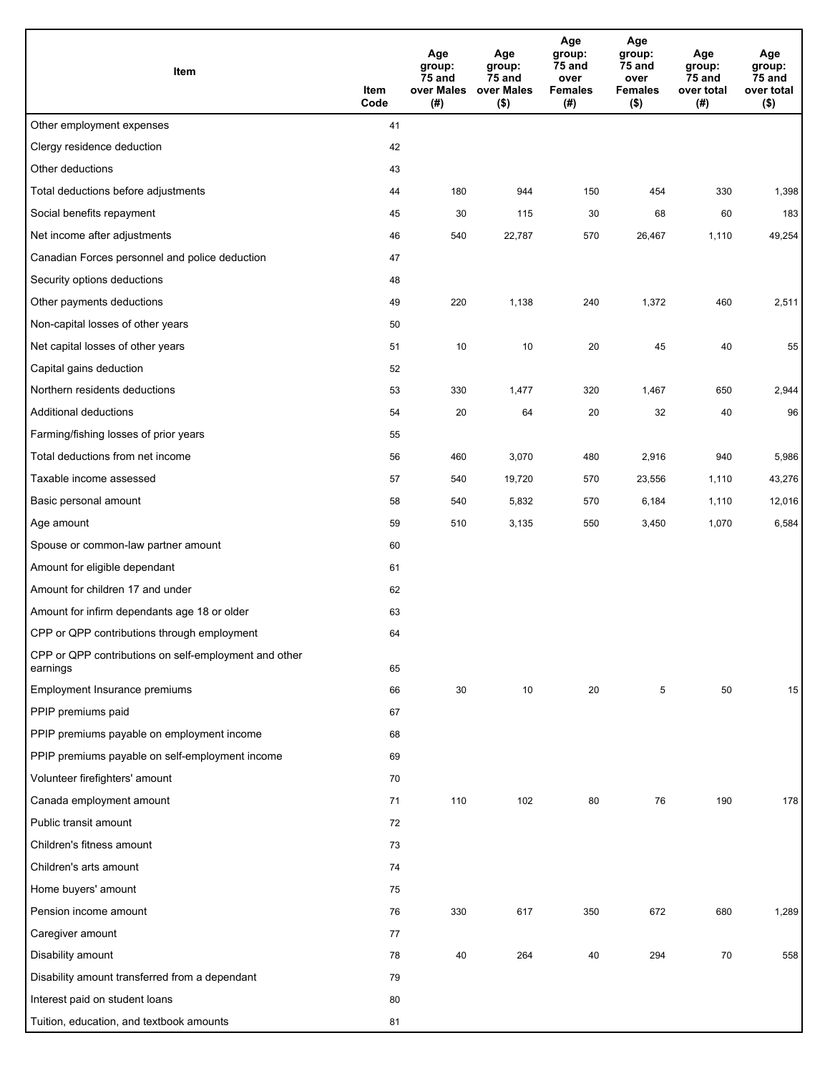| Item                                                              | Item<br>Code | Age<br>group:<br>75 and<br>over Males<br>(# ) | Age<br>group:<br>75 and<br>over Males<br>$($ \$) | Age<br>group:<br>75 and<br>over<br><b>Females</b><br>(#) | Age<br>group:<br>75 and<br>over<br><b>Females</b><br>(\$) | Age<br>group:<br>75 and<br>over total<br>(#) | Age<br>group:<br>75 and<br>over total<br>$($ \$) |
|-------------------------------------------------------------------|--------------|-----------------------------------------------|--------------------------------------------------|----------------------------------------------------------|-----------------------------------------------------------|----------------------------------------------|--------------------------------------------------|
| Other employment expenses                                         | 41           |                                               |                                                  |                                                          |                                                           |                                              |                                                  |
| Clergy residence deduction                                        | 42           |                                               |                                                  |                                                          |                                                           |                                              |                                                  |
| Other deductions                                                  | 43           |                                               |                                                  |                                                          |                                                           |                                              |                                                  |
| Total deductions before adjustments                               | 44           | 180                                           | 944                                              | 150                                                      | 454                                                       | 330                                          | 1,398                                            |
| Social benefits repayment                                         | 45           | 30                                            | 115                                              | 30                                                       | 68                                                        | 60                                           | 183                                              |
| Net income after adjustments                                      | 46           | 540                                           | 22,787                                           | 570                                                      | 26,467                                                    | 1,110                                        | 49,254                                           |
| Canadian Forces personnel and police deduction                    | 47           |                                               |                                                  |                                                          |                                                           |                                              |                                                  |
| Security options deductions                                       | 48           |                                               |                                                  |                                                          |                                                           |                                              |                                                  |
| Other payments deductions                                         | 49           | 220                                           | 1,138                                            | 240                                                      | 1,372                                                     | 460                                          | 2,511                                            |
| Non-capital losses of other years                                 | 50           |                                               |                                                  |                                                          |                                                           |                                              |                                                  |
| Net capital losses of other years                                 | 51           | 10                                            | 10                                               | 20                                                       | 45                                                        | 40                                           | 55                                               |
| Capital gains deduction                                           | 52           |                                               |                                                  |                                                          |                                                           |                                              |                                                  |
| Northern residents deductions                                     | 53           | 330                                           | 1,477                                            | 320                                                      | 1,467                                                     | 650                                          | 2,944                                            |
| Additional deductions                                             | 54           | 20                                            | 64                                               | 20                                                       | 32                                                        | 40                                           | 96                                               |
| Farming/fishing losses of prior years                             | 55           |                                               |                                                  |                                                          |                                                           |                                              |                                                  |
| Total deductions from net income                                  | 56           | 460                                           | 3,070                                            | 480                                                      | 2,916                                                     | 940                                          | 5,986                                            |
| Taxable income assessed                                           | 57           | 540                                           | 19,720                                           | 570                                                      | 23,556                                                    | 1,110                                        | 43,276                                           |
| Basic personal amount                                             | 58           | 540                                           | 5,832                                            | 570                                                      | 6,184                                                     | 1,110                                        | 12,016                                           |
| Age amount                                                        | 59           | 510                                           | 3,135                                            | 550                                                      | 3,450                                                     | 1,070                                        | 6,584                                            |
| Spouse or common-law partner amount                               | 60           |                                               |                                                  |                                                          |                                                           |                                              |                                                  |
| Amount for eligible dependant                                     | 61           |                                               |                                                  |                                                          |                                                           |                                              |                                                  |
| Amount for children 17 and under                                  | 62           |                                               |                                                  |                                                          |                                                           |                                              |                                                  |
| Amount for infirm dependants age 18 or older                      | 63           |                                               |                                                  |                                                          |                                                           |                                              |                                                  |
| CPP or QPP contributions through employment                       | 64           |                                               |                                                  |                                                          |                                                           |                                              |                                                  |
| CPP or QPP contributions on self-employment and other<br>earnings | 65           |                                               |                                                  |                                                          |                                                           |                                              |                                                  |
| Employment Insurance premiums                                     | 66           | 30                                            | 10                                               | 20                                                       | 5                                                         | 50                                           | 15                                               |
| PPIP premiums paid                                                | 67           |                                               |                                                  |                                                          |                                                           |                                              |                                                  |
| PPIP premiums payable on employment income                        | 68           |                                               |                                                  |                                                          |                                                           |                                              |                                                  |
| PPIP premiums payable on self-employment income                   | 69           |                                               |                                                  |                                                          |                                                           |                                              |                                                  |
| Volunteer firefighters' amount                                    | 70           |                                               |                                                  |                                                          |                                                           |                                              |                                                  |
| Canada employment amount                                          | 71           | 110                                           | 102                                              | 80                                                       | 76                                                        | 190                                          | 178                                              |
| Public transit amount                                             | 72           |                                               |                                                  |                                                          |                                                           |                                              |                                                  |
| Children's fitness amount                                         | 73           |                                               |                                                  |                                                          |                                                           |                                              |                                                  |
| Children's arts amount                                            | 74           |                                               |                                                  |                                                          |                                                           |                                              |                                                  |
| Home buyers' amount                                               | 75           |                                               |                                                  |                                                          |                                                           |                                              |                                                  |
| Pension income amount                                             | 76           | 330                                           | 617                                              | 350                                                      | 672                                                       | 680                                          | 1,289                                            |
| Caregiver amount                                                  | 77           |                                               |                                                  |                                                          |                                                           |                                              |                                                  |
| Disability amount                                                 | 78           | 40                                            | 264                                              | 40                                                       | 294                                                       | 70                                           | 558                                              |
| Disability amount transferred from a dependant                    | 79           |                                               |                                                  |                                                          |                                                           |                                              |                                                  |
| Interest paid on student loans                                    | 80           |                                               |                                                  |                                                          |                                                           |                                              |                                                  |
| Tuition, education, and textbook amounts                          | 81           |                                               |                                                  |                                                          |                                                           |                                              |                                                  |